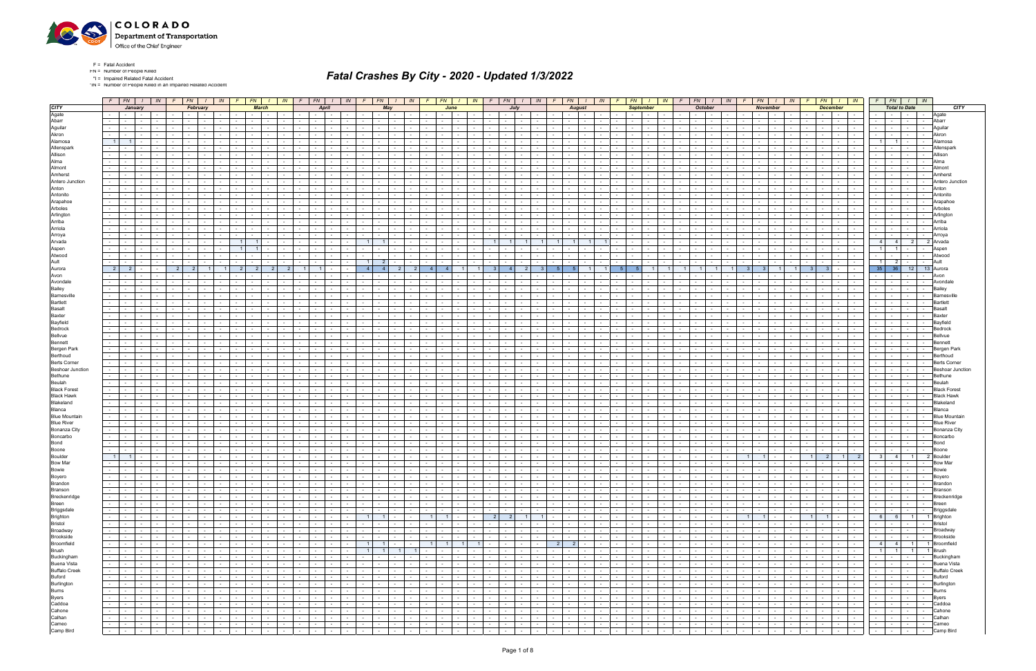

\*IN = Number of People Killed in an Impaired Related Accident

|                                                                                                                             |                      |                |                                             |                                     |        |            | $F$ FN $I$ IN $F$ FN $I$                     |                                    |                                         |                                        | IN FENILIN FENILIN                       |                                                 |                                     |  | $F$   $FN$   $I$   $IN$                                                                                                                                                                                                        |            |                                   |        |                                                            |                  | F FN I I IN F FN I I I IN F FN I I I IN F                                                                                                                                                                                                                                                                                                          |                          |                          |                 |                                           |                                                     |                          |                          |                                                  | $FN$ $I$ $IN$ $F$ $F$ $I$ $N$ $I$ $I$ $IN$ |                                               |                |                                                                                                               | $F \cup$                 |            |                                                                                                                                                                                                                                | $FN$ $\mid$ $\mid$ $\mid$ $\mid$ $\mid$ $\mid$ |                      | $F$ $FN$ $I$ $N$                                                                                                |                            |                          |                  | $F$ $FN$ $I$ $N$                                                                                     |                |                                                                                                                                                                                                                                                                                                                                                                                                                                                                                 |
|-----------------------------------------------------------------------------------------------------------------------------|----------------------|----------------|---------------------------------------------|-------------------------------------|--------|------------|----------------------------------------------|------------------------------------|-----------------------------------------|----------------------------------------|------------------------------------------|-------------------------------------------------|-------------------------------------|--|--------------------------------------------------------------------------------------------------------------------------------------------------------------------------------------------------------------------------------|------------|-----------------------------------|--------|------------------------------------------------------------|------------------|----------------------------------------------------------------------------------------------------------------------------------------------------------------------------------------------------------------------------------------------------------------------------------------------------------------------------------------------------|--------------------------|--------------------------|-----------------|-------------------------------------------|-----------------------------------------------------|--------------------------|--------------------------|--------------------------------------------------|--------------------------------------------|-----------------------------------------------|----------------|---------------------------------------------------------------------------------------------------------------|--------------------------|------------|--------------------------------------------------------------------------------------------------------------------------------------------------------------------------------------------------------------------------------|------------------------------------------------|----------------------|-----------------------------------------------------------------------------------------------------------------|----------------------------|--------------------------|------------------|------------------------------------------------------------------------------------------------------|----------------|---------------------------------------------------------------------------------------------------------------------------------------------------------------------------------------------------------------------------------------------------------------------------------------------------------------------------------------------------------------------------------------------------------------------------------------------------------------------------------|
| <b>CITY</b>                                                                                                                 |                      |                | January                                     |                                     |        |            | February                                     |                                    |                                         | <b>March</b>                           |                                          |                                                 |                                     |  | May                                                                                                                                                                                                                            |            |                                   | June   |                                                            |                  |                                                                                                                                                                                                                                                                                                                                                    |                          |                          |                 |                                           | Auaust                                              |                          | Sentember                |                                                  |                                            |                                               | <b>October</b> |                                                                                                               |                          |            | <b>November</b>                                                                                                                                                                                                                |                                                |                      | <b>December</b>                                                                                                 |                            |                          |                  | <b>Total to Date</b>                                                                                 |                | <b>CITY</b>                                                                                                                                                                                                                                                                                                                                                                                                                                                                     |
| Agate                                                                                                                       |                      |                | <b>Contract Contract</b>                    |                                     |        |            |                                              |                                    |                                         |                                        |                                          |                                                 |                                     |  |                                                                                                                                                                                                                                |            |                                   |        |                                                            |                  |                                                                                                                                                                                                                                                                                                                                                    |                          |                          |                 |                                           |                                                     |                          |                          |                                                  |                                            |                                               |                |                                                                                                               |                          |            |                                                                                                                                                                                                                                |                                                |                      |                                                                                                                 | $\sim$ $-$                 |                          |                  |                                                                                                      |                | Agate                                                                                                                                                                                                                                                                                                                                                                                                                                                                           |
| Abarr                                                                                                                       |                      |                |                                             |                                     |        |            |                                              |                                    |                                         |                                        |                                          |                                                 |                                     |  |                                                                                                                                                                                                                                |            |                                   |        |                                                            |                  |                                                                                                                                                                                                                                                                                                                                                    |                          |                          |                 |                                           |                                                     |                          |                          |                                                  |                                            |                                               |                |                                                                                                               |                          |            |                                                                                                                                                                                                                                |                                                |                      |                                                                                                                 |                            |                          |                  |                                                                                                      |                | Abarr                                                                                                                                                                                                                                                                                                                                                                                                                                                                           |
| Aguilar                                                                                                                     |                      |                |                                             |                                     |        |            |                                              |                                    |                                         |                                        |                                          |                                                 |                                     |  |                                                                                                                                                                                                                                |            |                                   |        |                                                            |                  |                                                                                                                                                                                                                                                                                                                                                    |                          |                          |                 |                                           |                                                     |                          |                          |                                                  |                                            |                                               |                |                                                                                                               |                          |            |                                                                                                                                                                                                                                |                                                |                      |                                                                                                                 |                            |                          |                  |                                                                                                      |                |                                                                                                                                                                                                                                                                                                                                                                                                                                                                                 |
| Akron                                                                                                                       |                      |                |                                             |                                     |        |            |                                              |                                    |                                         |                                        |                                          |                                                 |                                     |  |                                                                                                                                                                                                                                |            |                                   |        |                                                            |                  |                                                                                                                                                                                                                                                                                                                                                    |                          |                          |                 |                                           |                                                     |                          |                          |                                                  |                                            |                                               |                |                                                                                                               |                          |            |                                                                                                                                                                                                                                |                                                |                      |                                                                                                                 |                            |                          |                  |                                                                                                      |                |                                                                                                                                                                                                                                                                                                                                                                                                                                                                                 |
| Alamosa                                                                                                                     |                      | $\overline{1}$ |                                             |                                     |        |            |                                              |                                    |                                         |                                        |                                          |                                                 |                                     |  |                                                                                                                                                                                                                                |            |                                   |        |                                                            |                  |                                                                                                                                                                                                                                                                                                                                                    |                          |                          |                 |                                           |                                                     |                          |                          |                                                  |                                            |                                               |                |                                                                                                               |                          |            |                                                                                                                                                                                                                                |                                                |                      |                                                                                                                 |                            |                          |                  | 11                                                                                                   |                |                                                                                                                                                                                                                                                                                                                                                                                                                                                                                 |
| Allenspark                                                                                                                  |                      |                |                                             |                                     |        |            |                                              |                                    |                                         |                                        |                                          |                                                 |                                     |  |                                                                                                                                                                                                                                |            |                                   |        |                                                            |                  |                                                                                                                                                                                                                                                                                                                                                    |                          |                          |                 |                                           |                                                     |                          |                          |                                                  |                                            |                                               |                |                                                                                                               |                          |            |                                                                                                                                                                                                                                |                                                |                      |                                                                                                                 |                            |                          |                  |                                                                                                      |                |                                                                                                                                                                                                                                                                                                                                                                                                                                                                                 |
| Allison                                                                                                                     |                      |                |                                             |                                     |        |            |                                              |                                    |                                         |                                        |                                          |                                                 |                                     |  |                                                                                                                                                                                                                                |            |                                   |        |                                                            |                  |                                                                                                                                                                                                                                                                                                                                                    |                          |                          |                 |                                           |                                                     |                          |                          |                                                  |                                            |                                               |                |                                                                                                               |                          |            |                                                                                                                                                                                                                                |                                                |                      |                                                                                                                 |                            |                          |                  |                                                                                                      |                |                                                                                                                                                                                                                                                                                                                                                                                                                                                                                 |
| Alma                                                                                                                        |                      |                |                                             |                                     |        |            |                                              |                                    |                                         |                                        |                                          |                                                 |                                     |  |                                                                                                                                                                                                                                |            |                                   |        |                                                            |                  |                                                                                                                                                                                                                                                                                                                                                    |                          |                          |                 |                                           |                                                     |                          |                          |                                                  |                                            |                                               |                |                                                                                                               |                          |            |                                                                                                                                                                                                                                |                                                |                      |                                                                                                                 |                            |                          |                  |                                                                                                      |                |                                                                                                                                                                                                                                                                                                                                                                                                                                                                                 |
| Almont<br>Amherst                                                                                                           |                      |                |                                             |                                     |        |            |                                              |                                    |                                         |                                        |                                          |                                                 |                                     |  |                                                                                                                                                                                                                                |            |                                   |        |                                                            |                  |                                                                                                                                                                                                                                                                                                                                                    |                          |                          |                 |                                           |                                                     |                          |                          |                                                  |                                            |                                               |                |                                                                                                               |                          |            |                                                                                                                                                                                                                                |                                                |                      |                                                                                                                 |                            |                          |                  |                                                                                                      |                |                                                                                                                                                                                                                                                                                                                                                                                                                                                                                 |
| Antero Junction                                                                                                             |                      |                |                                             |                                     |        |            |                                              |                                    |                                         |                                        |                                          |                                                 |                                     |  |                                                                                                                                                                                                                                |            |                                   |        |                                                            |                  |                                                                                                                                                                                                                                                                                                                                                    |                          |                          |                 |                                           |                                                     |                          |                          |                                                  |                                            |                                               |                |                                                                                                               |                          |            |                                                                                                                                                                                                                                |                                                |                      |                                                                                                                 |                            |                          |                  |                                                                                                      |                | Antero Junctior                                                                                                                                                                                                                                                                                                                                                                                                                                                                 |
| Anton                                                                                                                       |                      |                |                                             |                                     |        |            |                                              |                                    |                                         |                                        |                                          |                                                 |                                     |  |                                                                                                                                                                                                                                |            |                                   |        |                                                            |                  |                                                                                                                                                                                                                                                                                                                                                    |                          |                          |                 |                                           |                                                     |                          |                          |                                                  |                                            |                                               |                |                                                                                                               |                          |            |                                                                                                                                                                                                                                |                                                |                      |                                                                                                                 |                            |                          |                  |                                                                                                      |                | Antor                                                                                                                                                                                                                                                                                                                                                                                                                                                                           |
| Antonito                                                                                                                    |                      |                |                                             |                                     |        |            |                                              |                                    |                                         |                                        |                                          |                                                 |                                     |  |                                                                                                                                                                                                                                |            |                                   |        |                                                            |                  |                                                                                                                                                                                                                                                                                                                                                    |                          |                          |                 |                                           |                                                     |                          |                          |                                                  |                                            |                                               |                |                                                                                                               |                          |            |                                                                                                                                                                                                                                |                                                |                      |                                                                                                                 |                            |                          |                  |                                                                                                      |                | Antonit                                                                                                                                                                                                                                                                                                                                                                                                                                                                         |
| Arapahoe                                                                                                                    |                      |                |                                             |                                     |        |            |                                              |                                    |                                         |                                        |                                          |                                                 |                                     |  |                                                                                                                                                                                                                                |            |                                   |        |                                                            |                  |                                                                                                                                                                                                                                                                                                                                                    |                          |                          |                 |                                           |                                                     |                          |                          |                                                  |                                            |                                               |                |                                                                                                               |                          |            |                                                                                                                                                                                                                                |                                                |                      |                                                                                                                 |                            |                          |                  |                                                                                                      |                |                                                                                                                                                                                                                                                                                                                                                                                                                                                                                 |
| Arboles                                                                                                                     |                      |                |                                             |                                     |        |            |                                              |                                    |                                         |                                        |                                          |                                                 |                                     |  |                                                                                                                                                                                                                                |            |                                   |        |                                                            |                  |                                                                                                                                                                                                                                                                                                                                                    |                          |                          |                 |                                           |                                                     |                          |                          |                                                  |                                            |                                               |                |                                                                                                               |                          |            |                                                                                                                                                                                                                                |                                                |                      |                                                                                                                 |                            |                          |                  |                                                                                                      |                |                                                                                                                                                                                                                                                                                                                                                                                                                                                                                 |
| Arlington                                                                                                                   |                      |                |                                             |                                     |        |            |                                              |                                    |                                         |                                        |                                          |                                                 |                                     |  |                                                                                                                                                                                                                                |            |                                   |        |                                                            |                  |                                                                                                                                                                                                                                                                                                                                                    |                          |                          |                 |                                           |                                                     |                          |                          |                                                  |                                            |                                               |                |                                                                                                               |                          |            |                                                                                                                                                                                                                                |                                                |                      |                                                                                                                 |                            |                          |                  |                                                                                                      |                |                                                                                                                                                                                                                                                                                                                                                                                                                                                                                 |
| Arriba                                                                                                                      |                      |                |                                             |                                     |        |            |                                              |                                    |                                         |                                        |                                          |                                                 |                                     |  |                                                                                                                                                                                                                                |            |                                   |        |                                                            |                  |                                                                                                                                                                                                                                                                                                                                                    |                          |                          |                 |                                           |                                                     |                          |                          |                                                  |                                            |                                               |                |                                                                                                               |                          |            |                                                                                                                                                                                                                                |                                                |                      |                                                                                                                 |                            |                          |                  |                                                                                                      |                |                                                                                                                                                                                                                                                                                                                                                                                                                                                                                 |
| Arriola                                                                                                                     |                      |                |                                             |                                     |        |            |                                              |                                    |                                         |                                        |                                          |                                                 |                                     |  |                                                                                                                                                                                                                                |            |                                   |        |                                                            |                  |                                                                                                                                                                                                                                                                                                                                                    |                          |                          |                 |                                           |                                                     |                          |                          |                                                  |                                            |                                               |                |                                                                                                               |                          |            |                                                                                                                                                                                                                                |                                                |                      |                                                                                                                 |                            |                          |                  |                                                                                                      |                |                                                                                                                                                                                                                                                                                                                                                                                                                                                                                 |
| Arroya                                                                                                                      |                      |                |                                             |                                     |        |            |                                              |                                    |                                         |                                        |                                          |                                                 |                                     |  |                                                                                                                                                                                                                                |            |                                   |        |                                                            |                  |                                                                                                                                                                                                                                                                                                                                                    |                          |                          |                 |                                           |                                                     |                          |                          |                                                  |                                            |                                               |                |                                                                                                               |                          |            |                                                                                                                                                                                                                                |                                                |                      |                                                                                                                 |                            |                          |                  |                                                                                                      |                |                                                                                                                                                                                                                                                                                                                                                                                                                                                                                 |
| Arvada                                                                                                                      |                      |                |                                             |                                     |        |            |                                              |                                    |                                         |                                        |                                          |                                                 |                                     |  |                                                                                                                                                                                                                                |            |                                   |        |                                                            |                  |                                                                                                                                                                                                                                                                                                                                                    |                          |                          |                 |                                           |                                                     |                          |                          |                                                  |                                            |                                               |                |                                                                                                               |                          |            |                                                                                                                                                                                                                                |                                                |                      |                                                                                                                 |                            |                          | $\overline{4}$   | 4 <sup>1</sup><br>2 <sub>1</sub>                                                                     |                | 2 Arvada                                                                                                                                                                                                                                                                                                                                                                                                                                                                        |
| Aspen                                                                                                                       |                      |                |                                             |                                     |        |            |                                              |                                    |                                         |                                        |                                          |                                                 |                                     |  |                                                                                                                                                                                                                                |            |                                   |        |                                                            |                  |                                                                                                                                                                                                                                                                                                                                                    |                          |                          |                 |                                           |                                                     |                          |                          |                                                  |                                            |                                               |                |                                                                                                               |                          |            |                                                                                                                                                                                                                                |                                                |                      |                                                                                                                 |                            |                          |                  |                                                                                                      |                |                                                                                                                                                                                                                                                                                                                                                                                                                                                                                 |
| Atwood                                                                                                                      |                      |                |                                             |                                     |        |            |                                              |                                    |                                         |                                        |                                          |                                                 |                                     |  |                                                                                                                                                                                                                                |            |                                   |        |                                                            |                  |                                                                                                                                                                                                                                                                                                                                                    |                          |                          |                 |                                           |                                                     |                          |                          |                                                  |                                            |                                               |                |                                                                                                               |                          |            |                                                                                                                                                                                                                                |                                                |                      |                                                                                                                 |                            |                          |                  |                                                                                                      |                |                                                                                                                                                                                                                                                                                                                                                                                                                                                                                 |
| Ault                                                                                                                        |                      |                |                                             |                                     |        |            |                                              |                                    |                                         |                                        |                                          |                                                 |                                     |  |                                                                                                                                                                                                                                |            |                                   |        |                                                            |                  |                                                                                                                                                                                                                                                                                                                                                    |                          |                          |                 |                                           |                                                     |                          |                          |                                                  |                                            |                                               |                |                                                                                                               |                          |            |                                                                                                                                                                                                                                |                                                |                      |                                                                                                                 |                            |                          | 11               | $\frac{2}{2}$                                                                                        |                |                                                                                                                                                                                                                                                                                                                                                                                                                                                                                 |
| Aurora<br>Avon                                                                                                              |                      | $\overline{2}$ |                                             |                                     |        |            |                                              |                                    |                                         |                                        |                                          |                                                 |                                     |  |                                                                                                                                                                                                                                |            |                                   |        |                                                            |                  |                                                                                                                                                                                                                                                                                                                                                    |                          |                          |                 |                                           |                                                     |                          |                          |                                                  |                                            |                                               |                |                                                                                                               |                          |            |                                                                                                                                                                                                                                |                                                |                      |                                                                                                                 |                            |                          | 35 <sub>1</sub>  | 12 <sup>1</sup><br>- 36                                                                              |                | 13 Aurora                                                                                                                                                                                                                                                                                                                                                                                                                                                                       |
| Avondale                                                                                                                    |                      |                |                                             |                                     |        |            |                                              |                                    |                                         |                                        |                                          |                                                 |                                     |  |                                                                                                                                                                                                                                |            |                                   |        |                                                            |                  |                                                                                                                                                                                                                                                                                                                                                    |                          |                          |                 |                                           |                                                     |                          |                          |                                                  |                                            |                                               |                |                                                                                                               |                          |            |                                                                                                                                                                                                                                |                                                |                      |                                                                                                                 |                            |                          |                  |                                                                                                      |                |                                                                                                                                                                                                                                                                                                                                                                                                                                                                                 |
| Bailev                                                                                                                      |                      |                |                                             |                                     |        |            |                                              |                                    |                                         |                                        |                                          |                                                 |                                     |  |                                                                                                                                                                                                                                |            |                                   |        |                                                            |                  |                                                                                                                                                                                                                                                                                                                                                    |                          |                          |                 |                                           |                                                     |                          |                          |                                                  |                                            |                                               |                |                                                                                                               |                          |            |                                                                                                                                                                                                                                |                                                |                      |                                                                                                                 |                            |                          |                  |                                                                                                      |                |                                                                                                                                                                                                                                                                                                                                                                                                                                                                                 |
| Barnesville                                                                                                                 |                      |                |                                             |                                     |        |            |                                              |                                    |                                         |                                        |                                          |                                                 |                                     |  |                                                                                                                                                                                                                                |            |                                   |        |                                                            |                  |                                                                                                                                                                                                                                                                                                                                                    |                          |                          |                 |                                           |                                                     |                          |                          |                                                  |                                            |                                               |                |                                                                                                               |                          |            |                                                                                                                                                                                                                                |                                                |                      |                                                                                                                 |                            |                          |                  |                                                                                                      |                |                                                                                                                                                                                                                                                                                                                                                                                                                                                                                 |
| <b>Bartlett</b>                                                                                                             |                      |                |                                             |                                     |        |            |                                              |                                    |                                         |                                        |                                          |                                                 |                                     |  |                                                                                                                                                                                                                                |            |                                   |        |                                                            |                  |                                                                                                                                                                                                                                                                                                                                                    |                          |                          |                 |                                           |                                                     |                          |                          |                                                  |                                            |                                               |                |                                                                                                               |                          |            |                                                                                                                                                                                                                                |                                                |                      |                                                                                                                 |                            |                          |                  |                                                                                                      |                |                                                                                                                                                                                                                                                                                                                                                                                                                                                                                 |
| <b>Basalt</b>                                                                                                               |                      |                |                                             |                                     |        |            |                                              |                                    |                                         |                                        |                                          |                                                 |                                     |  |                                                                                                                                                                                                                                |            |                                   |        |                                                            |                  |                                                                                                                                                                                                                                                                                                                                                    |                          |                          |                 |                                           |                                                     |                          |                          |                                                  |                                            |                                               |                |                                                                                                               |                          |            |                                                                                                                                                                                                                                |                                                |                      |                                                                                                                 |                            |                          |                  |                                                                                                      |                |                                                                                                                                                                                                                                                                                                                                                                                                                                                                                 |
| Baxter                                                                                                                      |                      |                |                                             |                                     |        |            |                                              |                                    |                                         |                                        |                                          |                                                 |                                     |  |                                                                                                                                                                                                                                |            |                                   |        |                                                            |                  |                                                                                                                                                                                                                                                                                                                                                    |                          |                          |                 |                                           |                                                     |                          |                          |                                                  |                                            |                                               |                |                                                                                                               |                          |            |                                                                                                                                                                                                                                |                                                |                      |                                                                                                                 |                            |                          |                  |                                                                                                      |                |                                                                                                                                                                                                                                                                                                                                                                                                                                                                                 |
| Bayfield                                                                                                                    |                      |                |                                             |                                     |        |            |                                              |                                    |                                         |                                        |                                          |                                                 |                                     |  |                                                                                                                                                                                                                                |            |                                   |        |                                                            |                  |                                                                                                                                                                                                                                                                                                                                                    |                          |                          |                 |                                           |                                                     |                          |                          |                                                  |                                            |                                               |                |                                                                                                               |                          |            |                                                                                                                                                                                                                                |                                                |                      |                                                                                                                 |                            |                          |                  |                                                                                                      |                |                                                                                                                                                                                                                                                                                                                                                                                                                                                                                 |
| Bedrock                                                                                                                     |                      |                |                                             |                                     |        |            |                                              |                                    |                                         |                                        |                                          |                                                 |                                     |  |                                                                                                                                                                                                                                |            |                                   |        |                                                            |                  |                                                                                                                                                                                                                                                                                                                                                    |                          |                          |                 |                                           |                                                     |                          |                          |                                                  |                                            |                                               |                |                                                                                                               |                          |            |                                                                                                                                                                                                                                |                                                |                      |                                                                                                                 |                            |                          |                  |                                                                                                      |                |                                                                                                                                                                                                                                                                                                                                                                                                                                                                                 |
| Bellvue                                                                                                                     |                      |                |                                             |                                     |        |            |                                              |                                    |                                         |                                        |                                          |                                                 |                                     |  |                                                                                                                                                                                                                                |            |                                   |        |                                                            |                  |                                                                                                                                                                                                                                                                                                                                                    |                          |                          |                 |                                           |                                                     |                          |                          |                                                  |                                            |                                               |                |                                                                                                               |                          |            |                                                                                                                                                                                                                                |                                                |                      |                                                                                                                 |                            |                          |                  |                                                                                                      |                |                                                                                                                                                                                                                                                                                                                                                                                                                                                                                 |
| Bennett                                                                                                                     |                      |                |                                             |                                     |        |            |                                              |                                    |                                         |                                        |                                          |                                                 |                                     |  |                                                                                                                                                                                                                                |            |                                   |        |                                                            |                  |                                                                                                                                                                                                                                                                                                                                                    |                          |                          |                 |                                           |                                                     |                          |                          |                                                  |                                            |                                               |                |                                                                                                               |                          |            |                                                                                                                                                                                                                                |                                                |                      |                                                                                                                 |                            |                          |                  |                                                                                                      |                |                                                                                                                                                                                                                                                                                                                                                                                                                                                                                 |
| Bergen Park                                                                                                                 |                      |                |                                             |                                     |        |            |                                              |                                    |                                         |                                        |                                          |                                                 |                                     |  |                                                                                                                                                                                                                                |            |                                   |        |                                                            |                  |                                                                                                                                                                                                                                                                                                                                                    |                          |                          |                 |                                           |                                                     |                          |                          |                                                  |                                            |                                               |                |                                                                                                               |                          |            |                                                                                                                                                                                                                                |                                                |                      |                                                                                                                 |                            |                          |                  |                                                                                                      |                |                                                                                                                                                                                                                                                                                                                                                                                                                                                                                 |
| Berthoud                                                                                                                    |                      |                |                                             |                                     |        |            |                                              |                                    |                                         |                                        |                                          |                                                 |                                     |  |                                                                                                                                                                                                                                |            |                                   |        |                                                            |                  |                                                                                                                                                                                                                                                                                                                                                    |                          |                          |                 |                                           |                                                     |                          |                          |                                                  |                                            |                                               |                |                                                                                                               |                          |            |                                                                                                                                                                                                                                |                                                |                      |                                                                                                                 |                            |                          |                  |                                                                                                      |                |                                                                                                                                                                                                                                                                                                                                                                                                                                                                                 |
| <b>Berts Corner</b><br><b>Beshoar Junction</b>                                                                              |                      |                |                                             |                                     |        |            |                                              |                                    |                                         |                                        |                                          |                                                 |                                     |  |                                                                                                                                                                                                                                |            |                                   |        |                                                            |                  |                                                                                                                                                                                                                                                                                                                                                    |                          |                          |                 |                                           |                                                     |                          |                          |                                                  |                                            |                                               |                |                                                                                                               |                          |            |                                                                                                                                                                                                                                |                                                |                      |                                                                                                                 |                            |                          |                  |                                                                                                      |                |                                                                                                                                                                                                                                                                                                                                                                                                                                                                                 |
| Bethune                                                                                                                     |                      |                |                                             |                                     |        |            |                                              |                                    |                                         |                                        |                                          |                                                 |                                     |  |                                                                                                                                                                                                                                |            |                                   |        |                                                            |                  |                                                                                                                                                                                                                                                                                                                                                    |                          |                          |                 |                                           |                                                     |                          |                          |                                                  |                                            |                                               |                |                                                                                                               |                          |            |                                                                                                                                                                                                                                |                                                |                      |                                                                                                                 |                            |                          |                  |                                                                                                      |                | Bethune                                                                                                                                                                                                                                                                                                                                                                                                                                                                         |
| Beulah                                                                                                                      |                      |                |                                             |                                     |        |            |                                              |                                    |                                         |                                        |                                          |                                                 |                                     |  |                                                                                                                                                                                                                                |            |                                   |        |                                                            |                  |                                                                                                                                                                                                                                                                                                                                                    |                          |                          |                 |                                           |                                                     |                          |                          |                                                  |                                            |                                               |                |                                                                                                               |                          |            |                                                                                                                                                                                                                                |                                                |                      |                                                                                                                 |                            |                          |                  |                                                                                                      |                |                                                                                                                                                                                                                                                                                                                                                                                                                                                                                 |
| <b>Black Forest</b>                                                                                                         |                      |                |                                             |                                     |        |            |                                              |                                    |                                         |                                        |                                          |                                                 |                                     |  |                                                                                                                                                                                                                                |            |                                   |        |                                                            |                  |                                                                                                                                                                                                                                                                                                                                                    |                          |                          |                 |                                           |                                                     |                          |                          |                                                  |                                            |                                               |                |                                                                                                               |                          |            |                                                                                                                                                                                                                                |                                                |                      |                                                                                                                 |                            |                          |                  |                                                                                                      |                | llack l                                                                                                                                                                                                                                                                                                                                                                                                                                                                         |
| <b>Black Hawk</b>                                                                                                           |                      |                |                                             |                                     |        |            |                                              |                                    |                                         |                                        |                                          |                                                 |                                     |  |                                                                                                                                                                                                                                |            |                                   |        |                                                            |                  |                                                                                                                                                                                                                                                                                                                                                    |                          |                          |                 |                                           |                                                     |                          |                          |                                                  |                                            |                                               |                |                                                                                                               |                          |            |                                                                                                                                                                                                                                |                                                |                      |                                                                                                                 |                            |                          |                  |                                                                                                      |                |                                                                                                                                                                                                                                                                                                                                                                                                                                                                                 |
| Blakeland                                                                                                                   |                      |                |                                             |                                     |        |            |                                              |                                    |                                         |                                        |                                          |                                                 |                                     |  |                                                                                                                                                                                                                                |            |                                   |        |                                                            |                  |                                                                                                                                                                                                                                                                                                                                                    |                          |                          |                 |                                           |                                                     |                          |                          |                                                  |                                            |                                               |                |                                                                                                               |                          |            |                                                                                                                                                                                                                                |                                                |                      |                                                                                                                 |                            |                          |                  |                                                                                                      |                |                                                                                                                                                                                                                                                                                                                                                                                                                                                                                 |
| Blanca                                                                                                                      |                      |                |                                             |                                     |        |            |                                              |                                    |                                         |                                        |                                          |                                                 |                                     |  |                                                                                                                                                                                                                                |            |                                   |        |                                                            |                  |                                                                                                                                                                                                                                                                                                                                                    |                          |                          |                 |                                           |                                                     |                          |                          |                                                  |                                            |                                               |                |                                                                                                               |                          |            |                                                                                                                                                                                                                                |                                                |                      |                                                                                                                 |                            |                          |                  |                                                                                                      |                |                                                                                                                                                                                                                                                                                                                                                                                                                                                                                 |
| <b>Blue Mountair</b>                                                                                                        |                      |                |                                             |                                     |        |            |                                              |                                    |                                         |                                        |                                          |                                                 |                                     |  |                                                                                                                                                                                                                                |            |                                   |        |                                                            |                  |                                                                                                                                                                                                                                                                                                                                                    |                          |                          |                 |                                           |                                                     |                          |                          |                                                  |                                            |                                               |                |                                                                                                               |                          |            |                                                                                                                                                                                                                                |                                                |                      |                                                                                                                 |                            |                          |                  |                                                                                                      |                |                                                                                                                                                                                                                                                                                                                                                                                                                                                                                 |
| <b>Blue River</b>                                                                                                           |                      |                |                                             |                                     |        |            |                                              |                                    |                                         |                                        |                                          |                                                 |                                     |  |                                                                                                                                                                                                                                |            |                                   |        |                                                            |                  |                                                                                                                                                                                                                                                                                                                                                    |                          |                          |                 |                                           |                                                     |                          |                          |                                                  |                                            |                                               |                |                                                                                                               |                          |            |                                                                                                                                                                                                                                |                                                |                      |                                                                                                                 |                            |                          |                  |                                                                                                      |                |                                                                                                                                                                                                                                                                                                                                                                                                                                                                                 |
| Bonanza City                                                                                                                |                      |                |                                             |                                     |        |            |                                              |                                    |                                         |                                        |                                          |                                                 |                                     |  |                                                                                                                                                                                                                                |            |                                   |        |                                                            |                  |                                                                                                                                                                                                                                                                                                                                                    |                          |                          |                 |                                           |                                                     |                          |                          |                                                  |                                            |                                               |                |                                                                                                               |                          |            |                                                                                                                                                                                                                                |                                                |                      |                                                                                                                 |                            |                          |                  |                                                                                                      |                |                                                                                                                                                                                                                                                                                                                                                                                                                                                                                 |
| Boncarbo<br>Bond                                                                                                            |                      |                |                                             |                                     |        |            |                                              |                                    |                                         |                                        |                                          |                                                 |                                     |  |                                                                                                                                                                                                                                |            |                                   |        |                                                            |                  |                                                                                                                                                                                                                                                                                                                                                    |                          |                          |                 |                                           |                                                     |                          |                          |                                                  |                                            |                                               |                |                                                                                                               |                          |            |                                                                                                                                                                                                                                |                                                |                      |                                                                                                                 |                            |                          |                  |                                                                                                      |                |                                                                                                                                                                                                                                                                                                                                                                                                                                                                                 |
| Boone                                                                                                                       |                      |                |                                             |                                     |        |            |                                              |                                    |                                         |                                        |                                          |                                                 |                                     |  |                                                                                                                                                                                                                                |            |                                   |        |                                                            |                  |                                                                                                                                                                                                                                                                                                                                                    |                          |                          |                 |                                           |                                                     |                          |                          |                                                  |                                            |                                               |                |                                                                                                               |                          |            |                                                                                                                                                                                                                                |                                                |                      |                                                                                                                 |                            |                          |                  |                                                                                                      |                |                                                                                                                                                                                                                                                                                                                                                                                                                                                                                 |
| Boulder                                                                                                                     |                      |                | $1 -$                                       |                                     | $\sim$ |            | $\sim$                                       |                                    |                                         |                                        |                                          |                                                 |                                     |  |                                                                                                                                                                                                                                |            |                                   | $\sim$ |                                                            |                  |                                                                                                                                                                                                                                                                                                                                                    |                          |                          |                 |                                           | $\sim$ 100 $\mu$                                    |                          |                          | $\sim$                                           |                                            |                                               |                |                                                                                                               |                          | 11         | $1 -$                                                                                                                                                                                                                          |                                                | $1 \mid$             | 2 <sup>1</sup>                                                                                                  |                            | $1 \quad 2$              | 3 <sup>1</sup>   | $\overline{4}$                                                                                       | $1 \vert$      |                                                                                                                                                                                                                                                                                                                                                                                                                                                                                 |
| <b>Bow Mar</b>                                                                                                              |                      |                |                                             |                                     |        |            |                                              |                                    |                                         |                                        |                                          |                                                 |                                     |  |                                                                                                                                                                                                                                |            |                                   |        |                                                            |                  |                                                                                                                                                                                                                                                                                                                                                    |                          |                          |                 |                                           |                                                     |                          |                          |                                                  |                                            |                                               |                |                                                                                                               |                          |            |                                                                                                                                                                                                                                |                                                |                      |                                                                                                                 |                            |                          |                  |                                                                                                      |                |                                                                                                                                                                                                                                                                                                                                                                                                                                                                                 |
| Bowie                                                                                                                       |                      |                | the contract of                             | $\sim$ $-$                          | $\sim$ | $\sim$ $-$ | $\sim$                                       | $\sim$                             |                                         |                                        |                                          |                                                 |                                     |  |                                                                                                                                                                                                                                | $\sim$ $-$ |                                   |        |                                                            |                  |                                                                                                                                                                                                                                                                                                                                                    |                          |                          | $\sim$          |                                           |                                                     |                          |                          |                                                  |                                            |                                               |                |                                                                                                               |                          | $\sim$ $-$ | $\sim$                                                                                                                                                                                                                         |                                                |                      | $\sim$                                                                                                          | $\sim$ 100 $\pm$           | $\sim$ $ \sim$           | $\sim$ 100 $\mu$ | $\sim$                                                                                               |                |                                                                                                                                                                                                                                                                                                                                                                                                                                                                                 |
| Boyero                                                                                                                      |                      |                |                                             |                                     |        |            |                                              | $\sim$ $\sim$ $\sim$ $\sim$ $\sim$ | the contract of the contract of the     |                                        |                                          |                                                 |                                     |  |                                                                                                                                                                                                                                |            | 1 - 1 - 1 - 1 - 1                 |        |                                                            |                  |                                                                                                                                                                                                                                                                                                                                                    |                          |                          |                 |                                           |                                                     |                          |                          | 1 - 1 - 1 - 1                                    |                                            | $\sim$ $-$                                    |                | .                                                                                                             |                          |            |                                                                                                                                                                                                                                |                                                |                      | the contract of the contract of the con-                                                                        |                            |                          |                  | .                                                                                                    | $\sim$ $-$     | Boyero                                                                                                                                                                                                                                                                                                                                                                                                                                                                          |
| Brandon                                                                                                                     |                      |                | and the state                               | $\sim$ 100 $\mu$                    |        |            | and the contract of the contract of the con- | $\sim$ 100 $\sim$                  | $\sim$                                  | <b>Contract Contract State</b>         | $\sim$<br>$\mathbf{1}$ and $\mathbf{1}$  | $-1 - 1 = -1$                                   | and the state                       |  |                                                                                                                                                                                                                                |            | <b>Contract Contract</b>          |        |                                                            | $\sim$           | $\sim$ $\sim$ $\sim$                                                                                                                                                                                                                                                                                                                               | the contract of the con- | <b>Contract Contract</b> | $\sim 10^{-11}$ | <b>Contract Contract</b>                  | and the state                                       | <b>Contract Contract</b> | <b>Contract Contract</b> |                                                  | .                                          | $\sim$                                        |                | <b>Contract Contract Contract</b>                                                                             | <b>Service</b>           |            | the contract of the contract of the con-                                                                                                                                                                                       |                                                |                      | the company                                                                                                     | 1940 F. R                  |                          |                  | .                                                                                                    | $\sim$ $-$     | Brandon                                                                                                                                                                                                                                                                                                                                                                                                                                                                         |
| Branson                                                                                                                     | $\sim 100$           |                |                                             |                                     |        |            |                                              | <b>Contract</b>                    | .                                       |                                        | the contract of the con-                 | $\sim$ $\sim$ $\sim$ $\sim$                     | and the state                       |  |                                                                                                                                                                                                                                |            | .                                 |        |                                                            |                  | .                                                                                                                                                                                                                                                                                                                                                  |                          |                          |                 |                                           | $\sim$ 1 $\sim$ 1 $\sim$ 1 $\sim$ 1 $\sim$ 1 $\sim$ |                          |                          | .                                                |                                            | $-1 - 1 - 1 - 1 - 1$                          |                |                                                                                                               |                          |            |                                                                                                                                                                                                                                |                                                |                      |                                                                                                                 |                            |                          |                  |                                                                                                      |                | Branson                                                                                                                                                                                                                                                                                                                                                                                                                                                                         |
| Breckenridge                                                                                                                |                      |                |                                             |                                     |        |            | .                                            | <b>Contract</b>                    | <b>Contract Contract</b>                |                                        |                                          |                                                 |                                     |  |                                                                                                                                                                                                                                |            |                                   |        |                                                            |                  |                                                                                                                                                                                                                                                                                                                                                    |                          |                          |                 |                                           |                                                     |                          |                          | .                                                |                                            | .                                             |                |                                                                                                               |                          |            | .                                                                                                                                                                                                                              |                                                |                      |                                                                                                                 |                            |                          |                  |                                                                                                      |                | - - - - Breckenridge                                                                                                                                                                                                                                                                                                                                                                                                                                                            |
| Breen<br>Briggsdale<br>Brighton<br>Bristol<br>Broadway                                                                      |                      |                | the contract of the con-                    | $\sim$ 100 $\sim$                   |        |            | the contract of the contract of              | <b>Contract</b>                    | $\sim$ $\sim$ $\sim$ $\sim$ $\sim$      |                                        | the contract of the con-                 | the contract of the con-                        | and the contract of the contract of |  |                                                                                                                                                                                                                                |            |                                   |        |                                                            | $\sim$           |                                                                                                                                                                                                                                                                                                                                                    |                          | $\sim$ $-$               | $\sim$ $-$      | $\sim$ $\sim$ $\sim$ $\sim$ $\sim$ $\sim$ | .                                                   |                          |                          |                                                  |                                            | $\sim$ $-$                                    |                | $\frac{1}{2}$ , $\frac{1}{2}$ , $\frac{1}{2}$ , $\frac{1}{2}$ , $\frac{1}{2}$ , $\frac{1}{2}$ , $\frac{1}{2}$ | $\sim$ $\sim$            |            | and the contract                                                                                                                                                                                                               |                                                |                      | the contract of the contract of the con-                                                                        |                            |                          |                  | -   -   -   - Breen                                                                                  |                |                                                                                                                                                                                                                                                                                                                                                                                                                                                                                 |
|                                                                                                                             | $\sim$ $\sim$        |                |                                             |                                     |        |            | $-1 - 1 - 1 -$                               | $\sim 10^{-10}$                    |                                         |                                        | .                                        | <b>The Committee of the Committee</b>           |                                     |  |                                                                                                                                                                                                                                |            | and the state of the state of the |        |                                                            | $\sim 10^{-11}$  | $\sim$ 1.4 $\sim$ 1.4 $\sim$ 1.4 $\sim$ 1.4 $\sim$ 1.4 $\sim$ 1.4 $\sim$ 1.4 $\sim$ 1.4 $\sim$ 1.4 $\sim$ 1.4 $\sim$ 1.4 $\sim$ 1.4 $\sim$ 1.4 $\sim$ 1.4 $\sim$ 1.4 $\sim$ 1.4 $\sim$ 1.4 $\sim$ 1.4 $\sim$ 1.4 $\sim$ 1.4 $\sim$ 1.4 $\sim$ 1.4 $\sim$ 1.4 $\sim$ 1.4 $\sim$<br>$2 \mid 2 \mid 1 \mid 1 \mid - \mid - \mid - \mid - \mid - \mid$ |                          |                          |                 |                                           |                                                     |                          |                          | 1. – 1. – 1. – 1                                 |                                            | $-1 - 1 - 1 - 1$                              |                |                                                                                                               |                          |            | . <del>. .</del>                                                                                                                                                                                                               |                                                |                      | $1 \vert 1 \vert - \vert - \vert - \vert$                                                                       |                            |                          |                  | Briggsdale                                                                                           |                |                                                                                                                                                                                                                                                                                                                                                                                                                                                                                 |
|                                                                                                                             | $\sim$ $\sim$ $\sim$ |                | <b>Contract Contract</b>                    | <b>Contract Contract Street</b>     |        |            | .                                            | <b>Contract</b>                    | - 20                                    |                                        |                                          |                                                 |                                     |  |                                                                                                                                                                                                                                |            | $1 \quad 1 \quad -$               |        |                                                            | $\sim$ $-$       |                                                                                                                                                                                                                                                                                                                                                    |                          |                          |                 |                                           |                                                     |                          |                          | .                                                |                                            | $\sim 10$                                     |                | 1 - 1 - 1 - 1                                                                                                 |                          |            | $1 \quad 1 \quad - \quad -$                                                                                                                                                                                                    |                                                |                      |                                                                                                                 |                            |                          |                  | 6 6 1 1 Brighton                                                                                     |                |                                                                                                                                                                                                                                                                                                                                                                                                                                                                                 |
|                                                                                                                             |                      |                | the contract of the con-                    | $\sim 100$                          |        |            | .<br>$-1 - 1 - 1 - 1$                        | $\sim 100$<br>المستقبل             |                                         |                                        | the contract of the contract of the con- | the contract of<br>कारानाम                      | the company of the com-             |  |                                                                                                                                                                                                                                |            | <b>Carl Land</b>                  |        |                                                            | $\sim$ $ \sim$   | $-1 - 1 - 1$                                                                                                                                                                                                                                                                                                                                       |                          |                          |                 |                                           | a da bada balance                                   |                          |                          | .<br>and the contract                            |                                            | $\sim$                                        |                | $1 - 1 - 1 - 1 - 1$<br>$1 - 1 - 1 -$                                                                          | $\sim$ $\sim$            |            | .<br>$-1 - 1 - 1 - 1$                                                                                                                                                                                                          |                                                |                      | the contract of                                                                                                 | and the state              |                          |                  | -   -   -   - Broadway                                                                               | $\sim$ $ \sim$ | <b>Bristol</b>                                                                                                                                                                                                                                                                                                                                                                                                                                                                  |
| Brookside                                                                                                                   | $\sim$ 100 $\mu$     |                | the contract of the con-<br>the contract of | <b>Contract</b>                     |        |            | the contract of the con-                     | <b>Contract</b>                    | <b>Contract</b>                         |                                        | .<br>1 - 1 - 1 - 1                       |                                                 |                                     |  |                                                                                                                                                                                                                                |            | the contract of                   |        | $\sim$ $\sim$ $\sim$ $\sim$<br>$\sim$ $\sim$ $\sim$ $\sim$ | $\sim$<br>$\sim$ | .                                                                                                                                                                                                                                                                                                                                                  |                          |                          |                 |                                           |                                                     |                          |                          | the company's                                    | <b>Contract Contract</b>                   | $\sim$<br>$\sim$                              |                | 1 - 1 - 1 - 1                                                                                                 | $\sim$ $\sim$            |            |                                                                                                                                                                                                                                |                                                | and the state        |                                                                                                                 | 1. – 1. – 1                |                          |                  | -   -   -   - Brookside                                                                              |                |                                                                                                                                                                                                                                                                                                                                                                                                                                                                                 |
| Brookside<br>Broomfield<br>Buckingham<br>Buckingham<br>Burfalo Creek<br>Buffalo Creek<br>Burfalo<br>Burns<br>Byers<br>Byers |                      |                | the contract of the con-                    |                                     |        |            | .                                            | <b>Contract</b>                    |                                         |                                        | .                                        |                                                 |                                     |  | $1 \quad 1 \quad - \quad -$                                                                                                                                                                                                    |            |                                   |        |                                                            |                  | $1$ 1 1 1 1 $1$ $  -$                                                                                                                                                                                                                                                                                                                              |                          |                          |                 |                                           | $-$ 2 2 - -                                         |                          |                          | the contract of the con-                         |                                            | $-1 - 1 - 1 - 1 - 1$                          |                |                                                                                                               |                          |            | .                                                                                                                                                                                                                              |                                                |                      | the contract of the con-                                                                                        | .                          |                          |                  | 4 4 1 1 Broomfield                                                                                   |                |                                                                                                                                                                                                                                                                                                                                                                                                                                                                                 |
|                                                                                                                             |                      |                | <b>Committee</b>                            |                                     |        |            | the contract of the con-                     | $\sim$ $-$                         | the contract of the contract of         |                                        | <u> Tantan Inggris (j. 1</u> 140)        |                                                 |                                     |  |                                                                                                                                                                                                                                |            | $1 \mid 1 \mid 1 \mid 1 \mid$     |        | $\sim$ $\sim$ $\sim$                                       | $\sim$ $-$       | $-1 - 1 - 1$                                                                                                                                                                                                                                                                                                                                       |                          |                          |                 |                                           | .                                                   |                          | <b>Contract Contract</b> |                                                  | $\mathbf{I}$                               | $\sim$ $-$                                    |                | $1 - 1 - 1 -$                                                                                                 |                          |            |                                                                                                                                                                                                                                |                                                |                      | .                                                                                                               |                            |                          |                  | 1 1 1 1 Brush                                                                                        |                |                                                                                                                                                                                                                                                                                                                                                                                                                                                                                 |
|                                                                                                                             |                      |                | and the contract of the con-                | <b>Contract</b>                     |        |            | the contract of the contract of the con-     | <b>Contract</b>                    |                                         |                                        | .                                        |                                                 |                                     |  |                                                                                                                                                                                                                                |            | the contract of                   |        | $\sim$ $\sim$ $\sim$ $\sim$                                | $\sim 10^{-1}$   |                                                                                                                                                                                                                                                                                                                                                    |                          |                          |                 |                                           |                                                     |                          |                          | and the contract of the con-                     |                                            | .                                             |                |                                                                                                               |                          |            |                                                                                                                                                                                                                                |                                                |                      | . <del>. .</del>                                                                                                |                            |                          |                  |                                                                                                      |                | $\overline{\phantom{a}}$ $\overline{\phantom{a}}$ $\overline{\phantom{a}}$ $\overline{\phantom{a}}$ $\overline{\phantom{a}}$ $\overline{\phantom{a}}$ $\overline{\phantom{a}}$ $\overline{\phantom{a}}$ $\overline{\phantom{a}}$ $\overline{\phantom{a}}$ $\overline{\phantom{a}}$ $\overline{\phantom{a}}$ $\overline{\phantom{a}}$ $\overline{\phantom{a}}$ $\overline{\phantom{a}}$ $\overline{\phantom{a}}$ $\overline{\phantom{a}}$ $\overline{\phantom{a}}$ $\overline{\$ |
|                                                                                                                             |                      |                | the contract of the con-                    | <b>Contract Contract</b>            |        |            | .                                            | <b>Contract Contract</b>           | and the contract of the contract of the |                                        | the contract of                          | the contract of                                 | the company of the com-             |  |                                                                                                                                                                                                                                |            | the contract of                   |        | .                                                          | $\sim$           | the contract of the contract of the con-                                                                                                                                                                                                                                                                                                           |                          |                          |                 |                                           | <u> 1950 - Johann John Stone Barnett (</u>          |                          |                          |                                                  |                                            | $-1 - 1 - 1 - 1 - 1$                          |                |                                                                                                               |                          |            | .                                                                                                                                                                                                                              |                                                | the contract of      |                                                                                                                 | .                          |                          |                  |                                                                                                      |                | - - - - - Buena Vista                                                                                                                                                                                                                                                                                                                                                                                                                                                           |
|                                                                                                                             |                      |                | the collection                              |                                     |        |            |                                              | <b>Contract</b>                    |                                         |                                        | 4   4   4   4   4   4   4   4   4        |                                                 |                                     |  | the contract of the contract of the contract of the contract of the contract of the contract of the contract of the contract of the contract of the contract of the contract of the contract of the contract of the contract o |            | <b>Contract Contract</b>          |        | the contract                                               |                  |                                                                                                                                                                                                                                                                                                                                                    |                          |                          |                 |                                           |                                                     |                          |                          | .                                                |                                            | .                                             |                |                                                                                                               |                          |            | .                                                                                                                                                                                                                              |                                                |                      |                                                                                                                 |                            |                          |                  |                                                                                                      |                | -   -   -   - Buffalo Creek                                                                                                                                                                                                                                                                                                                                                                                                                                                     |
|                                                                                                                             |                      |                | and the contract of the con-                |                                     |        |            |                                              | <b>Contract</b>                    |                                         |                                        | the contract of the con-                 | <b>Second Contract</b>                          | and the contract of the con-        |  |                                                                                                                                                                                                                                |            |                                   |        |                                                            | $\sim$           | $\sim$ $\sim$ $\sim$                                                                                                                                                                                                                                                                                                                               | and the state            |                          |                 |                                           |                                                     |                          |                          |                                                  |                                            | .                                             |                |                                                                                                               |                          |            |                                                                                                                                                                                                                                |                                                |                      |                                                                                                                 |                            |                          |                  | .                                                                                                    |                | <b>Buford</b>                                                                                                                                                                                                                                                                                                                                                                                                                                                                   |
|                                                                                                                             | <b>Service</b>       |                | the contract of                             |                                     |        |            |                                              | $\sim 100$ m $^{-1}$               |                                         |                                        | $-1 - 1 - 1 - 1 - 1$                     | $-1 - 1$                                        | and the con-                        |  |                                                                                                                                                                                                                                |            |                                   |        |                                                            | $\sim$ $-$       | the contract of the con-                                                                                                                                                                                                                                                                                                                           |                          |                          |                 |                                           | $\sim$ 1 $\sim$ 1 $\sim$ 1 $\sim$ 1 $\sim$ 1 $\sim$ |                          |                          | and the contract of the con-                     |                                            | .                                             |                |                                                                                                               |                          |            | the collection of the collection                                                                                                                                                                                               |                                                |                      | <b>Contract Contract</b>                                                                                        | -   -                      |                          |                  | $   -$ Burlington                                                                                    |                |                                                                                                                                                                                                                                                                                                                                                                                                                                                                                 |
|                                                                                                                             |                      |                | $      -$                                   |                                     |        |            |                                              | <b>Contract</b>                    |                                         |                                        | .                                        |                                                 |                                     |  | the contract of the contract of the contract of the contract of the contract of the contract of the contract of the contract of the contract of the contract of the contract of the contract of the contract of the contract o |            | the contract of                   |        | the contract                                               |                  |                                                                                                                                                                                                                                                                                                                                                    |                          |                          |                 |                                           |                                                     |                          |                          | the contract of the con-                         |                                            | .                                             |                |                                                                                                               |                          |            |                                                                                                                                                                                                                                |                                                |                      |                                                                                                                 |                            |                          |                  | .                                                                                                    |                | <b>Burns</b>                                                                                                                                                                                                                                                                                                                                                                                                                                                                    |
|                                                                                                                             | $\sim 10^{-10}$      |                | the contract of the con-                    | <b>Contract Contract Street</b>     |        |            | .                                            | <b>Contract</b>                    |                                         |                                        |                                          | <b>Second Contract</b>                          | the contract of the con-            |  |                                                                                                                                                                                                                                |            |                                   |        |                                                            | $\sim 10^{-1}$   |                                                                                                                                                                                                                                                                                                                                                    |                          |                          |                 |                                           |                                                     |                          |                          |                                                  |                                            | .                                             |                |                                                                                                               |                          |            |                                                                                                                                                                                                                                |                                                |                      | and the state of the state of the state                                                                         |                            |                          |                  | $-1 - 1 - 1 - 1 - 1$                                                                                 |                | <b>Byers</b>                                                                                                                                                                                                                                                                                                                                                                                                                                                                    |
| Caddoa                                                                                                                      | $\sim$ $\sim$        |                | the contract of                             |                                     |        |            | .                                            | $\sim 100$ m $^{-1}$               |                                         |                                        |                                          | the contract of the contract of the contract of |                                     |  | . <del>. .</del>                                                                                                                                                                                                               |            | and the characters of the con-    |        |                                                            |                  | .                                                                                                                                                                                                                                                                                                                                                  |                          |                          |                 |                                           |                                                     |                          |                          | .                                                |                                            | $-1 - 1 - 1 - 1 - 1$                          |                |                                                                                                               |                          |            |                                                                                                                                                                                                                                |                                                |                      | the contract of the contract of the contract of the contract of the contract of the contract of the contract of |                            |                          |                  | $     -$ Caddoa                                                                                      |                |                                                                                                                                                                                                                                                                                                                                                                                                                                                                                 |
| Cahone                                                                                                                      |                      |                | the contract of the con-                    | $\sim$ 100 $\mu$<br>$\sim 10^{-10}$ |        |            | the contract of the con-                     | $\sim 100$<br><b>Contract</b>      |                                         |                                        | .                                        | <b>The Company of Street</b>                    | the contract of                     |  | $-1 - 1 - 1 - 1 - 1$                                                                                                                                                                                                           |            | the contract<br>and the state     |        | $\sim$ $\sim$ $\sim$                                       | $\sim$           |                                                                                                                                                                                                                                                                                                                                                    |                          |                          | and the con-    |                                           |                                                     |                          |                          | and the contract<br>and the contract of the con- |                                            | $-1 - 1 - 1 - 1 - 1$<br>$-$ 1 $-$ 1 $-$ 1 $-$ |                |                                                                                                               | <b>Contract Contract</b> |            | .<br>.                                                                                                                                                                                                                         |                                                | the contract of      | <b>Service</b> Service                                                                                          | 1. – 1. –<br>and the state |                          |                  | $\cdot$ $\cdot$ $\cdot$ $\cdot$ $\cdot$ $\cdot$ Calhan                                               |                | Cahone                                                                                                                                                                                                                                                                                                                                                                                                                                                                          |
| Calhan<br>Cameo                                                                                                             |                      |                | the contract of the con-                    |                                     |        |            | $\sim 100$<br>$-1 - 1 - 1 - 1 - 1 - 1 - 1$   | $\sim 10^{-10}$                    | $\sim$ $\sim$                           | $\mathbf{I}$ . The set of $\mathbf{I}$ | the contract of<br>.                     |                                                 |                                     |  |                                                                                                                                                                                                                                |            | $-1 - 1 - 1 - 1 - 1$              |        | $\sim$ $\sim$ $\sim$ $\sim$                                | $\sim$           | कारिको सामित सामित समिति                                                                                                                                                                                                                                                                                                                           |                          |                          |                 |                                           |                                                     |                          |                          |                                                  | 77 T - 1 - 1 - 1 - 1 - 1 - 1               |                                               |                |                                                                                                               |                          |            | $    -$                                                                                                                                                                                                                        |                                                |                      | <b>Committee</b>                                                                                                |                            | <b>Contract Contract</b> |                  | $\overline{\cdot}$ $\overline{\cdot}$ $\overline{\cdot}$ $\overline{\cdot}$ $\overline{\cdot}$ Cameo |                |                                                                                                                                                                                                                                                                                                                                                                                                                                                                                 |
| Camp Bird                                                                                                                   |                      |                | the contract of the contract of the         |                                     |        |            |                                              | $\sim 10^{-11}$                    |                                         |                                        |                                          | the contract of                                 | <b>Second Control</b>               |  | the contract of the contract of the contract of the contract of the contract of the contract of the contract of the contract of the contract of the contract of the contract of the contract of the contract of the contract o |            | the company                       |        | $\sim$ $\sim$ $\sim$ $\sim$                                |                  |                                                                                                                                                                                                                                                                                                                                                    |                          |                          |                 |                                           |                                                     |                          |                          | .                                                |                                            | terative and the control of the con-          |                |                                                                                                               |                          |            | the contract of the contract of the contract of the contract of the contract of the contract of the contract of the contract of the contract of the contract of the contract of the contract of the contract of the contract o |                                                | <b>Second Second</b> |                                                                                                                 |                            | <b>Carolina</b>          |                  | ta di antica di antico                                                                               |                | Camp Bird                                                                                                                                                                                                                                                                                                                                                                                                                                                                       |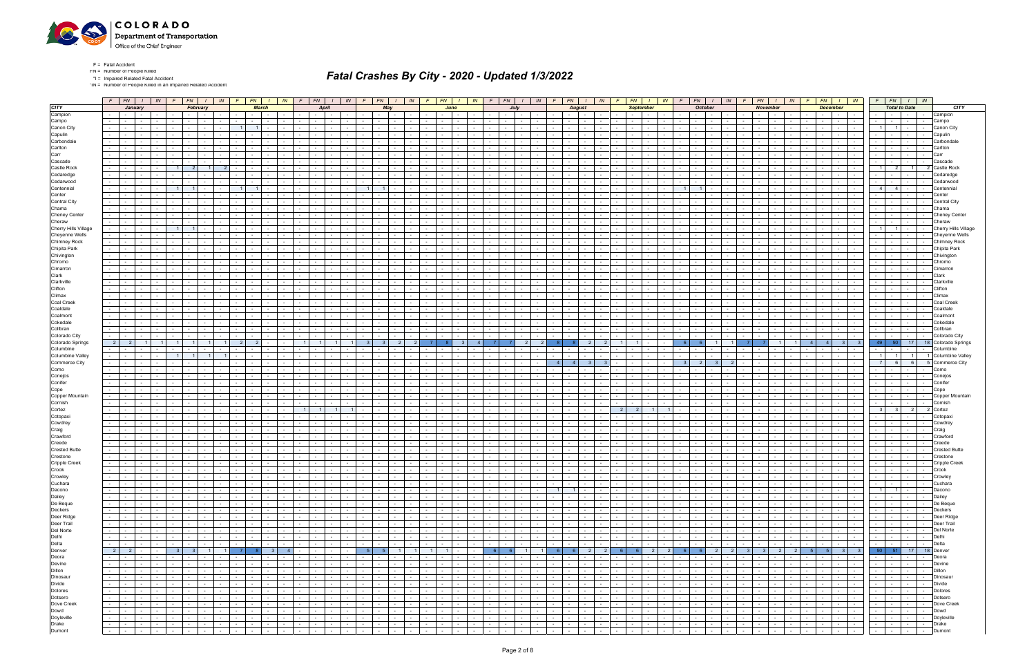

F = Fatal Accident FN = Number of People Killed

\*I = Impaired Related Fatal Accident

\*IN = Number of People Killed in an Impaired Related Accident

|                               |                  | $F$   $FN$   $I$                             |                               | IN                                            |                                    | $FN$ $1$ $1$ $N$               |                        |                             |              | $FN$ $I$ $IN$                                                                                                                                                                                                                        |        | $F \mid FN$<br>$I$ IN                                                                    |                              |                 | $FN$ $I$ $IN$                  |                             | FN   I                                                                                                                                                                                                                               | IN              |                                                                                                                                                                                                                                      | $F$   $FN$   $I$   $IN$ |                                     | F.                                       | FN   I<br>IN I                                                                                                                                                                                                                |                             | $FN$   $1$                                                                                                           | IN .                                       |                         | $FN$   $I$   $IN$                              |          | $FN$ $1$                                                                                                                                                                                                                                             | IN                       |                            | $FN$ $1$        |                                                                                                                                                                                                                                                                           | IN     | $FN$ $I$ $IN$                                                                                                                            |                                 |
|-------------------------------|------------------|----------------------------------------------|-------------------------------|-----------------------------------------------|------------------------------------|--------------------------------|------------------------|-----------------------------|--------------|--------------------------------------------------------------------------------------------------------------------------------------------------------------------------------------------------------------------------------------|--------|------------------------------------------------------------------------------------------|------------------------------|-----------------|--------------------------------|-----------------------------|--------------------------------------------------------------------------------------------------------------------------------------------------------------------------------------------------------------------------------------|-----------------|--------------------------------------------------------------------------------------------------------------------------------------------------------------------------------------------------------------------------------------|-------------------------|-------------------------------------|------------------------------------------|-------------------------------------------------------------------------------------------------------------------------------------------------------------------------------------------------------------------------------|-----------------------------|----------------------------------------------------------------------------------------------------------------------|--------------------------------------------|-------------------------|------------------------------------------------|----------|------------------------------------------------------------------------------------------------------------------------------------------------------------------------------------------------------------------------------------------------------|--------------------------|----------------------------|-----------------|---------------------------------------------------------------------------------------------------------------------------------------------------------------------------------------------------------------------------------------------------------------------------|--------|------------------------------------------------------------------------------------------------------------------------------------------|---------------------------------|
| <b>CITY</b>                   |                  | January                                      |                               |                                               |                                    | February                       |                        |                             | <b>March</b> |                                                                                                                                                                                                                                      |        | April                                                                                    |                              | May             |                                |                             | June                                                                                                                                                                                                                                 |                 |                                                                                                                                                                                                                                      | July                    |                                     |                                          | <b>August</b>                                                                                                                                                                                                                 |                             | <b>September</b>                                                                                                     |                                            |                         | <b>October</b>                                 |          | <b>November</b>                                                                                                                                                                                                                                      |                          |                            | <b>December</b> |                                                                                                                                                                                                                                                                           |        | <b>Total to Date</b>                                                                                                                     | <b>CITY</b>                     |
| Campion                       |                  | $\sim$ $-$                                   | $\sim$                        |                                               |                                    |                                |                        |                             |              | $\sim$                                                                                                                                                                                                                               |        | $\sim$                                                                                   |                              |                 | $\sim 10^{-11}$                |                             |                                                                                                                                                                                                                                      |                 |                                                                                                                                                                                                                                      | $\sim$ $-$              |                                     |                                          | <b>Service</b> State                                                                                                                                                                                                          |                             | <b>Service</b>                                                                                                       | $\sim$                                     |                         | $\sim$                                         |          | $\sim$ $-$                                                                                                                                                                                                                                           |                          |                            | $\sim$          | <b>Service</b>                                                                                                                                                                                                                                                            | $\sim$ | $\sim$<br>$\sim$ 100 $\mu$<br>$\sim$                                                                                                     | Campion                         |
| Campo                         | $\sim$           | $\sim$                                       | $\sim$                        |                                               |                                    |                                |                        |                             |              |                                                                                                                                                                                                                                      |        | $\sim$                                                                                   |                              | $\sim$          |                                |                             |                                                                                                                                                                                                                                      |                 |                                                                                                                                                                                                                                      |                         |                                     |                                          |                                                                                                                                                                                                                               |                             |                                                                                                                      |                                            |                         |                                                |          |                                                                                                                                                                                                                                                      |                          |                            |                 | $\sim$                                                                                                                                                                                                                                                                    | $\sim$ | $\sim$<br>$\sim$<br>$\sim$                                                                                                               | Campo                           |
| Canon City                    | $\sim$           |                                              |                               |                                               |                                    |                                |                        |                             | $\mathbf{1}$ |                                                                                                                                                                                                                                      |        | $\sim$                                                                                   |                              | $\sim$          |                                |                             |                                                                                                                                                                                                                                      |                 |                                                                                                                                                                                                                                      |                         |                                     |                                          |                                                                                                                                                                                                                               |                             |                                                                                                                      |                                            |                         |                                                |          |                                                                                                                                                                                                                                                      |                          |                            |                 |                                                                                                                                                                                                                                                                           | $\sim$ |                                                                                                                                          | Canon City                      |
| Capulin                       |                  |                                              |                               |                                               |                                    |                                |                        |                             |              |                                                                                                                                                                                                                                      |        |                                                                                          |                              |                 |                                |                             |                                                                                                                                                                                                                                      |                 |                                                                                                                                                                                                                                      |                         |                                     |                                          |                                                                                                                                                                                                                               |                             |                                                                                                                      |                                            |                         |                                                |          |                                                                                                                                                                                                                                                      |                          |                            |                 |                                                                                                                                                                                                                                                                           |        |                                                                                                                                          | Capulir                         |
| Carbondale                    |                  |                                              |                               |                                               |                                    |                                |                        |                             |              |                                                                                                                                                                                                                                      |        |                                                                                          |                              |                 |                                |                             |                                                                                                                                                                                                                                      |                 |                                                                                                                                                                                                                                      |                         |                                     |                                          |                                                                                                                                                                                                                               |                             |                                                                                                                      |                                            |                         |                                                |          |                                                                                                                                                                                                                                                      |                          |                            |                 |                                                                                                                                                                                                                                                                           |        |                                                                                                                                          | Carbondal                       |
| Carlton                       |                  |                                              |                               |                                               |                                    |                                |                        |                             |              |                                                                                                                                                                                                                                      |        |                                                                                          |                              |                 |                                |                             |                                                                                                                                                                                                                                      |                 |                                                                                                                                                                                                                                      |                         |                                     |                                          |                                                                                                                                                                                                                               |                             |                                                                                                                      |                                            |                         |                                                |          |                                                                                                                                                                                                                                                      |                          |                            |                 |                                                                                                                                                                                                                                                                           |        |                                                                                                                                          |                                 |
| Carr                          |                  |                                              |                               |                                               |                                    |                                |                        |                             |              |                                                                                                                                                                                                                                      |        |                                                                                          |                              |                 |                                |                             |                                                                                                                                                                                                                                      |                 |                                                                                                                                                                                                                                      |                         |                                     |                                          |                                                                                                                                                                                                                               |                             |                                                                                                                      |                                            |                         |                                                |          |                                                                                                                                                                                                                                                      |                          |                            |                 |                                                                                                                                                                                                                                                                           |        |                                                                                                                                          |                                 |
| Cascade                       |                  |                                              |                               |                                               |                                    |                                |                        |                             |              |                                                                                                                                                                                                                                      |        |                                                                                          |                              |                 |                                |                             |                                                                                                                                                                                                                                      |                 |                                                                                                                                                                                                                                      |                         |                                     |                                          |                                                                                                                                                                                                                               |                             |                                                                                                                      |                                            |                         |                                                |          |                                                                                                                                                                                                                                                      |                          |                            |                 |                                                                                                                                                                                                                                                                           |        |                                                                                                                                          | Cascade                         |
| Castle Rock                   | $\sim$           |                                              |                               |                                               |                                    | $\mathcal{P}$                  |                        |                             |              |                                                                                                                                                                                                                                      |        |                                                                                          |                              |                 |                                |                             |                                                                                                                                                                                                                                      |                 |                                                                                                                                                                                                                                      |                         |                                     |                                          |                                                                                                                                                                                                                               |                             |                                                                                                                      |                                            |                         |                                                |          |                                                                                                                                                                                                                                                      |                          |                            |                 |                                                                                                                                                                                                                                                                           |        | 11                                                                                                                                       |                                 |
| Cedaredge<br>Cedarwood        | $\sim$           |                                              |                               |                                               |                                    |                                |                        |                             |              |                                                                                                                                                                                                                                      |        |                                                                                          |                              |                 |                                |                             |                                                                                                                                                                                                                                      |                 |                                                                                                                                                                                                                                      |                         |                                     |                                          |                                                                                                                                                                                                                               |                             |                                                                                                                      |                                            |                         |                                                |          |                                                                                                                                                                                                                                                      |                          |                            |                 |                                                                                                                                                                                                                                                                           |        |                                                                                                                                          | Cedarwooc                       |
| Centennial                    | $\sim$           |                                              |                               |                                               | 11                                 | 1 <sup>1</sup>                 |                        |                             |              |                                                                                                                                                                                                                                      |        |                                                                                          |                              |                 |                                |                             |                                                                                                                                                                                                                                      |                 |                                                                                                                                                                                                                                      |                         |                                     |                                          |                                                                                                                                                                                                                               |                             |                                                                                                                      |                                            | 1 <sup>1</sup>          | 11                                             |          |                                                                                                                                                                                                                                                      |                          |                            |                 |                                                                                                                                                                                                                                                                           |        | $\overline{4}$                                                                                                                           |                                 |
| Center                        |                  |                                              |                               |                                               |                                    |                                |                        |                             |              |                                                                                                                                                                                                                                      |        |                                                                                          |                              |                 |                                |                             |                                                                                                                                                                                                                                      |                 |                                                                                                                                                                                                                                      |                         |                                     |                                          |                                                                                                                                                                                                                               |                             |                                                                                                                      |                                            |                         |                                                |          |                                                                                                                                                                                                                                                      |                          |                            |                 |                                                                                                                                                                                                                                                                           |        |                                                                                                                                          |                                 |
| <b>Central City</b>           |                  |                                              |                               |                                               |                                    |                                |                        |                             |              |                                                                                                                                                                                                                                      |        |                                                                                          |                              |                 |                                |                             |                                                                                                                                                                                                                                      |                 |                                                                                                                                                                                                                                      |                         |                                     |                                          |                                                                                                                                                                                                                               |                             |                                                                                                                      |                                            |                         |                                                |          |                                                                                                                                                                                                                                                      |                          |                            |                 |                                                                                                                                                                                                                                                                           |        |                                                                                                                                          | Central City                    |
| Chama                         |                  |                                              | $\sim$                        |                                               |                                    |                                |                        |                             |              |                                                                                                                                                                                                                                      |        |                                                                                          |                              |                 |                                |                             |                                                                                                                                                                                                                                      |                 |                                                                                                                                                                                                                                      |                         |                                     |                                          |                                                                                                                                                                                                                               |                             |                                                                                                                      |                                            |                         |                                                |          |                                                                                                                                                                                                                                                      |                          |                            |                 |                                                                                                                                                                                                                                                                           | $\sim$ | $\sim$                                                                                                                                   | Chama                           |
| <b>Cheney Center</b>          |                  |                                              |                               |                                               |                                    |                                |                        |                             |              |                                                                                                                                                                                                                                      |        |                                                                                          |                              |                 |                                |                             |                                                                                                                                                                                                                                      |                 |                                                                                                                                                                                                                                      |                         |                                     |                                          |                                                                                                                                                                                                                               |                             |                                                                                                                      |                                            |                         |                                                |          |                                                                                                                                                                                                                                                      |                          |                            |                 |                                                                                                                                                                                                                                                                           |        |                                                                                                                                          | <b>Cheney Center</b>            |
| Cheraw                        | $\sim 100$       | $\sim$                                       |                               |                                               |                                    |                                |                        |                             |              |                                                                                                                                                                                                                                      |        |                                                                                          |                              |                 |                                |                             |                                                                                                                                                                                                                                      |                 |                                                                                                                                                                                                                                      |                         |                                     |                                          |                                                                                                                                                                                                                               |                             |                                                                                                                      |                                            |                         |                                                |          |                                                                                                                                                                                                                                                      |                          |                            |                 |                                                                                                                                                                                                                                                                           |        |                                                                                                                                          | Cheraw                          |
| Cherry Hills Village          |                  |                                              |                               |                                               |                                    |                                |                        |                             |              |                                                                                                                                                                                                                                      |        |                                                                                          |                              |                 |                                |                             |                                                                                                                                                                                                                                      |                 |                                                                                                                                                                                                                                      |                         |                                     |                                          |                                                                                                                                                                                                                               |                             |                                                                                                                      |                                            |                         |                                                |          |                                                                                                                                                                                                                                                      |                          |                            |                 |                                                                                                                                                                                                                                                                           |        |                                                                                                                                          | Cherry Hills Villag             |
| Cheyenne Wells                | $\sim 100$       |                                              |                               |                                               |                                    |                                |                        |                             |              |                                                                                                                                                                                                                                      |        |                                                                                          |                              |                 |                                |                             |                                                                                                                                                                                                                                      |                 |                                                                                                                                                                                                                                      |                         |                                     |                                          |                                                                                                                                                                                                                               |                             |                                                                                                                      |                                            |                         |                                                |          |                                                                                                                                                                                                                                                      |                          |                            |                 |                                                                                                                                                                                                                                                                           |        |                                                                                                                                          | Chevenne Well                   |
| <b>Chimney Rock</b>           | $\sim$           |                                              |                               |                                               |                                    |                                |                        |                             |              |                                                                                                                                                                                                                                      |        |                                                                                          |                              |                 |                                |                             |                                                                                                                                                                                                                                      |                 |                                                                                                                                                                                                                                      |                         |                                     |                                          |                                                                                                                                                                                                                               |                             |                                                                                                                      |                                            |                         |                                                |          |                                                                                                                                                                                                                                                      |                          |                            |                 |                                                                                                                                                                                                                                                                           |        |                                                                                                                                          | Chimney Rock                    |
| Chipita Park                  | $\sim$           |                                              |                               |                                               |                                    |                                |                        |                             |              |                                                                                                                                                                                                                                      |        |                                                                                          |                              |                 |                                |                             |                                                                                                                                                                                                                                      |                 |                                                                                                                                                                                                                                      |                         |                                     |                                          |                                                                                                                                                                                                                               |                             |                                                                                                                      |                                            |                         |                                                |          |                                                                                                                                                                                                                                                      |                          |                            |                 |                                                                                                                                                                                                                                                                           |        |                                                                                                                                          | Chipita Park                    |
| Chivington                    | $\sim$           |                                              |                               |                                               |                                    |                                |                        |                             |              |                                                                                                                                                                                                                                      |        |                                                                                          |                              |                 |                                |                             |                                                                                                                                                                                                                                      |                 |                                                                                                                                                                                                                                      |                         |                                     |                                          |                                                                                                                                                                                                                               |                             |                                                                                                                      |                                            |                         |                                                |          |                                                                                                                                                                                                                                                      |                          |                            |                 |                                                                                                                                                                                                                                                                           |        |                                                                                                                                          | Chivinator                      |
| Chromo<br>Cimarron            | $\sim$<br>$\sim$ |                                              |                               |                                               |                                    |                                |                        |                             |              |                                                                                                                                                                                                                                      |        |                                                                                          |                              |                 |                                |                             |                                                                                                                                                                                                                                      |                 |                                                                                                                                                                                                                                      |                         |                                     |                                          |                                                                                                                                                                                                                               |                             |                                                                                                                      |                                            |                         |                                                |          |                                                                                                                                                                                                                                                      |                          |                            |                 |                                                                                                                                                                                                                                                                           |        |                                                                                                                                          | Chromo                          |
| Clark                         | $\sim$           |                                              |                               |                                               |                                    |                                |                        |                             |              |                                                                                                                                                                                                                                      |        |                                                                                          |                              |                 |                                |                             |                                                                                                                                                                                                                                      |                 |                                                                                                                                                                                                                                      |                         |                                     |                                          |                                                                                                                                                                                                                               |                             |                                                                                                                      |                                            |                         |                                                |          |                                                                                                                                                                                                                                                      |                          |                            |                 |                                                                                                                                                                                                                                                                           |        |                                                                                                                                          |                                 |
| Clarkville                    | $\sim$           |                                              |                               |                                               |                                    |                                |                        |                             |              |                                                                                                                                                                                                                                      |        |                                                                                          |                              |                 |                                |                             |                                                                                                                                                                                                                                      |                 |                                                                                                                                                                                                                                      |                         |                                     |                                          |                                                                                                                                                                                                                               |                             |                                                                                                                      |                                            |                         |                                                |          |                                                                                                                                                                                                                                                      |                          |                            |                 |                                                                                                                                                                                                                                                                           |        |                                                                                                                                          | Clarkvill⊦                      |
| Clifton                       |                  |                                              |                               |                                               |                                    |                                |                        |                             |              |                                                                                                                                                                                                                                      |        |                                                                                          |                              |                 |                                |                             |                                                                                                                                                                                                                                      |                 |                                                                                                                                                                                                                                      |                         |                                     |                                          |                                                                                                                                                                                                                               |                             |                                                                                                                      |                                            |                         |                                                |          |                                                                                                                                                                                                                                                      |                          |                            |                 |                                                                                                                                                                                                                                                                           |        |                                                                                                                                          | Cliftor                         |
| Climax                        | $\sim$           |                                              |                               |                                               |                                    |                                |                        |                             |              |                                                                                                                                                                                                                                      |        |                                                                                          |                              | $\sim$          |                                |                             |                                                                                                                                                                                                                                      |                 |                                                                                                                                                                                                                                      |                         |                                     |                                          |                                                                                                                                                                                                                               |                             |                                                                                                                      |                                            |                         |                                                |          |                                                                                                                                                                                                                                                      |                          |                            |                 |                                                                                                                                                                                                                                                                           |        |                                                                                                                                          |                                 |
| Coal Creek                    |                  |                                              |                               |                                               |                                    |                                |                        |                             |              |                                                                                                                                                                                                                                      |        |                                                                                          |                              |                 |                                |                             |                                                                                                                                                                                                                                      |                 |                                                                                                                                                                                                                                      |                         |                                     |                                          |                                                                                                                                                                                                                               |                             |                                                                                                                      |                                            |                         |                                                |          |                                                                                                                                                                                                                                                      |                          |                            |                 |                                                                                                                                                                                                                                                                           |        |                                                                                                                                          |                                 |
| Coaldale                      |                  |                                              |                               |                                               |                                    |                                |                        |                             |              |                                                                                                                                                                                                                                      |        |                                                                                          |                              |                 |                                |                             |                                                                                                                                                                                                                                      |                 |                                                                                                                                                                                                                                      |                         |                                     |                                          |                                                                                                                                                                                                                               |                             |                                                                                                                      |                                            |                         |                                                |          |                                                                                                                                                                                                                                                      |                          |                            |                 |                                                                                                                                                                                                                                                                           |        |                                                                                                                                          |                                 |
| Coalmont                      | $\sim$           |                                              |                               |                                               |                                    |                                |                        |                             |              |                                                                                                                                                                                                                                      |        |                                                                                          |                              | $\sim$          |                                |                             |                                                                                                                                                                                                                                      |                 |                                                                                                                                                                                                                                      |                         |                                     |                                          |                                                                                                                                                                                                                               |                             |                                                                                                                      |                                            |                         |                                                |          |                                                                                                                                                                                                                                                      |                          |                            |                 |                                                                                                                                                                                                                                                                           |        |                                                                                                                                          |                                 |
| Cokedale                      |                  |                                              |                               |                                               |                                    |                                |                        |                             |              |                                                                                                                                                                                                                                      |        |                                                                                          |                              |                 |                                |                             |                                                                                                                                                                                                                                      |                 |                                                                                                                                                                                                                                      |                         |                                     |                                          |                                                                                                                                                                                                                               |                             |                                                                                                                      |                                            |                         |                                                |          |                                                                                                                                                                                                                                                      |                          |                            |                 |                                                                                                                                                                                                                                                                           |        |                                                                                                                                          |                                 |
| Collbran                      |                  |                                              |                               |                                               |                                    |                                |                        |                             |              |                                                                                                                                                                                                                                      |        |                                                                                          |                              |                 |                                |                             |                                                                                                                                                                                                                                      |                 |                                                                                                                                                                                                                                      |                         |                                     |                                          |                                                                                                                                                                                                                               |                             |                                                                                                                      |                                            |                         |                                                |          |                                                                                                                                                                                                                                                      |                          |                            |                 |                                                                                                                                                                                                                                                                           |        | $\sim$                                                                                                                                   |                                 |
| Colorado City                 | $\sim$ 10 $\pm$  |                                              |                               |                                               |                                    |                                |                        |                             |              |                                                                                                                                                                                                                                      |        |                                                                                          |                              |                 |                                |                             |                                                                                                                                                                                                                                      |                 |                                                                                                                                                                                                                                      |                         |                                     |                                          |                                                                                                                                                                                                                               |                             |                                                                                                                      |                                            |                         |                                                |          |                                                                                                                                                                                                                                                      |                          |                            |                 |                                                                                                                                                                                                                                                                           |        |                                                                                                                                          | Colorado City                   |
| Colorado Springs              | $\vert$ 2        |                                              |                               |                                               |                                    |                                |                        |                             |              |                                                                                                                                                                                                                                      |        |                                                                                          |                              |                 |                                |                             |                                                                                                                                                                                                                                      |                 |                                                                                                                                                                                                                                      | $\mathcal{P}$           |                                     |                                          |                                                                                                                                                                                                                               |                             |                                                                                                                      |                                            |                         |                                                |          |                                                                                                                                                                                                                                                      |                          |                            |                 |                                                                                                                                                                                                                                                                           |        | 49<br>17<br>- 50                                                                                                                         | 18 Colorado Springs             |
| Columbine<br>Columbine Valley | $\sim 100$       |                                              | $\sim$                        |                                               |                                    |                                |                        |                             |              |                                                                                                                                                                                                                                      |        |                                                                                          |                              | $\sim$          |                                |                             |                                                                                                                                                                                                                                      |                 |                                                                                                                                                                                                                                      |                         |                                     |                                          |                                                                                                                                                                                                                               |                             |                                                                                                                      |                                            |                         |                                                |          |                                                                                                                                                                                                                                                      |                          |                            |                 |                                                                                                                                                                                                                                                                           | $\sim$ | $\sim$<br>$1 \mid$                                                                                                                       | Columbine<br>1 Columbine Valley |
| Commerce City                 |                  |                                              |                               |                                               |                                    |                                |                        |                             |              |                                                                                                                                                                                                                                      |        |                                                                                          |                              |                 |                                |                             |                                                                                                                                                                                                                                      |                 |                                                                                                                                                                                                                                      |                         |                                     |                                          |                                                                                                                                                                                                                               |                             |                                                                                                                      |                                            |                         |                                                |          |                                                                                                                                                                                                                                                      |                          |                            |                 |                                                                                                                                                                                                                                                                           |        | $6 \mid$<br>$6 \overline{6}$                                                                                                             | 5 Commerce City                 |
| Como                          |                  |                                              |                               |                                               |                                    |                                |                        |                             |              |                                                                                                                                                                                                                                      |        |                                                                                          |                              |                 |                                |                             |                                                                                                                                                                                                                                      |                 |                                                                                                                                                                                                                                      |                         |                                     |                                          |                                                                                                                                                                                                                               |                             |                                                                                                                      |                                            |                         |                                                |          |                                                                                                                                                                                                                                                      |                          |                            |                 |                                                                                                                                                                                                                                                                           |        |                                                                                                                                          | Como                            |
| Conejos                       | $\sim$           |                                              | $\sim$                        |                                               |                                    |                                |                        |                             |              |                                                                                                                                                                                                                                      |        |                                                                                          |                              | $\sim$          |                                |                             |                                                                                                                                                                                                                                      |                 |                                                                                                                                                                                                                                      |                         |                                     |                                          | $\sim$                                                                                                                                                                                                                        |                             |                                                                                                                      |                                            |                         |                                                |          |                                                                                                                                                                                                                                                      |                          |                            |                 |                                                                                                                                                                                                                                                                           | $\sim$ | $\sim$<br><b>Service</b><br>$\sim$                                                                                                       | Conejos                         |
| Conifer                       |                  |                                              |                               |                                               |                                    |                                |                        |                             |              |                                                                                                                                                                                                                                      |        |                                                                                          |                              |                 |                                |                             |                                                                                                                                                                                                                                      |                 |                                                                                                                                                                                                                                      |                         |                                     |                                          |                                                                                                                                                                                                                               |                             |                                                                                                                      |                                            |                         |                                                |          |                                                                                                                                                                                                                                                      |                          |                            |                 |                                                                                                                                                                                                                                                                           |        |                                                                                                                                          | Conife                          |
| Cope                          | $\sim$           |                                              |                               |                                               |                                    |                                |                        |                             |              |                                                                                                                                                                                                                                      |        |                                                                                          |                              |                 |                                |                             |                                                                                                                                                                                                                                      |                 |                                                                                                                                                                                                                                      |                         |                                     |                                          |                                                                                                                                                                                                                               |                             |                                                                                                                      |                                            |                         |                                                |          |                                                                                                                                                                                                                                                      |                          |                            |                 | $\sim$                                                                                                                                                                                                                                                                    |        | $\sim$                                                                                                                                   | Cope                            |
| Copper Mountain               |                  |                                              |                               |                                               |                                    |                                |                        |                             |              |                                                                                                                                                                                                                                      |        |                                                                                          |                              |                 |                                |                             |                                                                                                                                                                                                                                      |                 |                                                                                                                                                                                                                                      |                         |                                     |                                          |                                                                                                                                                                                                                               |                             |                                                                                                                      |                                            |                         |                                                |          |                                                                                                                                                                                                                                                      |                          |                            |                 |                                                                                                                                                                                                                                                                           |        |                                                                                                                                          | Copper Mountain                 |
| Cornish                       | $\sim$           |                                              |                               |                                               |                                    |                                |                        |                             |              |                                                                                                                                                                                                                                      |        |                                                                                          |                              |                 |                                |                             |                                                                                                                                                                                                                                      |                 |                                                                                                                                                                                                                                      |                         |                                     |                                          |                                                                                                                                                                                                                               |                             |                                                                                                                      |                                            |                         |                                                |          |                                                                                                                                                                                                                                                      |                          |                            |                 |                                                                                                                                                                                                                                                                           |        |                                                                                                                                          | Cornist                         |
| Cortez                        | $\sim$           |                                              |                               |                                               |                                    |                                |                        |                             |              |                                                                                                                                                                                                                                      |        |                                                                                          |                              |                 |                                |                             |                                                                                                                                                                                                                                      |                 |                                                                                                                                                                                                                                      |                         |                                     |                                          |                                                                                                                                                                                                                               |                             | 2                                                                                                                    |                                            |                         |                                                |          |                                                                                                                                                                                                                                                      |                          |                            |                 |                                                                                                                                                                                                                                                                           |        | 2 <sup>1</sup><br>3 <sup>1</sup>                                                                                                         | 2 Cortez                        |
| Cotopaxi                      | $\sim$           |                                              |                               |                                               |                                    |                                |                        |                             |              |                                                                                                                                                                                                                                      |        |                                                                                          |                              |                 |                                |                             |                                                                                                                                                                                                                                      |                 |                                                                                                                                                                                                                                      |                         |                                     |                                          |                                                                                                                                                                                                                               |                             |                                                                                                                      |                                            |                         |                                                |          |                                                                                                                                                                                                                                                      |                          |                            |                 |                                                                                                                                                                                                                                                                           |        |                                                                                                                                          | Cotopax                         |
| Cowdrey                       |                  |                                              |                               |                                               |                                    |                                |                        |                             |              |                                                                                                                                                                                                                                      |        |                                                                                          |                              |                 |                                |                             |                                                                                                                                                                                                                                      |                 |                                                                                                                                                                                                                                      |                         |                                     |                                          |                                                                                                                                                                                                                               |                             |                                                                                                                      |                                            |                         |                                                |          |                                                                                                                                                                                                                                                      |                          |                            |                 |                                                                                                                                                                                                                                                                           |        |                                                                                                                                          | Cowdre                          |
| Craig<br>Crawford             | $\sim$           |                                              |                               |                                               |                                    |                                |                        |                             |              |                                                                                                                                                                                                                                      |        |                                                                                          |                              |                 |                                |                             |                                                                                                                                                                                                                                      |                 |                                                                                                                                                                                                                                      |                         |                                     |                                          |                                                                                                                                                                                                                               |                             |                                                                                                                      |                                            |                         |                                                |          |                                                                                                                                                                                                                                                      |                          |                            |                 |                                                                                                                                                                                                                                                                           |        |                                                                                                                                          | Craid<br>Crawfor                |
| Creede                        |                  |                                              |                               |                                               |                                    |                                |                        |                             |              |                                                                                                                                                                                                                                      |        |                                                                                          |                              |                 |                                |                             |                                                                                                                                                                                                                                      |                 |                                                                                                                                                                                                                                      |                         |                                     |                                          |                                                                                                                                                                                                                               |                             |                                                                                                                      |                                            |                         |                                                |          |                                                                                                                                                                                                                                                      |                          |                            |                 |                                                                                                                                                                                                                                                                           |        |                                                                                                                                          |                                 |
| <b>Crested Butte</b>          |                  |                                              |                               |                                               |                                    |                                |                        |                             |              |                                                                                                                                                                                                                                      |        |                                                                                          |                              |                 |                                |                             |                                                                                                                                                                                                                                      |                 |                                                                                                                                                                                                                                      |                         |                                     |                                          |                                                                                                                                                                                                                               |                             |                                                                                                                      |                                            |                         |                                                |          |                                                                                                                                                                                                                                                      |                          |                            |                 |                                                                                                                                                                                                                                                                           |        |                                                                                                                                          | Crested Butte                   |
| Crestone                      |                  |                                              |                               |                                               |                                    |                                |                        |                             |              |                                                                                                                                                                                                                                      |        |                                                                                          |                              |                 |                                |                             |                                                                                                                                                                                                                                      |                 |                                                                                                                                                                                                                                      |                         |                                     |                                          |                                                                                                                                                                                                                               |                             |                                                                                                                      |                                            |                         |                                                |          |                                                                                                                                                                                                                                                      |                          |                            |                 |                                                                                                                                                                                                                                                                           |        |                                                                                                                                          |                                 |
| <b>Cripple Creek</b>          | $\sim$           |                                              | $\sim$                        |                                               |                                    |                                |                        |                             |              | $\sim$                                                                                                                                                                                                                               |        | $\sim$<br>$\sim$                                                                         |                              | $\sim$          | $\sim$                         |                             |                                                                                                                                                                                                                                      |                 | $\sim$                                                                                                                                                                                                                               | $\sim$                  |                                     | $\sim$<br>$\sim$                         | $\sim$                                                                                                                                                                                                                        |                             | $\sim$                                                                                                               |                                            |                         |                                                |          | $\sim$                                                                                                                                                                                                                                               |                          |                            | $\sim$          | $\sim$                                                                                                                                                                                                                                                                    | $\sim$ | $\sim$<br>$\sim$<br>$\sim$                                                                                                               | Cripple Creel                   |
| Crook                         | $\sim$ 10 $\pm$  | $\sim$ $-$                                   | $\sim$                        |                                               |                                    |                                |                        |                             |              |                                                                                                                                                                                                                                      | $\sim$ | $\sim$                                                                                   |                              | $\sim$          |                                |                             |                                                                                                                                                                                                                                      |                 |                                                                                                                                                                                                                                      | $\sim$                  |                                     | $\sim$                                   | $\sim$                                                                                                                                                                                                                        | $\sim$                      |                                                                                                                      |                                            |                         |                                                |          | $\sim$                                                                                                                                                                                                                                               |                          |                            |                 |                                                                                                                                                                                                                                                                           |        | $\sim$                                                                                                                                   | Crook                           |
| Crowley                       |                  |                                              |                               |                                               |                                    | $\sim$ $-$                     |                        |                             |              | .                                                                                                                                                                                                                                    |        | <b>Contract Contract Contract</b>                                                        |                              |                 | $1 - 1 - 1$                    |                             |                                                                                                                                                                                                                                      |                 |                                                                                                                                                                                                                                      |                         |                                     |                                          |                                                                                                                                                                                                                               | $\sim$                      | $1 - 1 - 1$                                                                                                          | والمسال                                    | $\sim$ $-$              | the contract the contract of the con-          |          |                                                                                                                                                                                                                                                      |                          | the contract of            |                 | $1 - 1 - 1$                                                                                                                                                                                                                                                               |        | .                                                                                                                                        | Crowley                         |
| Cuchara                       | $\sim$           | $\sim 100$                                   | $\sim$                        | <b>Contract Contract</b>                      |                                    | $\sim$ 100 $\mu$<br>$\sim$ $-$ | $\mathbf{r}$           | $\sim$ $\sim$               | $\sim 100$   | and the co                                                                                                                                                                                                                           |        | and the contract of the con-<br>the contract of                                          | $\sim 100$ m $^{-1}$         | $\sim 10^{-11}$ | $\sim$ $\sim$ $\sim$ $\sim$    | $\sim$ $\sim$ $\sim$ $\sim$ | $-1 - 1$                                                                                                                                                                                                                             | $\sim 10^{-10}$ | <u> 1950 - Johann John Stone (</u>                                                                                                                                                                                                   |                         |                                     | $\sim$                                   | <b>Contract Contract</b><br><b>Contract Contract</b>                                                                                                                                                                          | $\mathcal{L}_{\mathcal{A}}$ | <b>Contract Contract</b>                                                                                             | $\sim$ $-$                                 |                         | .                                              | $-1 - 1$ |                                                                                                                                                                                                                                                      | <b>Contract Contract</b> | <b>Committee</b>           |                 | the contract                                                                                                                                                                                                                                                              |        | -   -   -   -   Cuchara                                                                                                                  |                                 |
| Dacono                        |                  | the contract of the con-                     | $\sim 100$                    |                                               |                                    |                                |                        |                             |              | .                                                                                                                                                                                                                                    |        | $         -$                                                                             |                              |                 | .                              |                             |                                                                                                                                                                                                                                      |                 |                                                                                                                                                                                                                                      |                         |                                     |                                          | $1 \quad 1 \quad - \quad -$                                                                                                                                                                                                   |                             | the contract of the con-                                                                                             | $1 - 1$                                    |                         | .                                              |          | <u>the community of the community of the community of the community of the community of the community of the community of the community of the community of the community of the community of the community of the community of </u>                 |                          |                            |                 | .                                                                                                                                                                                                                                                                         |        |                                                                                                                                          | Dacono                          |
| Dailey<br>De Beque            |                  | <b>Service</b> State<br><b>Second Second</b> | $\sim$ $-$<br>$\sim 100$      | <b>Contract Contract</b><br>المستقبل          | the contract of the contract of    |                                | <b>Service Control</b> |                             |              | the contract of the contract of the con-<br>- 1 - 1 - 1 - 1 - 1 - 1 - T - 7                                                                                                                                                          |        | <b>Contract Contract Contract</b><br>the contract of<br>the collection of the collection |                              |                 | and the characters of the con- |                             |                                                                                                                                                                                                                                      |                 | .                                                                                                                                                                                                                                    |                         |                                     | the contract of the con-                 | $\sim 100$ m $^{-1}$<br>1940   1941   1941   1942                                                                                                                                                                             |                             |                                                                                                                      | $-1 - 1 - 1 - 1 - 1$<br>.                  |                         | the contract of the contract of the con-       |          | $\sim$ $\sim$ $\sim$ $\sim$ $\sim$ $\sim$                                                                                                                                                                                                            |                          | and the state              |                 | 1. – 1. – 1<br>. <del>. .</del>                                                                                                                                                                                                                                           |        | $\overline{\cdot}$ $\overline{\cdot}$ $\overline{\cdot}$ $\overline{\cdot}$ $\overline{\cdot}$ De Beque                                  | Dailey                          |
| Deckers                       | $\sim 100$       | <b>Contract Contract</b>                     | $\sim 100$                    | $\sim$ 100 $\sim$                             | the contract of the contract of    | $\sim$ $-$                     |                        |                             |              |                                                                                                                                                                                                                                      |        | and the state<br>the contract of the con-                                                | the contract of              |                 |                                |                             |                                                                                                                                                                                                                                      | $\sim 10^{-1}$  | <b>Contract Contract Contract</b>                                                                                                                                                                                                    |                         | the contract of                     | $\sim 10^{-10}$                          | $\sim$ $\sim$ $\sim$ $\sim$ $\sim$<br>$\sim 10^{-10}$                                                                                                                                                                         | $\sim 10^{-11}$             | the contracts                                                                                                        | $\sim 10^{-10}$                            |                         |                                                |          |                                                                                                                                                                                                                                                      |                          | the contract of            |                 | .                                                                                                                                                                                                                                                                         |        | -   -   -   -   Deckers                                                                                                                  |                                 |
| Deer Ridge                    |                  | the contract of                              | $\sim$ $-$                    | $\sim 100$ m $^{-1}$                          | $\sim 100$                         | 1. – 1                         |                        | $\sim 10^{-11}$             |              | 1 - 1 - 1 - 1                                                                                                                                                                                                                        |        | <b>Contract Contract Contract</b>                                                        |                              |                 |                                |                             | .                                                                                                                                                                                                                                    |                 |                                                                                                                                                                                                                                      |                         |                                     | .                                        | <b>Contract</b>                                                                                                                                                                                                               |                             | $-1 - 1 - 1$                                                                                                         | $\sim$ $-$                                 |                         |                                                |          | .                                                                                                                                                                                                                                                    |                          | the contract of            |                 | 1. – 1. – 1                                                                                                                                                                                                                                                               |        | -   -   -   - Deer Ridge                                                                                                                 |                                 |
| Deer Trail                    |                  | .                                            |                               |                                               | .                                  |                                |                        |                             |              | the contract of the contract of the contract of the contract of the contract of the contract of the contract of the contract of the contract of the contract of the contract of the contract of the contract of the contract o       |        | $-1 - 1 - 1 - 1 - 1$                                                                     |                              |                 |                                |                             | . <del>. .</del>                                                                                                                                                                                                                     |                 |                                                                                                                                                                                                                                      |                         |                                     |                                          | - - - - - - -                                                                                                                                                                                                                 |                             |                                                                                                                      | - 1 - 1 - 1 - 1                            |                         |                                                |          | <b>Telling Line Hotel</b>                                                                                                                                                                                                                            |                          |                            |                 | . <del>. .</del>                                                                                                                                                                                                                                                          |        | Deer Trail                                                                                                                               |                                 |
| Del Norte                     |                  | the contract of                              | $\sim 100$                    | <b>Contract Contract</b>                      | the contract of the contract of    |                                |                        |                             |              | .                                                                                                                                                                                                                                    |        | and the state<br>the contract of                                                         | and the state                |                 |                                |                             |                                                                                                                                                                                                                                      | $\sim 10^{-1}$  | and the contract                                                                                                                                                                                                                     |                         | <b>Contract Contract</b>            | $\sim 10^{-10}$                          | and the state<br>1 - 1                                                                                                                                                                                                        |                             | the contract of the con-                                                                                             | <b>Contract</b>                            |                         |                                                |          |                                                                                                                                                                                                                                                      |                          |                            | and the state   | 1. – 1. – 1                                                                                                                                                                                                                                                               |        | Del Norte                                                                                                                                |                                 |
| Delhi                         |                  | the contract of                              | $\sim 10^{-11}$               | <b>Contractor</b>                             | $\sim$ $\sim$ $\sim$ $\sim$        |                                |                        |                             |              | रामानामानाम                                                                                                                                                                                                                          |        | the contract of                                                                          |                              |                 | .                              |                             |                                                                                                                                                                                                                                      |                 |                                                                                                                                                                                                                                      |                         |                                     |                                          |                                                                                                                                                                                                                               |                             | the contract of the contract of the con-                                                                             | $\mathbf{I}$ and $\mathbf{I}$              |                         |                                                |          |                                                                                                                                                                                                                                                      |                          | and the state              |                 | 1. – 1. – 1                                                                                                                                                                                                                                                               |        | $-1 - 1 - 1 - 1 -$                                                                                                                       | Delhi                           |
| Delta                         |                  | $-1 - 1 = 1$                                 | $\sim 10^{-11}$               | <b>Contract</b>                               | $-1 - 1$                           |                                | <b>Service Control</b> |                             |              |                                                                                                                                                                                                                                      |        | $-1 - 1 - 1$<br>and the control                                                          |                              |                 |                                |                             | the contract of the contract of the contract of the contract of the contract of the contract of the contract of the contract of the contract of the contract of the contract of the contract of the contract of the contract o       |                 | $\sim$ 1.0 $\sim$ 1.0 $\sim$ 1.0 $\sim$                                                                                                                                                                                              |                         |                                     | the contract of the contract of the con- | $\sim$ $\sim$ $\sim$                                                                                                                                                                                                          |                             | the contract of the contract of the con-                                                                             | <b>Contract Contract</b>                   |                         | the contract of the contract of the con-       |          | <u> Tanzania (h. 1878).</u><br>1905 - Johann Barnett, margaretar espainiar (h. 1870).<br>1906 - Johann Barnett, margaretar espainiar (h. 1880).                                                                                                      |                          | <b>Service</b> Service     |                 | and the state                                                                                                                                                                                                                                                             |        | $     -$                                                                                                                                 | Delta                           |
| Denver                        |                  | $2 \mid 2 \mid -$                            |                               | <b>Contract Contract</b>                      |                                    |                                |                        |                             |              |                                                                                                                                                                                                                                      |        | 3 3 1 1 7 8 3 4 - -<br>and the control                                                   |                              |                 | $5$ 5 1 1 1 1 1 $-$            |                             |                                                                                                                                                                                                                                      |                 |                                                                                                                                                                                                                                      |                         |                                     |                                          | 6 6 1 1 6 6 2 2                                                                                                                                                                                                               |                             |                                                                                                                      |                                            | 6 6 2 2 6 6 2 2 3 3 2 2 |                                                |          |                                                                                                                                                                                                                                                      |                          |                            |                 | $5 \mid 5 \mid 3 \mid 3$                                                                                                                                                                                                                                                  |        | 50 51 17 18 Denver                                                                                                                       |                                 |
| Deora                         |                  | the contract of                              | $\sim 10^{-11}$               | <b>Contract</b>                               | the contract of the con-           |                                | the contract of the    |                             |              |                                                                                                                                                                                                                                      |        | the contract of<br>the contract of                                                       |                              |                 | .                              | $\sim$ $\sim$ $\sim$ $\sim$ | the contract of the contract of                                                                                                                                                                                                      | $\sim 10^{-1}$  | $\sim$ $\sim$ $\sim$ $\sim$                                                                                                                                                                                                          |                         | the contract of                     |                                          | .<br>$\sim$ $-$                                                                                                                                                                                                               |                             |                                                                                                                      | $-$ 1 $-$ 1 $-$ 1 $-$                      |                         | .                                              |          | .                                                                                                                                                                                                                                                    |                          | the contract of            |                 | .                                                                                                                                                                                                                                                                         |        |                                                                                                                                          | Deora                           |
| Devine                        |                  | the contract of                              | $\sim 10^{-11}$               | <b>Contract</b>                               |                                    |                                |                        |                             |              |                                                                                                                                                                                                                                      |        |                                                                                          |                              |                 | .                              |                             |                                                                                                                                                                                                                                      |                 | .                                                                                                                                                                                                                                    |                         |                                     |                                          | .<br>$\sim$ $-$                                                                                                                                                                                                               |                             | $-1 - 1 - 1 - 1 = 0$                                                                                                 | <b>Contract Contract</b>                   |                         |                                                |          |                                                                                                                                                                                                                                                      |                          | the contract of            |                 | 1. – 1. – 1                                                                                                                                                                                                                                                               |        | -   -   -   -   Devine                                                                                                                   |                                 |
| Dillon                        |                  | the contract of                              | $\sim 10^{-11}$               | <b>Contract Contract</b>                      | the contract of the contract of    |                                | $-1$ $-1$              | $\sim$ $\sim$ $\sim$        | $\sim$ $-$   | and the contract of the con-                                                                                                                                                                                                         |        | <b>Contract Contract Contract</b><br>the contract of                                     |                              |                 |                                |                             | .                                                                                                                                                                                                                                    | $\sim 10^{-1}$  | <b>Contract Contract Contract</b>                                                                                                                                                                                                    |                         | the contract of                     | $\sim 10^{-10}$                          | and the state of the state of<br><b>Contract Contract</b>                                                                                                                                                                     |                             |                                                                                                                      | the contract of the contract of the con-   |                         | .                                              |          |                                                                                                                                                                                                                                                      |                          | the contract of            |                 | the contract                                                                                                                                                                                                                                                              |        | चिका समिति हो।<br>जनसङ्ख्या                                                                                                              | Dillon                          |
| Dinosaur                      |                  | <b>Second Second</b>                         | $\sim 100$                    | $1 - 1$                                       |                                    |                                |                        |                             |              |                                                                                                                                                                                                                                      |        | and the state                                                                            |                              |                 |                                |                             |                                                                                                                                                                                                                                      |                 | the contract of the contract of the con-                                                                                                                                                                                             |                         |                                     |                                          | the control of the control of the control of the control of the control of the control of the control of the control of the control of the control of the control of the control of the control of the control of the control |                             | the contract of the contract of the<br>$\sim$ $\sim$ $\sim$                                                          | $T = -1$                                   |                         | the collection of the collection               |          | 55 July 1940<br><u>the community of the community of the community of the community of the community of the community of the community of the community of the community of the community of the community of the community of the community of </u> |                          |                            |                 | $\sim$ 1 $\sim$ 1 $\sim$ 1 $\sim$<br><u>the contract of the contract of the contract of the contract of the contract of the contract of the contract of the contract of the contract of the contract of the contract of the contract of the contract of the contract </u> |        | जिलामिक सामग्री                                                                                                                          | Dinosaur                        |
| Divide<br>Dolores             |                  | the contract of<br><b>Service Control</b>    | $\sim 100$<br>$\sim 10^{-11}$ | <b>Contractor</b><br><b>Contract Contract</b> | $\sim$ $\sim$ $\sim$ $\sim$ $\sim$ |                                |                        | $\sim$ $\sim$ $\sim$ $\sim$ |              | the contract of the con-                                                                                                                                                                                                             |        | <b>Contract Contract Contract</b><br>the contract of                                     |                              |                 |                                |                             | the contract of the contract of the contract of the contract of the contract of the contract of the contract of the contract of the contract of the contract of the contract of the contract of the contract of the contract o<br>.  | $\sim 10^{-1}$  | $-1 - 1 - 1$                                                                                                                                                                                                                         |                         | and the contract of the contract of | $\sim 10^{-10}$                          | $\sim$ $-$<br>and the state of the state of<br><b>Contract Contract</b>                                                                                                                                                       |                             |                                                                                                                      | .                                          | -   -   -   -   -       | .                                              |          | an bandar ba                                                                                                                                                                                                                                         |                          | the contract of            |                 | 1. – 1. – 1                                                                                                                                                                                                                                                               |        | and the state of the state of the state of the state of the state of the state of the state of the state of the<br>  .   .   .   Dolores | <b>Divide</b>                   |
| Dotsero                       |                  | <b>Second Second</b>                         | $\sim 100$                    | $\sim 100$ m $^{-1}$                          |                                    |                                |                        |                             |              | .                                                                                                                                                                                                                                    |        | 55 Julie 1960                                                                            |                              |                 | 75 March 1980                  |                             | . <del>. .</del>                                                                                                                                                                                                                     |                 | and the first first time                                                                                                                                                                                                             |                         |                                     |                                          |                                                                                                                                                                                                                               |                             |                                                                                                                      |                                            |                         |                                                |          |                                                                                                                                                                                                                                                      |                          |                            |                 |                                                                                                                                                                                                                                                                           |        | <u>जिलामा साम</u>                                                                                                                        | Dotsero                         |
| Dove Creek                    |                  | <b>Service</b> Service                       | $\sim$ $-$                    | المستقبل                                      |                                    |                                |                        |                             |              |                                                                                                                                                                                                                                      |        | <u>कारानमाञ्</u>                                                                         |                              |                 |                                |                             | <u>the community of the community of the community of the community of the community of the community of the community of the community of the community of the community of the community of the community of the community of </u> |                 | <u>the contract of the contract of the contract of the contract of the contract of the contract of the contract of the contract of the contract of the contract of the contract of the contract of the contract of the contract </u> |                         |                                     |                                          | the contract of the con-<br>I – I                                                                                                                                                                                             |                             |                                                                                                                      | <u> 1999 - Johann John Stone Barnett (</u> |                         | <u>and the state of the state of the state</u> |          | <u>the community of the community of the community of the community of the community of the community of the community of the community of the community of the community of the community of the community of the community of </u>                 |                          |                            |                 | <b>The Common</b>                                                                                                                                                                                                                                                         |        | -   -   -   <u>-</u> Dove Creek                                                                                                          |                                 |
| Dowd                          |                  | <b>Service</b> State                         | $\sim$                        |                                               | $\sim$ $\sim$ $\sim$ $\sim$ $\sim$ |                                |                        | $\sim$ $\sim$ $\sim$ $\sim$ |              | the contract of the con-                                                                                                                                                                                                             |        | the contract of<br>and the state                                                         |                              |                 |                                |                             |                                                                                                                                                                                                                                      | $\sim 10^{-1}$  | .                                                                                                                                                                                                                                    |                         |                                     |                                          | <b>Contract</b>                                                                                                                                                                                                               |                             | the contract of the contract of the                                                                                  | $\sim$ $-$                                 |                         | .                                              |          | .                                                                                                                                                                                                                                                    |                          | the contract of            |                 | and the state                                                                                                                                                                                                                                                             |        | - - - - - Dowd                                                                                                                           |                                 |
| Doyleville                    |                  | <b>Second Second</b>                         | $\sim$ $-$                    | <b>Contract</b>                               |                                    |                                |                        |                             |              | .                                                                                                                                                                                                                                    |        | 79 March 1991 - 1992                                                                     |                              |                 | and the characters of the con- |                             | $-1 - 1 - 1 - 1 - 1$                                                                                                                                                                                                                 |                 |                                                                                                                                                                                                                                      |                         |                                     |                                          |                                                                                                                                                                                                                               |                             |                                                                                                                      | .                                          |                         |                                                |          | जिल्लामा अवस्थित                                                                                                                                                                                                                                     |                          |                            |                 |                                                                                                                                                                                                                                                                           |        | -   -   -   - Doyleville                                                                                                                 |                                 |
| Drake                         |                  | <b>Second Second</b>                         | $\sim 100$                    | $\sim 100$ km s $^{-1}$                       |                                    |                                |                        |                             |              | .                                                                                                                                                                                                                                    |        | 797 M. L. L. L. L.                                                                       |                              |                 | and the characters of the con- |                             | 1981 - 1987 <del>- 1</del>                                                                                                                                                                                                           |                 |                                                                                                                                                                                                                                      |                         |                                     |                                          |                                                                                                                                                                                                                               |                             | and the state of the con-                                                                                            | $\mathbf{I}$ and $\mathbf{I}$              |                         | राम सामान सामान साम                            |          |                                                                                                                                                                                                                                                      |                          |                            |                 |                                                                                                                                                                                                                                                                           |        | -   -   -   -   Drake                                                                                                                    |                                 |
| Dumont                        |                  | and the state                                | $\sim$                        | <b>Contract</b>                               | $-1 - 1$                           |                                |                        |                             |              | <u>the state of the state of the state of the state of the state of the state of the state of the state of the state of the state of the state of the state of the state of the state of the state of the state of the state of </u> |        | <b>Common</b><br><b>The Company</b>                                                      | $\sim 10^{-10}$ km s $^{-1}$ |                 | <b>Contract Contract</b>       | $\sim$ $\sim$ $\sim$        | the contract of                                                                                                                                                                                                                      | $\sim$          | $\sim$ $\sim$ $\sim$ $\sim$                                                                                                                                                                                                          |                         |                                     | $\sim$ $\sim$ $\sim$                     | <b>Contract</b>                                                                                                                                                                                                               |                             | <u>ta 1991 - 1991 - 1991 - 1991 - 1991 - 1991 - 1991 - 1991 - 1991 - 1991 - 1991 - 1991 - 1991 - 1991 - 1991 - 1</u> | $\sim 100$ m $^{-1}$                       |                         | <u>ta masa tanah sahi</u>                      |          |                                                                                                                                                                                                                                                      |                          | $\overline{\phantom{a}}$ . |                 | $\overline{\phantom{a}}$                                                                                                                                                                                                                                                  |        | $\overline{a}$ and $\overline{a}$ and $\overline{a}$<br>$\vert \cdot \vert$ - Dumont                                                     |                                 |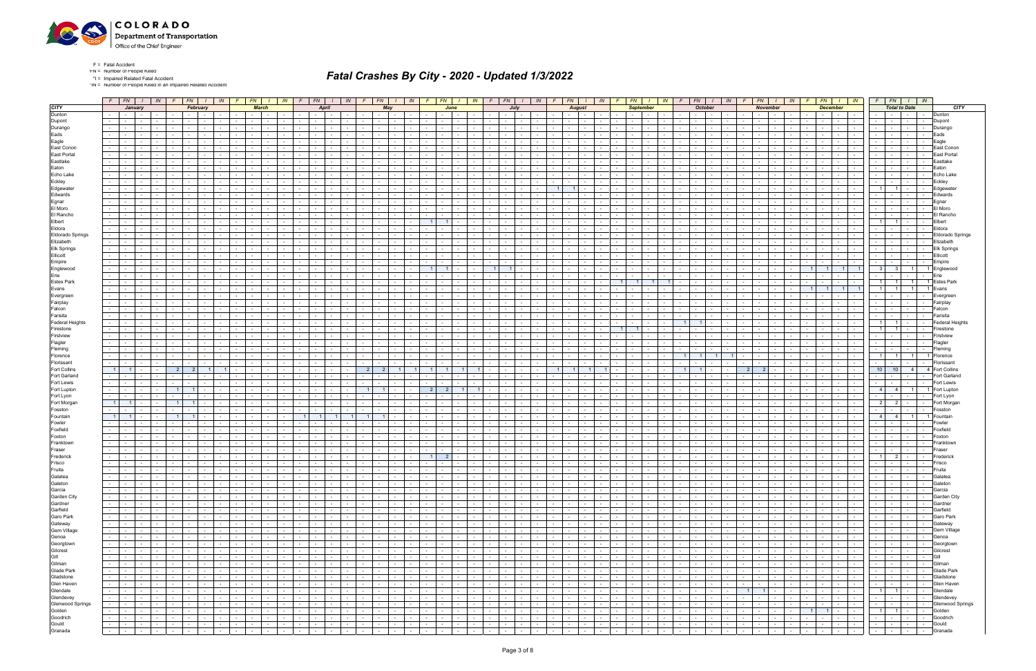

\*IN = Number of People Killed in an Impaired Related Accident

|                                                                                                                                                                                                                                                                                                           |                  |                                                     |                                 | $F$ $FN$ $I$ $IN$ |                      | $F$ $FN$ $I$ $N$                                 |                          |                                |                              |              |                 |                             |                                                |                   |                          |                 |                               |                 |                                              |                      |                                            |                          |                                           |               |                                    |                 |                             |                             |                                                |                          | F   FN   I   IN   F   FN   I   IN   F   FN   I   IN   F   FN   I   IN   F   FN   I   IN |                                                                                                               |                             | $F \parallel$        | $FN$ $I$ $IN$ $F$                        |                                   |                                          |                                 | $FN$ $I$ $IN$                     |                                    | $F$ $FN$ $I$ $IN$                                                                                                                                                                                                                                                                                                                                                                                                                                                               |        |                                |
|-----------------------------------------------------------------------------------------------------------------------------------------------------------------------------------------------------------------------------------------------------------------------------------------------------------|------------------|-----------------------------------------------------|---------------------------------|-------------------|----------------------|--------------------------------------------------|--------------------------|--------------------------------|------------------------------|--------------|-----------------|-----------------------------|------------------------------------------------|-------------------|--------------------------|-----------------|-------------------------------|-----------------|----------------------------------------------|----------------------|--------------------------------------------|--------------------------|-------------------------------------------|---------------|------------------------------------|-----------------|-----------------------------|-----------------------------|------------------------------------------------|--------------------------|-----------------------------------------------------------------------------------------|---------------------------------------------------------------------------------------------------------------|-----------------------------|----------------------|------------------------------------------|-----------------------------------|------------------------------------------|---------------------------------|-----------------------------------|------------------------------------|---------------------------------------------------------------------------------------------------------------------------------------------------------------------------------------------------------------------------------------------------------------------------------------------------------------------------------------------------------------------------------------------------------------------------------------------------------------------------------|--------|--------------------------------|
| <b>CITY</b>                                                                                                                                                                                                                                                                                               |                  |                                                     | January                         |                   |                      | February                                         |                          |                                |                              | <b>March</b> |                 |                             | <b>April</b>                                   |                   |                          | May             |                               |                 |                                              | June                 |                                            |                          | July                                      |               |                                    | <b>August</b>   |                             |                             | <b>September</b>                               |                          |                                                                                         | <b>October</b>                                                                                                |                             |                      | <b>November</b>                          |                                   |                                          | <b>December</b>                 |                                   |                                    | <b>Total to Date</b>                                                                                                                                                                                                                                                                                                                                                                                                                                                            |        | <b>CITY</b>                    |
| Dunton                                                                                                                                                                                                                                                                                                    |                  | $\sim$ $\sim$                                       | $\sim 10^{-11}$                 |                   |                      | <b>Service</b>                                   |                          | $\sim$                         | <b>Contract Contract</b>     |              |                 |                             |                                                |                   |                          | $\sim$          |                               |                 | $\sim$                                       |                      | $\sim$                                     |                          | $\sim$ $-$                                | $\sim$        |                                    | $\sim$ $-$      |                             |                             | $\sim$ 100 $\mu$<br>$\sim$                     |                          |                                                                                         | $\sim$                                                                                                        |                             |                      | $\sim$                                   |                                   |                                          | the contract of                 | <b>Contract</b><br>$\sim 10^{-1}$ | $\sim$ $-$                         | <b>Service</b><br>$\sim 100$                                                                                                                                                                                                                                                                                                                                                                                                                                                    | Dunton |                                |
| Dupont                                                                                                                                                                                                                                                                                                    |                  |                                                     |                                 |                   |                      |                                                  |                          |                                |                              |              |                 |                             |                                                |                   |                          |                 |                               |                 |                                              |                      |                                            |                          |                                           |               |                                    |                 |                             |                             |                                                |                          |                                                                                         |                                                                                                               |                             |                      |                                          |                                   |                                          | $\sim$                          | $\sim$                            | $\sim$                             |                                                                                                                                                                                                                                                                                                                                                                                                                                                                                 |        | Dupont                         |
| Durango                                                                                                                                                                                                                                                                                                   |                  |                                                     | $\sim$                          |                   |                      |                                                  |                          |                                |                              |              |                 |                             |                                                |                   |                          |                 |                               |                 |                                              |                      |                                            |                          |                                           |               |                                    |                 |                             |                             |                                                |                          |                                                                                         |                                                                                                               |                             |                      |                                          |                                   |                                          |                                 |                                   |                                    |                                                                                                                                                                                                                                                                                                                                                                                                                                                                                 |        | Durango                        |
| Eads                                                                                                                                                                                                                                                                                                      |                  |                                                     | $\sim$ $-$                      |                   |                      |                                                  |                          |                                |                              |              |                 |                             |                                                |                   |                          |                 |                               |                 |                                              |                      |                                            |                          |                                           |               |                                    |                 |                             |                             |                                                |                          |                                                                                         |                                                                                                               |                             |                      |                                          |                                   |                                          | $\sim$ 100 $\mu$                |                                   | $\sim$                             |                                                                                                                                                                                                                                                                                                                                                                                                                                                                                 | Eads   |                                |
| Eagle                                                                                                                                                                                                                                                                                                     |                  |                                                     | $\sim$                          |                   |                      |                                                  |                          |                                |                              |              |                 |                             |                                                |                   |                          |                 |                               |                 |                                              |                      |                                            |                          |                                           |               |                                    |                 |                             |                             |                                                |                          |                                                                                         |                                                                                                               |                             |                      |                                          |                                   |                                          |                                 |                                   |                                    |                                                                                                                                                                                                                                                                                                                                                                                                                                                                                 |        | Eagle                          |
| East Conon                                                                                                                                                                                                                                                                                                |                  |                                                     |                                 |                   |                      |                                                  |                          |                                |                              |              |                 |                             |                                                |                   |                          |                 |                               |                 |                                              |                      |                                            |                          |                                           |               |                                    |                 |                             |                             |                                                |                          |                                                                                         |                                                                                                               |                             |                      |                                          |                                   |                                          |                                 |                                   |                                    |                                                                                                                                                                                                                                                                                                                                                                                                                                                                                 |        | East Conon                     |
| East Portal                                                                                                                                                                                                                                                                                               |                  |                                                     |                                 |                   |                      |                                                  |                          |                                |                              |              |                 |                             |                                                |                   |                          |                 |                               |                 |                                              |                      |                                            |                          |                                           |               |                                    |                 |                             |                             |                                                |                          |                                                                                         |                                                                                                               |                             |                      |                                          |                                   |                                          |                                 |                                   |                                    |                                                                                                                                                                                                                                                                                                                                                                                                                                                                                 |        |                                |
| Eastlake                                                                                                                                                                                                                                                                                                  |                  |                                                     |                                 |                   |                      |                                                  |                          |                                |                              |              |                 |                             |                                                |                   |                          |                 |                               |                 |                                              |                      |                                            |                          |                                           |               |                                    |                 |                             |                             |                                                |                          |                                                                                         |                                                                                                               |                             |                      |                                          |                                   |                                          |                                 |                                   |                                    |                                                                                                                                                                                                                                                                                                                                                                                                                                                                                 |        | Fastlakı                       |
| Eaton                                                                                                                                                                                                                                                                                                     |                  |                                                     | $\sim$                          |                   |                      |                                                  |                          |                                |                              |              |                 |                             |                                                |                   |                          |                 |                               |                 |                                              |                      |                                            |                          |                                           |               |                                    |                 |                             |                             |                                                |                          |                                                                                         |                                                                                                               |                             |                      |                                          |                                   |                                          |                                 |                                   |                                    |                                                                                                                                                                                                                                                                                                                                                                                                                                                                                 |        | ∃aton                          |
| Echo Lake                                                                                                                                                                                                                                                                                                 |                  |                                                     |                                 |                   |                      |                                                  |                          |                                |                              |              |                 |                             |                                                |                   |                          |                 |                               |                 |                                              |                      |                                            |                          |                                           |               |                                    |                 |                             |                             |                                                |                          |                                                                                         |                                                                                                               |                             |                      |                                          |                                   |                                          |                                 |                                   |                                    |                                                                                                                                                                                                                                                                                                                                                                                                                                                                                 |        | Echo Lak∈                      |
| Eckley                                                                                                                                                                                                                                                                                                    |                  |                                                     |                                 |                   |                      |                                                  |                          |                                |                              |              |                 |                             |                                                |                   |                          |                 |                               |                 |                                              |                      |                                            |                          |                                           |               |                                    |                 |                             |                             |                                                |                          |                                                                                         |                                                                                                               |                             |                      |                                          |                                   |                                          |                                 |                                   |                                    |                                                                                                                                                                                                                                                                                                                                                                                                                                                                                 |        | Ecklev                         |
| Edgewater                                                                                                                                                                                                                                                                                                 |                  |                                                     | $\sim$                          |                   |                      |                                                  |                          |                                |                              |              |                 |                             |                                                |                   |                          |                 |                               |                 |                                              |                      |                                            |                          |                                           |               |                                    |                 |                             |                             |                                                |                          |                                                                                         |                                                                                                               |                             |                      |                                          |                                   |                                          |                                 |                                   | $\overline{1}$                     |                                                                                                                                                                                                                                                                                                                                                                                                                                                                                 |        | Edgewate                       |
| Edwards                                                                                                                                                                                                                                                                                                   |                  |                                                     |                                 |                   |                      |                                                  |                          |                                |                              |              |                 |                             |                                                |                   |                          |                 |                               |                 |                                              |                      |                                            |                          |                                           |               |                                    |                 |                             |                             |                                                |                          |                                                                                         |                                                                                                               |                             |                      |                                          |                                   |                                          |                                 |                                   |                                    |                                                                                                                                                                                                                                                                                                                                                                                                                                                                                 |        | Edward                         |
| Egnar                                                                                                                                                                                                                                                                                                     |                  |                                                     |                                 |                   |                      |                                                  |                          |                                |                              |              |                 |                             |                                                |                   |                          |                 |                               |                 |                                              |                      |                                            |                          |                                           |               |                                    |                 |                             |                             |                                                |                          |                                                                                         |                                                                                                               |                             |                      |                                          |                                   |                                          |                                 |                                   |                                    |                                                                                                                                                                                                                                                                                                                                                                                                                                                                                 |        | Eanar                          |
| El Moro                                                                                                                                                                                                                                                                                                   |                  |                                                     | $\sim$                          |                   |                      |                                                  |                          |                                |                              |              |                 |                             |                                                |                   |                          |                 |                               |                 |                                              |                      |                                            |                          |                                           |               |                                    |                 |                             |                             |                                                |                          |                                                                                         |                                                                                                               |                             |                      |                                          |                                   |                                          |                                 |                                   |                                    |                                                                                                                                                                                                                                                                                                                                                                                                                                                                                 |        | El Moro                        |
| El Rancho                                                                                                                                                                                                                                                                                                 |                  |                                                     |                                 |                   |                      |                                                  |                          |                                |                              |              |                 |                             |                                                |                   |                          |                 |                               |                 |                                              |                      |                                            |                          |                                           |               |                                    |                 |                             |                             |                                                |                          |                                                                                         |                                                                                                               |                             |                      |                                          |                                   |                                          |                                 |                                   |                                    |                                                                                                                                                                                                                                                                                                                                                                                                                                                                                 |        | l Ranch)                       |
| Elbert                                                                                                                                                                                                                                                                                                    |                  |                                                     |                                 |                   |                      |                                                  |                          |                                |                              |              |                 |                             |                                                |                   |                          |                 |                               |                 |                                              |                      |                                            |                          |                                           |               |                                    |                 |                             |                             |                                                |                          |                                                                                         |                                                                                                               |                             |                      |                                          |                                   |                                          |                                 |                                   | - 1 I<br>$\blacksquare$            |                                                                                                                                                                                                                                                                                                                                                                                                                                                                                 |        | Elbert                         |
| Eldora                                                                                                                                                                                                                                                                                                    |                  |                                                     | $\sim$                          |                   |                      |                                                  |                          |                                |                              |              |                 |                             |                                                |                   |                          |                 |                               |                 |                                              |                      |                                            |                          |                                           |               |                                    |                 |                             |                             |                                                |                          |                                                                                         |                                                                                                               |                             |                      |                                          |                                   |                                          |                                 |                                   |                                    |                                                                                                                                                                                                                                                                                                                                                                                                                                                                                 |        | Eldora                         |
| <b>Eldorado Springs</b>                                                                                                                                                                                                                                                                                   |                  |                                                     |                                 |                   |                      |                                                  |                          |                                |                              |              |                 |                             |                                                |                   |                          |                 |                               |                 |                                              |                      |                                            |                          |                                           |               |                                    |                 |                             |                             |                                                |                          |                                                                                         |                                                                                                               |                             |                      |                                          |                                   |                                          |                                 |                                   |                                    |                                                                                                                                                                                                                                                                                                                                                                                                                                                                                 |        | <b>Eldorado Springs</b>        |
| Elizabeth                                                                                                                                                                                                                                                                                                 |                  |                                                     |                                 |                   |                      |                                                  |                          |                                |                              |              |                 |                             |                                                |                   |                          |                 |                               |                 |                                              |                      |                                            |                          |                                           |               |                                    |                 |                             |                             |                                                |                          |                                                                                         |                                                                                                               |                             |                      |                                          |                                   |                                          |                                 |                                   |                                    |                                                                                                                                                                                                                                                                                                                                                                                                                                                                                 |        | Elizabeth                      |
| Elk Springs                                                                                                                                                                                                                                                                                               |                  |                                                     |                                 |                   |                      |                                                  |                          |                                |                              |              |                 |                             |                                                |                   |                          |                 |                               |                 |                                              |                      |                                            |                          |                                           |               |                                    |                 |                             |                             |                                                |                          |                                                                                         |                                                                                                               |                             |                      |                                          |                                   |                                          |                                 |                                   |                                    |                                                                                                                                                                                                                                                                                                                                                                                                                                                                                 |        | <b>Elk Springs</b>             |
| Ellicott                                                                                                                                                                                                                                                                                                  |                  |                                                     |                                 |                   |                      |                                                  |                          |                                |                              |              |                 |                             |                                                |                   |                          |                 |                               |                 |                                              |                      |                                            |                          |                                           |               |                                    |                 |                             |                             |                                                |                          |                                                                                         |                                                                                                               |                             |                      |                                          |                                   |                                          |                                 |                                   |                                    |                                                                                                                                                                                                                                                                                                                                                                                                                                                                                 |        | Ellicott                       |
| Empire<br>Englewood                                                                                                                                                                                                                                                                                       |                  |                                                     |                                 |                   |                      |                                                  |                          |                                |                              |              |                 |                             |                                                |                   |                          |                 |                               |                 |                                              |                      |                                            |                          |                                           |               |                                    |                 |                             |                             |                                                |                          |                                                                                         |                                                                                                               |                             |                      |                                          |                                   |                                          |                                 |                                   | -31                                |                                                                                                                                                                                                                                                                                                                                                                                                                                                                                 |        | Empire<br>Englewood            |
| Erie                                                                                                                                                                                                                                                                                                      |                  |                                                     |                                 |                   |                      |                                                  |                          |                                |                              |              |                 |                             |                                                |                   |                          |                 |                               |                 |                                              |                      |                                            |                          |                                           |               |                                    |                 |                             |                             |                                                |                          |                                                                                         |                                                                                                               |                             |                      |                                          |                                   |                                          |                                 |                                   |                                    |                                                                                                                                                                                                                                                                                                                                                                                                                                                                                 | Erie   |                                |
| Estes Park                                                                                                                                                                                                                                                                                                |                  |                                                     |                                 |                   |                      |                                                  |                          |                                |                              |              |                 |                             |                                                |                   |                          |                 |                               |                 |                                              |                      |                                            |                          |                                           |               |                                    |                 |                             |                             |                                                |                          |                                                                                         |                                                                                                               |                             |                      |                                          |                                   |                                          |                                 |                                   | 11                                 |                                                                                                                                                                                                                                                                                                                                                                                                                                                                                 |        | <b>Estes Park</b>              |
| Evans                                                                                                                                                                                                                                                                                                     |                  |                                                     |                                 |                   |                      |                                                  |                          |                                |                              |              |                 |                             |                                                |                   |                          |                 |                               |                 |                                              |                      |                                            |                          |                                           |               |                                    |                 |                             |                             |                                                |                          |                                                                                         |                                                                                                               |                             |                      |                                          |                                   |                                          |                                 | 11                                | $\overline{1}$                     |                                                                                                                                                                                                                                                                                                                                                                                                                                                                                 |        |                                |
| Evergreen                                                                                                                                                                                                                                                                                                 |                  |                                                     |                                 |                   |                      |                                                  |                          |                                |                              |              |                 |                             |                                                |                   |                          |                 |                               |                 |                                              |                      |                                            |                          |                                           |               |                                    |                 |                             |                             |                                                |                          |                                                                                         |                                                                                                               |                             |                      |                                          |                                   |                                          |                                 |                                   |                                    |                                                                                                                                                                                                                                                                                                                                                                                                                                                                                 |        | Everaree                       |
| Fairplay                                                                                                                                                                                                                                                                                                  |                  |                                                     |                                 |                   |                      |                                                  |                          |                                |                              |              |                 |                             |                                                |                   |                          |                 |                               |                 |                                              |                      |                                            |                          |                                           |               |                                    |                 |                             |                             |                                                |                          |                                                                                         |                                                                                                               |                             |                      |                                          |                                   |                                          |                                 |                                   |                                    |                                                                                                                                                                                                                                                                                                                                                                                                                                                                                 |        | Fairplay                       |
| Falcon                                                                                                                                                                                                                                                                                                    |                  |                                                     |                                 |                   |                      |                                                  |                          |                                |                              |              |                 |                             |                                                |                   |                          |                 |                               |                 |                                              |                      |                                            |                          |                                           |               |                                    |                 |                             |                             |                                                |                          |                                                                                         |                                                                                                               |                             |                      |                                          |                                   |                                          |                                 |                                   |                                    |                                                                                                                                                                                                                                                                                                                                                                                                                                                                                 |        | <sup>=</sup> alcor             |
| Farisita                                                                                                                                                                                                                                                                                                  |                  |                                                     |                                 |                   |                      |                                                  |                          |                                |                              |              |                 |                             |                                                |                   |                          |                 |                               |                 |                                              |                      |                                            |                          |                                           |               |                                    |                 |                             |                             |                                                |                          |                                                                                         |                                                                                                               |                             |                      |                                          |                                   |                                          |                                 |                                   |                                    |                                                                                                                                                                                                                                                                                                                                                                                                                                                                                 |        | Farisita                       |
| Federal Heights                                                                                                                                                                                                                                                                                           |                  |                                                     |                                 |                   |                      |                                                  |                          |                                |                              |              |                 |                             |                                                |                   |                          |                 |                               |                 |                                              |                      |                                            |                          |                                           |               |                                    |                 |                             |                             |                                                |                          |                                                                                         |                                                                                                               |                             |                      |                                          |                                   |                                          |                                 |                                   | $1 \mid$                           |                                                                                                                                                                                                                                                                                                                                                                                                                                                                                 |        | Federal Heights                |
| Firestone                                                                                                                                                                                                                                                                                                 |                  |                                                     |                                 |                   |                      |                                                  |                          |                                |                              |              |                 |                             |                                                |                   |                          |                 |                               |                 |                                              |                      |                                            |                          |                                           |               |                                    |                 |                             |                             |                                                |                          |                                                                                         |                                                                                                               |                             |                      |                                          |                                   |                                          |                                 |                                   | 11                                 |                                                                                                                                                                                                                                                                                                                                                                                                                                                                                 |        | -ireston                       |
| Firstview                                                                                                                                                                                                                                                                                                 |                  |                                                     | $\sim$                          |                   |                      |                                                  | $\sim$                   |                                |                              |              |                 |                             |                                                |                   |                          |                 |                               |                 |                                              |                      |                                            |                          |                                           |               |                                    |                 |                             |                             |                                                |                          |                                                                                         |                                                                                                               |                             |                      |                                          |                                   |                                          |                                 |                                   | $\sim$                             |                                                                                                                                                                                                                                                                                                                                                                                                                                                                                 |        | Firstview                      |
| Flagler                                                                                                                                                                                                                                                                                                   |                  |                                                     |                                 |                   |                      |                                                  |                          |                                |                              |              |                 |                             |                                                |                   |                          |                 |                               |                 |                                              |                      |                                            |                          |                                           |               |                                    |                 |                             |                             |                                                |                          |                                                                                         |                                                                                                               |                             |                      |                                          |                                   |                                          |                                 |                                   |                                    |                                                                                                                                                                                                                                                                                                                                                                                                                                                                                 |        |                                |
| Fleming                                                                                                                                                                                                                                                                                                   |                  |                                                     |                                 |                   |                      |                                                  |                          |                                |                              |              |                 |                             |                                                |                   |                          |                 |                               |                 |                                              |                      |                                            |                          |                                           |               |                                    |                 |                             |                             |                                                |                          |                                                                                         |                                                                                                               |                             |                      |                                          |                                   |                                          |                                 |                                   | $\sim$                             |                                                                                                                                                                                                                                                                                                                                                                                                                                                                                 |        | Flemina                        |
| Florence                                                                                                                                                                                                                                                                                                  |                  |                                                     | $\sim$                          |                   |                      |                                                  | $\overline{\phantom{a}}$ |                                |                              |              |                 |                             |                                                |                   |                          |                 |                               |                 |                                              |                      |                                            |                          |                                           |               |                                    |                 |                             |                             |                                                |                          |                                                                                         |                                                                                                               |                             |                      |                                          |                                   |                                          | $\sim$ 100 $\mu$<br>$\sim$      | $\sim$ $-$                        | $1 \vert$<br>$\blacksquare$        | $\overline{1}$                                                                                                                                                                                                                                                                                                                                                                                                                                                                  |        | Florenc                        |
| Florissant                                                                                                                                                                                                                                                                                                |                  |                                                     |                                 |                   |                      |                                                  |                          |                                |                              |              |                 |                             |                                                |                   |                          |                 |                               |                 |                                              |                      |                                            |                          |                                           |               |                                    |                 |                             |                             |                                                |                          |                                                                                         |                                                                                                               |                             |                      |                                          |                                   |                                          |                                 |                                   |                                    |                                                                                                                                                                                                                                                                                                                                                                                                                                                                                 |        |                                |
| <b>Fort Collins</b>                                                                                                                                                                                                                                                                                       |                  |                                                     |                                 |                   |                      |                                                  |                          |                                |                              |              |                 |                             |                                                |                   | 2 <sup>1</sup>           |                 |                               |                 |                                              |                      |                                            |                          |                                           |               | $\overline{1}$                     |                 |                             |                             |                                                |                          |                                                                                         |                                                                                                               |                             | 2                    |                                          |                                   |                                          |                                 |                                   | 10 <sup>1</sup><br>10              | 4 <sup>1</sup>                                                                                                                                                                                                                                                                                                                                                                                                                                                                  |        | <b>Fort Collins</b>            |
| Fort Garland                                                                                                                                                                                                                                                                                              |                  |                                                     | $\sim$                          |                   |                      |                                                  |                          |                                |                              |              |                 |                             |                                                |                   |                          |                 |                               |                 |                                              |                      |                                            |                          |                                           |               |                                    |                 |                             |                             |                                                |                          |                                                                                         |                                                                                                               |                             |                      |                                          |                                   |                                          | $\sim$<br>$\sim$                | $\sim$ 100 $\mu$                  |                                    |                                                                                                                                                                                                                                                                                                                                                                                                                                                                                 |        | Fort Garlan                    |
| Fort Lewis                                                                                                                                                                                                                                                                                                |                  |                                                     |                                 |                   |                      |                                                  |                          |                                |                              |              |                 |                             |                                                |                   |                          |                 |                               |                 |                                              |                      |                                            |                          |                                           |               |                                    |                 |                             |                             |                                                |                          |                                                                                         |                                                                                                               |                             |                      |                                          |                                   |                                          |                                 |                                   |                                    |                                                                                                                                                                                                                                                                                                                                                                                                                                                                                 |        | Fort Lewi:                     |
| Fort Lupton                                                                                                                                                                                                                                                                                               |                  |                                                     |                                 |                   |                      |                                                  |                          |                                |                              |              |                 |                             |                                                |                   |                          |                 |                               |                 |                                              |                      |                                            |                          |                                           |               |                                    |                 |                             |                             |                                                |                          |                                                                                         |                                                                                                               |                             |                      |                                          |                                   |                                          |                                 |                                   | 4 <sup>1</sup><br>4                | $\overline{1}$                                                                                                                                                                                                                                                                                                                                                                                                                                                                  |        | Fort Luptor                    |
| Fort Lyon                                                                                                                                                                                                                                                                                                 |                  |                                                     | $\sim$ $-$                      |                   |                      |                                                  | $\sim$                   | $\sim$                         |                              |              |                 |                             |                                                |                   |                          |                 |                               |                 |                                              |                      |                                            |                          |                                           |               |                                    |                 |                             |                             | $\sim$                                         |                          |                                                                                         | $\sim$                                                                                                        |                             |                      |                                          |                                   |                                          | $\sim$ 10 $\pm$<br>$\sim$       | $\sim 10^{-1}$                    | $\sim$                             |                                                                                                                                                                                                                                                                                                                                                                                                                                                                                 |        | Fort Lvon                      |
| Fort Morgan                                                                                                                                                                                                                                                                                               |                  |                                                     |                                 |                   |                      |                                                  |                          |                                |                              |              |                 |                             |                                                |                   |                          |                 |                               |                 |                                              |                      |                                            |                          |                                           |               |                                    |                 |                             |                             |                                                |                          |                                                                                         |                                                                                                               |                             |                      |                                          |                                   |                                          |                                 |                                   | 2 <sup>1</sup><br>$\overline{2}$   |                                                                                                                                                                                                                                                                                                                                                                                                                                                                                 |        | Fort Morga                     |
| Fosston                                                                                                                                                                                                                                                                                                   |                  |                                                     | $\sim$                          |                   |                      |                                                  | $\sim$                   |                                |                              |              |                 |                             |                                                |                   |                          |                 |                               |                 |                                              |                      |                                            |                          |                                           |               |                                    |                 |                             |                             |                                                |                          |                                                                                         |                                                                                                               |                             |                      |                                          |                                   |                                          | $\sim$                          |                                   | $\sim$ $-$                         |                                                                                                                                                                                                                                                                                                                                                                                                                                                                                 |        | Fosstor                        |
| Fountain                                                                                                                                                                                                                                                                                                  |                  | $\overline{1}$                                      | $\sim$ $-$                      |                   |                      | $\overline{1}$                                   |                          |                                |                              |              |                 | 1 <sup>1</sup>              | $1 \vert$                                      |                   | 11                       |                 |                               |                 |                                              |                      |                                            |                          |                                           |               |                                    |                 |                             |                             |                                                |                          |                                                                                         |                                                                                                               |                             |                      |                                          |                                   |                                          |                                 | $\sim$                            | 4 4                                | 11                                                                                                                                                                                                                                                                                                                                                                                                                                                                              |        | Fountain                       |
| Fowler                                                                                                                                                                                                                                                                                                    |                  |                                                     |                                 |                   |                      |                                                  |                          |                                |                              |              |                 |                             |                                                |                   |                          |                 |                               |                 |                                              |                      |                                            |                          |                                           |               |                                    |                 |                             |                             |                                                |                          |                                                                                         |                                                                                                               |                             |                      |                                          |                                   |                                          |                                 |                                   |                                    |                                                                                                                                                                                                                                                                                                                                                                                                                                                                                 |        |                                |
| Foxfield                                                                                                                                                                                                                                                                                                  |                  |                                                     | $\sim$                          |                   |                      |                                                  |                          |                                |                              |              |                 |                             |                                                |                   |                          |                 |                               |                 |                                              |                      |                                            |                          |                                           |               |                                    |                 |                             |                             |                                                |                          |                                                                                         |                                                                                                               |                             |                      |                                          |                                   |                                          |                                 |                                   | $\sim$                             |                                                                                                                                                                                                                                                                                                                                                                                                                                                                                 |        | Foxfielc                       |
| Foxton                                                                                                                                                                                                                                                                                                    |                  |                                                     |                                 |                   |                      |                                                  |                          |                                |                              |              |                 |                             |                                                |                   |                          |                 |                               |                 |                                              |                      |                                            |                          |                                           |               |                                    |                 |                             |                             |                                                |                          |                                                                                         |                                                                                                               |                             |                      |                                          |                                   |                                          |                                 |                                   |                                    |                                                                                                                                                                                                                                                                                                                                                                                                                                                                                 |        | Foxton                         |
| Franktown                                                                                                                                                                                                                                                                                                 |                  |                                                     |                                 |                   |                      |                                                  |                          |                                |                              |              |                 |                             |                                                |                   |                          |                 |                               |                 |                                              |                      |                                            |                          |                                           |               |                                    |                 |                             |                             |                                                |                          |                                                                                         |                                                                                                               |                             |                      |                                          |                                   |                                          |                                 |                                   |                                    |                                                                                                                                                                                                                                                                                                                                                                                                                                                                                 |        | Franktowi                      |
| Fraser                                                                                                                                                                                                                                                                                                    |                  |                                                     |                                 |                   |                      |                                                  |                          |                                |                              |              |                 |                             |                                                |                   |                          |                 |                               |                 |                                              |                      |                                            |                          |                                           |               |                                    |                 |                             |                             |                                                |                          |                                                                                         |                                                                                                               |                             |                      |                                          |                                   |                                          |                                 |                                   |                                    |                                                                                                                                                                                                                                                                                                                                                                                                                                                                                 |        | Frasei                         |
| Frederick<br>Frisco                                                                                                                                                                                                                                                                                       |                  |                                                     | $\sim$<br>$\sim$ $-$            |                   |                      |                                                  |                          |                                |                              |              |                 |                             |                                                |                   |                          |                 |                               |                 |                                              |                      |                                            |                          |                                           |               |                                    |                 |                             |                             |                                                |                          |                                                                                         |                                                                                                               |                             |                      |                                          |                                   |                                          | $\sim$ $-$                      | $\sim 10^{-11}$                   | $\overline{2}$<br>11<br>$\sim$ $-$ |                                                                                                                                                                                                                                                                                                                                                                                                                                                                                 |        | Frederick<br>Frisco            |
| Fruita                                                                                                                                                                                                                                                                                                    |                  | <b>Contract Contract</b>                            | $\sim 10^{-11}$                 | $\sim$            | $\sim$ 10 $\pm$      | $\sim$ $\sim$                                    | $\sim$                   | $\sim$                         | $\sim$ $-$                   |              |                 |                             | $\sim 100$<br>$\sim$                           | $\sim$            | $\sim$                   | $\sim 10^{-11}$ |                               | $\sim$          | $\sim$                                       | $\sim 100$           | $\sim$                                     |                          |                                           |               |                                    | $\sim 10^{-11}$ | $\sim$                      | $\sim$                      | $\sim$                                         |                          | $\sim$                                                                                  | $\sim$                                                                                                        |                             |                      |                                          |                                   |                                          | $\sim 100$<br>$\sim 10^{-1}$    | $\sim$ $-$                        | $\sim$ $-$                         | $\sim 10^{-10}$<br>$\sim$                                                                                                                                                                                                                                                                                                                                                                                                                                                       | Fruita |                                |
| Galatea                                                                                                                                                                                                                                                                                                   |                  | $\sim$ $-$                                          | <b>Contract</b>                 | $\sim 10^{-11}$   |                      |                                                  |                          | $\sim$ $\sim$ $\sim$<br>$\sim$ | $\mathbf{1}$ $\mathbf{1}$    | $\sim$       |                 | $\sim$                      | the contract of                                |                   | $-1 - 1 - 1 - 1$         |                 | and the contract of the con-  |                 | and the state of the state of the            |                      | and the state of the state                 | $\sim 100$               | $\sim$<br>$ -$                            | $\sim$        |                                    | <b>Contract</b> | $\sim$ 1 $\sim$ 1 $\sim$    |                             | .                                              |                          | <b>Contract</b>                                                                         | $\sim$ $-$                                                                                                    |                             |                      |                                          | the contract of                   | $\sim$ $\sim$ $\sim$ $\sim$              |                                 |                                   |                                    | -   -   -   -   Galatea                                                                                                                                                                                                                                                                                                                                                                                                                                                         |        |                                |
|                                                                                                                                                                                                                                                                                                           |                  |                                                     | the contract of                 |                   |                      | the contract of the con-                         |                          |                                | $-1 - 1$                     | $\sim$       |                 | $-1$ $-1$                   | $\sim 10^{-1}$                                 | $\sim 10^{-10}$   | <b>Committee</b>         |                 | and the state of the state of |                 | the contract of                              |                      | <b>Contract Contract</b>                   | <b>Contract Contract</b> | $\sim$ $-$<br>$\sim$ 100 $\mu$            | $\sim$        | $\sim$ $\sim$ $\sim$ $\sim$        | <b>Contract</b> |                             |                             |                                                |                          | $\sim$<br><b>Contract</b>                                                               | $\sim$ $-$                                                                                                    |                             | $\sim$ $\sim$ $\sim$ |                                          | the contract of                   |                                          |                                 | .                                 |                                    |                                                                                                                                                                                                                                                                                                                                                                                                                                                                                 |        |                                |
|                                                                                                                                                                                                                                                                                                           |                  |                                                     | the contract of                 | $\sim 10^{-11}$   | $\sim$ $\sim$        | and the state                                    |                          | $\sim$                         | $-1 - 1$                     | $\sim$       | $\sim$ $ \sim$  | $\sim$                      | $\sim$ $-$                                     | <b>Contract</b>   | <b>Second Control</b>    |                 | $\sim$ $\sim$ $\sim$ $\sim$   | $\sim 100$      | <b>Contract Contract</b>                     |                      | the contract of                            | <b>Contract</b>          | $\sim$<br>$\sim$ $\sim$ $\sim$            | $\sim$        | $\sim$ $\sim$<br>$\sim$ $-$        |                 | <b>Service</b> Service      | $\sim 10^{-11}$             | <b>Contract Contract</b>                       | <b>Contract Contract</b> | $\sim$<br>$\sim 10^{-10}$                                                               | $\sim 10^{-11}$                                                                                               | $\sim$ 100 $\sim$<br>$\sim$ | $-1$                 |                                          | the contract of                   | $\sim 10^{-11}$                          |                                 | <b>Second Second Second</b>       |                                    |                                                                                                                                                                                                                                                                                                                                                                                                                                                                                 | Garcia |                                |
|                                                                                                                                                                                                                                                                                                           |                  |                                                     | the contract of                 | $\sim$            |                      | .                                                |                          | $\sim$                         | $-1 - 1$                     | $\sim$       | $\sim$          | $\sim$                      | $\mathbf{1}$ $\mathbf{1}$<br>$\sim 10^{-1}$    | $\sim 10^{-11}$   | the contract of          |                 | and the state of the state of |                 | <b>Contract Contract</b>                     |                      | <b>Contract Contract</b>                   | $\sim$ $\sim$            | $\sim$<br>$\sim$ $\sim$ $\sim$            | $\sim$        | $\sim 10^{-11}$<br>$\sim$          |                 | the contract                | $\sim 10^{-11}$             | المستوات والمنابذ                              | <b>Contract Contract</b> | $\sim$<br><b>Contract</b>                                                               | <b>Contract Contract</b>                                                                                      | $\sim$                      |                      | the contract of the contract of          |                                   | $\sim 10^{-11}$                          |                                 | $-$ 1 $-$ 1 $-$                   |                                    | $-1 - 1 - 1 -$                                                                                                                                                                                                                                                                                                                                                                                                                                                                  |        | Garden City                    |
|                                                                                                                                                                                                                                                                                                           | $\sim$ 100 $\mu$ |                                                     | the contract of                 | $\sim 100$        |                      | the contract of the contract of                  | $\sim$                   |                                | $-1 - 1$                     | $\sim$       | $\sim$ $-$      | $\sim$ $\sim$ $\sim$ $\sim$ | $\sim 10^{-1}$                                 | $\sim 10^{-11}$   | the contract of the con- |                 | the contract of the con-      |                 | and the state of the state                   |                      | the contract of the con-                   | <b>Contract</b>          | $\sim$<br>$\sim$ $\sim$ $\sim$            | $\sim$ $-$    | $\sim$ $\sim$ $\sim$<br>$\sim$ $-$ |                 |                             | <b>Contract</b>             |                                                |                          | $\sim$<br><b>Contract</b>                                                               | and the state                                                                                                 | $\sim$                      | $ -$                 |                                          | the contract of                   | $\sim 10^{-11}$                          |                                 |                                   |                                    | $\overline{\phantom{a}}$ $\overline{\phantom{a}}$ $\overline{\phantom{a}}$ $\overline{\phantom{a}}$ $\overline{\phantom{a}}$ $\overline{\phantom{a}}$ $\overline{\phantom{a}}$ $\overline{\phantom{a}}$ $\overline{\phantom{a}}$ $\overline{\phantom{a}}$ $\overline{\phantom{a}}$ $\overline{\phantom{a}}$ $\overline{\phantom{a}}$ $\overline{\phantom{a}}$ $\overline{\phantom{a}}$ $\overline{\phantom{a}}$ $\overline{\phantom{a}}$ $\overline{\phantom{a}}$ $\overline{\$ |        |                                |
|                                                                                                                                                                                                                                                                                                           |                  |                                                     | the contract of the con-        |                   |                      | $-1 - 1 - 1 - 1$                                 |                          |                                | $-1 - 1$                     | $\sim$       |                 | $\sim$                      | $\sim$ $-$<br>$\sim$ $-$                       | $\sim 100$        | the contract of          |                 | <b>Contract Contract</b>      | $\sim 10^{-11}$ | the contract of                              |                      | the contract                               | $\sim 100$               | $\sim$<br>$\sim 100$                      | $\sim$        | $\sim$ $\sim$ $\sim$<br>$\sim$     |                 | <b>Service</b>              | $\sim 10^{-11}$             | and the contract of the con-                   |                          | $\sim$<br><b>Contract</b>                                                               | $\sim$ $-$                                                                                                    | <b>Contract Contract</b>    |                      | $-1 - 1 - 1 - 1$                         |                                   | $\sim$                                   |                                 |                                   |                                    | $     -$ Garfield                                                                                                                                                                                                                                                                                                                                                                                                                                                               |        |                                |
|                                                                                                                                                                                                                                                                                                           |                  | $\sim$ $\sim$                                       | <b>Contract</b>                 | $\sim$ 10 $\pm$   | $\sim 10^{-11}$      | and the state of the state                       |                          | $\sim$                         | <b>Service Control</b>       | $\sim$       |                 |                             | $\sim$ $-$<br>$\sim$ $-$                       | $\sim$ 100 $\mu$  | $\sim$ $-$               | <b>Contract</b> | $\sim 10^{-10}$               | $\sim 10^{-11}$ | $\sim$ $  -$<br>$\sim 100$                   |                      | and the state                              | <b>Service</b>           | $\sim$ $-$<br>$\sim 10^{-11}$             | $\sim$        | <b>Contract</b><br>$\sim 10^{-1}$  | $\sim$ $-$      | $\sim 10^{-11}$             | $\sim 10^{-11}$             | the contract of                                | $\sim 100$               | $\sim$ $-$<br><b>Contract</b>                                                           | $\sim 10$                                                                                                     | . .                         | <b>Contract</b>      | $\sim$                                   | <b>Contract</b>                   | $\sim$                                   |                                 | $-1 - 1 - 1 - 1$                  |                                    | -   -   -   -   Garo Park                                                                                                                                                                                                                                                                                                                                                                                                                                                       |        |                                |
|                                                                                                                                                                                                                                                                                                           | $\sim 100$       |                                                     | the contract of                 | $\sim 100$        |                      | the contract of the con-                         |                          | $\sim$                         | the contract of the con-     | $\sim$ $-$   | $\sim$ $-$      |                             |                                                | $\sim 10^{-11}$   | the company              |                 | and the state                 |                 | <b>Contract Contract</b>                     |                      | the contract                               | <b>Contract Contract</b> | $\sim$<br>$  -$                           | $\sim$        | $\sim$<br>$\sim$ $\sim$            |                 | $-1 - 1$                    | $\sim$ $\sim$ $\sim$ $\sim$ | $-1 - 1 - 1 - 1$                               |                          | $\sim$<br><b>Contract</b>                                                               | the contract of                                                                                               | $\sim$                      |                      | $-1 - 1 - 1 - 1$                         |                                   | <b>Contract</b>                          |                                 | the contract of the con-          |                                    | $    -$ Gateway                                                                                                                                                                                                                                                                                                                                                                                                                                                                 |        |                                |
|                                                                                                                                                                                                                                                                                                           |                  |                                                     | the contract of the con-        |                   |                      | $-1 - 1 - 1 - 1$                                 |                          |                                | $-1 - 1$                     | $\sim$       |                 | $\sim$                      | $\sim$ $  -$<br>$\sim$ $-$                     | $\sim 100$        | the contract of          |                 | <b>Contract Contract</b>      | $\sim 10^{-11}$ | the contract of                              |                      | the contract                               | <b>Contract</b>          | $\sim$<br>$\sim 100$                      | $\sim$        | $\sim$ $\sim$<br>$\sim$            |                 | $\sim$ $\sim$ $\sim$        | $\sim 10^{-11}$             | the contract of                                | <b>Contract Contract</b> | $\sim$<br><b>Contract</b>                                                               | $\sim$ $-$                                                                                                    | $\sim$ 100 $\sim$           | $ -$                 | the contract of                          |                                   | $\sim$                                   |                                 | $-$ 1 $-$ 1 $-$                   |                                    | -   -   -   - Gem Village                                                                                                                                                                                                                                                                                                                                                                                                                                                       |        |                                |
|                                                                                                                                                                                                                                                                                                           |                  | $-1$                                                | <b>Contract</b>                 | $\sim$            | $\sim 100$           | and the state of the state                       |                          | $\sim$                         | <b>Service Control</b>       | $\sim$       |                 |                             | <b>Contract</b><br>$\sim$ $-$                  | $\sim$ 100 $\mu$  | $\sim$ $-$               | <b>Contract</b> | $\sim 10^{-10}$               | $\sim$ $-$      | $\sim$ $\sim$<br>$\sim 10^{-11}$             |                      | and the state                              | $\sim$ 100 $\mu$         | $\sim$<br>$\sim$ 100 $\mu$                | $\sim$        | $\sim 100$<br>$\sim$ $-$           | $\sim$ $\sim$   | $\sim 100$                  | $\sim 10^{-11}$             | $\sim$ $\sim$ $\sim$ $\sim$<br>$\sim 100$      | $\sim$ 100 $\mu$         | $\sim$ $-$<br><b>Contract</b>                                                           | $\sim 10$                                                                                                     | . .                         | $\sim$ $\sim$        | $\sim$ $-$                               | $\sim 10^{-11}$                   | $\sim$                                   | $\sim$ $\sim$                   | <b>Contract Contract</b>          | the contract of the contract of    | المستوات والمنابذ                                                                                                                                                                                                                                                                                                                                                                                                                                                               | Genoa  |                                |
|                                                                                                                                                                                                                                                                                                           | $\sim 100$       |                                                     |                                 |                   |                      | the contract of the con-                         |                          | $\sim$                         | the contract of the con-     | $\sim$ $-$   | $\sim$ $-$      | $\sim$                      | $\mathbf{1}$ and $\mathbf{1}$ and $\mathbf{1}$ | $\sim 10^{-11}$   | <b>Contract Contract</b> |                 | and the state                 |                 | <b>Contract Contract</b>                     |                      | the contract                               | <b>Contract</b>          | $\sim$<br>$ -$                            | $\sim$        | $\sim$ $-$<br>$\sim$ $\sim$ $\sim$ |                 | $\sim$ $\sim$ $\sim$ $\sim$ | $\sim$ $\sim$ $\sim$ $\sim$ | and the state of the state of the state        |                          | $\sim$<br>$\sim 10^{-10}$                                                               | the contract of the con-                                                                                      | $\sim$                      |                      | $-1 - 1 - 1 -$                           |                                   | $\sim 100$                               |                                 | and the first part of the con-    |                                    | -   -   -   - Georgtown                                                                                                                                                                                                                                                                                                                                                                                                                                                         |        |                                |
| Galeton<br>Garcia<br>Garden City<br>Gardener<br>Garfield<br>Garo Park<br>Gardener<br>Georgtown<br>Gilcrest<br>Gill<br>Gilcrest<br>Gill<br>Gilcrest<br>Gilcrest<br>Gilcrest<br>Gilcrest<br>Gilcrest<br>Gilcrest<br>Gilcrest<br>Gilcrest<br>Gilcrest<br>Gilcrest<br>Gilcrest<br>Gilcrest<br>Gilcrest<br>Gil |                  | <b>Contract Contract</b>                            | $\sim 10^{-11}$                 |                   | $\sim 100$           | the contract                                     |                          |                                | the contract of the con-     | $\sim$       |                 |                             | $\sim$ $-$<br>$\sim$                           | $\sim$            | $\sim$ $\sim$            | $\sim 10^{-11}$ | $\sim$ $-$                    | $\sim$ $-$      | $\sim$<br>$\sim 100$                         | <b>Contract</b>      | $\sim$                                     |                          | $\sim$                                    | $\sim$        | $\sim 10^{-10}$<br>$\sim$ $-$      | $\sim$ $\sim$   | $\sim$ $-$                  | <b>Contract</b>             | <b>Contract Contract</b><br>$\sim 10^{-11}$    | $\sim$ 100 $\mu$         | $\sim$<br>$\sim$ $-$                                                                    | $\sim$                                                                                                        | $\sim$                      | $\sim$ 100 $\mu$     | $\sim$ $-$                               | $\sim$ $-$                        | $\sim$                                   | the contract of the contract of | $\sim 10^{-11}$                   | the contract of                    | the contract of                                                                                                                                                                                                                                                                                                                                                                                                                                                                 |        | Gilcrest                       |
|                                                                                                                                                                                                                                                                                                           |                  |                                                     | the contract of                 | $\sim$            |                      | $-1 - 1 - 1$                                     | $\sim$                   |                                | <b>Second Control</b>        | $\sim$       |                 | $\sim$                      | <b>Contract Contract</b><br>$\sim$ $-$         | $\sim$ $-$        | the contract of          |                 | <b>Contract Contract</b>      | $\sim 10^{-11}$ | $\sim$ $-$<br>$\sim 100$                     |                      | the contract                               | $\sim 100$               | $\sim$<br><b>Contract</b>                 | $\sim$        | <b>Contract</b><br>$\sim$ $-$      |                 | the contract of             | <b>Contract</b>             | the contract of                                | $\sim$                   | $\sim$<br>$\sim 100$                                                                    | $\sim$                                                                                                        | $\overline{\phantom{a}}$    | $\sim 100$           | $\sim$ $-$                               | $\mathbf{I}$                      | $\sim$                                   |                                 |                                   |                                    | - - - - - Gill                                                                                                                                                                                                                                                                                                                                                                                                                                                                  |        |                                |
|                                                                                                                                                                                                                                                                                                           |                  |                                                     | the collection                  | $\sim 10^{-11}$   | $\sim$ $-$           | المحال جال                                       |                          | $\sim 10^{-11}$                | $-1 - 1$                     | $\sim$       | $\sim$ $-$      | $\sim$                      | $\sim$ $-$<br>$\sim$ $-$                       | $\sim 10^{-11}$   | and the co               |                 | the contract of               |                 | <b>Contract Contract</b>                     |                      | <b>Contract Contract</b>                   | <b>Contract</b>          | $\sim$<br>$\sim 100$                      | $\sim$        | $\sim 10^{-1}$<br>$\sim$           |                 | the contract of             | $\sim 10^{-11}$             | and the control                                | <b>Contract</b>          | $\sim$<br>$\sim 10^{-11}$                                                               | the contract of                                                                                               | $\sim$                      | $-1$                 |                                          | the contract of                   | $\sim 10^{-11}$                          |                                 | and the first part of the con-    |                                    | $    -$ Gilman                                                                                                                                                                                                                                                                                                                                                                                                                                                                  |        |                                |
|                                                                                                                                                                                                                                                                                                           |                  |                                                     | the contract of                 | $\sim$            | $\sim 100$           | $\sim$ $\sim$ $\sim$ $\sim$                      |                          |                                | the contract of the con-     | $\sim$       |                 | $\sim$                      | $\sim$ $-$<br>$\sim$                           |                   | and the control          |                 | $\sim$<br>$\sim$ $-$          |                 | the contract of                              | $\sim$ $\sim$ $\sim$ | $\sim$                                     | $\sim$                   | $\sim$<br>$\sim$ 100 $\mu$                | $\sim$        | <b>Contract</b><br>$\sim$ $-$      | $\sim$ $\sim$   | $\sim 10^{-1}$              | $\sim$                      | <b>Contract Contract</b><br>$\sim 10^{-11}$    | $\sim$ 100 $\mu$         | $\sim$<br>$\sim 10^{-1}$                                                                | $\sim 100$                                                                                                    | . .                         | $\sim$ $\sim$        | the contract of                          |                                   |                                          | the contract of                 | $\sim 10^{-11}$                   | the contract of the con-           | and the state                                                                                                                                                                                                                                                                                                                                                                                                                                                                   |        | Glade Park                     |
|                                                                                                                                                                                                                                                                                                           |                  |                                                     | the contract of the con-        | $\sim 10^{-1}$    |                      | the contract of the contract of the con-         | $\sim$                   |                                | the contract of the con-     | $\sim$       | $\sim$ $-$      | $\sim$                      | <b>Contract</b><br>$\sim$ $-$                  | $\sim 100$        | the contract of          |                 | $\sim$ $\sim$ $\sim$          | $\sim 10^{-11}$ | $ -$<br>$\sim 100$                           |                      | <b>Contract Contract</b>                   | $\sim 10^{-11}$          | $\sim$<br>$\sim$ $-$                      | $\sim$        | <b>Contract</b><br>$\sim$ $-$      |                 | <b>Contract Contract</b>    | $\sim 10^{-10}$             | the company of                                 | $\sim 100$               | $\sim$<br><b>Contract</b>                                                               | $\sim$ 10 $\pm$                                                                                               | $\sim$<br>$\sim$            | <b>Contract</b>      |                                          | the contract of                   | $\sim 100$                               |                                 | $-1 - 1 - 1 - 1$                  | and the contract of the con-       | the contract of the con-                                                                                                                                                                                                                                                                                                                                                                                                                                                        |        | Gladstone                      |
|                                                                                                                                                                                                                                                                                                           |                  |                                                     | the contract of                 | $\sim 100$        |                      | $-1 - 1 - 1 - 1$                                 |                          | $\sim$ $-$                     | $-1 - 1$                     | $\sim$       |                 | $\sim$                      | $\sim$ $\sim$ $\sim$<br>$\sim$ $-$             | $\sim 100$        | <b>Second Second</b>     |                 | $\sim$ $  -$                  | <b>Contract</b> | the contract of                              |                      | the contract                               | <b>Contract</b>          | $\sim$<br><b>Service</b>                  | $\sim$ $-$    | $\sim 10^{-11}$<br>$\sim$ $-$      |                 | the contract                | $\sim 10^{-11}$             | and the con-                                   | <b>Contract</b>          | $\sim$<br>$\sim 10^{-10}$                                                               | $\sim$ $-$                                                                                                    | $\sim 100$<br>$\sim$        | $\sim$ $\sim$        |                                          | the contract of                   | $\sim$ $-$                               |                                 | $-1 - 1 - 1 - 1$                  |                                    | - - - - - Glen Haven                                                                                                                                                                                                                                                                                                                                                                                                                                                            |        |                                |
|                                                                                                                                                                                                                                                                                                           |                  |                                                     | the contract of                 | $\sim$            |                      | the contract of the contract of the con-         |                          |                                | the property of the property | $\sim$       |                 | $\sim$                      | $\sim$ $  -$<br>$\sim$                         |                   | and the state            |                 | $\sim$<br>$\sim$ $-$          |                 | the contract of                              |                      | the contract of                            |                          | $\sim$<br>$\sim$ 100 $\mu$                | $\sim$        | <b>Contract</b><br>$\sim$ $-$      | $\sim$ $\sim$   | $\sim 10^{-1}$              | $\sim$                      | <b>Contract</b><br>$\sim 10^{-11}$             | $\sim$ 100 $\mu$         | $\sim$<br>$\sim 10^{-11}$                                                               | the contract of                                                                                               |                             | $1 \quad 1$          |                                          | <b>Contract Contract Contract</b> |                                          |                                 |                                   |                                    | $1 \t1 \t1$                                                                                                                                                                                                                                                                                                                                                                                                                                                                     |        | Glendale                       |
|                                                                                                                                                                                                                                                                                                           |                  |                                                     | the contract of the con-        | $\sim 100$        |                      | $-1 - 1 - 1 - 1$                                 | $\sim$                   |                                | the contract of the con-     | $\sim$       | $\sim$ $-$      | $\sim$                      | $\sim$ $-$<br>$\sim$ $-$                       | $\sim$ $ \sim$    | the contract of          |                 | the contract of the con-      |                 | the contract                                 |                      | <b>Contract Contract</b>                   | $\sim 10^{-11}$          | $\sim$<br><b>Service</b>                  | $\sim$ $-$    | <b>Contract</b><br>$\sim$ $-$      |                 | $\sim$ $\sim$ $\sim$ $\sim$ | <b>Contract</b>             | and the control                                | <b>Contract</b>          | $\sim$<br><b>Contract</b>                                                               | and the control                                                                                               | $\sim$                      | $-1$                 |                                          | the company's com-                | $\sim$ $\sim$ $\sim$ $\sim$              |                                 | .                                 |                                    | - - - - - Glendevey                                                                                                                                                                                                                                                                                                                                                                                                                                                             |        |                                |
|                                                                                                                                                                                                                                                                                                           |                  |                                                     | the contract of the contract of | <b>Contract</b>   |                      | the contract of the contract of the con-         |                          | $\sim 10^{-11}$                | the property of the con-     | $\sim$       | $\sim$          |                             | $-1 - 1 - 1 - 1$                               | $\sim$ $-$        | <b>Contract Contract</b> |                 | the contract of               |                 | <b>Contract Contract</b>                     |                      | the contract of                            | $\sim$ $\sim$ $\sim$     | $\sim$ $-$<br>$\sim$ $\sim$ $\sim$ $\sim$ | $\sim$ $-$    | the contract of                    |                 | the contract of             |                             | and the change of the con-                     |                          | $\sim 10^{-1}$                                                                          | .                                                                                                             |                             | $\sim$               | the contract of the contract of the con- |                                   | .                                        |                                 |                                   |                                    |                                                                                                                                                                                                                                                                                                                                                                                                                                                                                 |        | -   -   -   - Glenwood Springs |
|                                                                                                                                                                                                                                                                                                           |                  | $\sim$ $\sim$                                       | <b>Contract</b>                 | $\sim$            | $\sim$ $\sim$ $\sim$ | and the state                                    |                          |                                | $-1$ $-1$                    | $\sim$       |                 | $\sim$                      | $\sim$ $-$<br>$\sim$ $-$                       | $\sim$ 100 $\sim$ | the contract of          |                 | $\sim 10^{-11}$               | $\sim 10^{-11}$ | and the state                                |                      | and the state                              | <b>Contract</b>          | $\sim$ $-$<br>$\sim$ $\sim$               | $\sim$        | $\sim$<br><b>Contract</b>          | $\sim$ $\sim$   | $\sim 10^{-11}$             | $\sim 10^{-11}$             | $\sim$ $\sim$ $\sim$ $\sim$<br><b>Contract</b> | <b>Contract</b>          | $\sim$ $-$<br><b>Contract</b>                                                           | the contract of                                                                                               | $\sim$                      | $\sim$ $\sim$ $\sim$ |                                          | the contract of                   |                                          |                                 | $1 \quad 1 \quad - \quad -$       |                                    | 1   1   -   - Golden                                                                                                                                                                                                                                                                                                                                                                                                                                                            |        |                                |
|                                                                                                                                                                                                                                                                                                           | <b>Contract</b>  |                                                     | the collection                  | $\sim 10^{-11}$   |                      | and the contract                                 |                          | $\sim$ $-$                     | the contract of the          | $\sim$       | $\sim 10^{-11}$ | the contract of the con-    |                                                | $\sim$ $-$        | the contract of          |                 | <b>Contract Contract</b>      |                 | <b>Contract Contract</b>                     |                      | <b>Service</b>                             | <b>Contract</b>          | $\sim$<br>$\sim$ $\sim$ $\sim$            | $\sim$ $-$    | <b>Second Control</b>              |                 | $-1 - 1 - 1 - 1$            |                             | .                                              |                          | $\sim 10^{-1}$                                                                          | 1999 - 1999 - 1999 - 1999 - 1999 - 1999 - 1999 - 1999 - 1999 - 1999 - 1999 - 1999 - 1999 - 1999 - 1999 - 1999 | $\sim$                      |                      | and the contract of the con-             |                                   | the contract of the contract of the con- |                                 |                                   |                                    | $    -$ Goodrich                                                                                                                                                                                                                                                                                                                                                                                                                                                                |        |                                |
| Gould<br>Granada                                                                                                                                                                                                                                                                                          |                  | $\sim$ $\sim$ $\sim$ $\sim$<br>$-1 - 1 - 1 - 1 - 1$ | <b>Contract</b>                 | $\sim 10^{-1}$    | $\sim 10^{-1}$       | the contract of<br>and the product of the second |                          | $\sim 100$                     | the property of              | $\sim$       | $\sim 100$      | $\sim$<br>$-1 - 1 - 1 - 1$  | <b>Contract Contract</b>                       | $\sim 10^{-11}$   | <b>Contract Contract</b> |                 | and the state                 |                 | <b>Carl Carl</b><br><b>Contract Contract</b> |                      | <b>Service</b><br><b>Contract Contract</b> | $\sim 10^{-11}$          | $\sim$<br>$\sim 100$                      | $\sim$        | $\sim 10^{-1}$<br>$\sim$ $\sim$    |                 |                             | $\sim$                      | the collection<br>.                            | <b>Contract</b>          | $\sim$<br><b>Contract</b><br>$\sim$                                                     | $\sim 10^{-1}$<br>1949   1949   1949                                                                          | $\sim$<br><b>Contract</b>   |                      |                                          | the contract of                   | $\sim$ $\sim$<br>.                       |                                 | المحال والمحال                    | <b>Contract Contract</b>           | the contract of                                                                                                                                                                                                                                                                                                                                                                                                                                                                 | Gould  |                                |
|                                                                                                                                                                                                                                                                                                           |                  |                                                     |                                 |                   |                      |                                                  |                          | <b>Contract</b>                | the contract of the con-     |              | <b>Contract</b> |                             |                                                |                   |                          |                 |                               |                 |                                              |                      |                                            | $\sim$ $ -$              | $\sim$ $\sim$                             | the company's |                                    |                 |                             |                             |                                                |                          |                                                                                         |                                                                                                               |                             | $\sim 10^{-11}$      |                                          |                                   |                                          |                                 |                                   |                                    |                                                                                                                                                                                                                                                                                                                                                                                                                                                                                 |        |                                |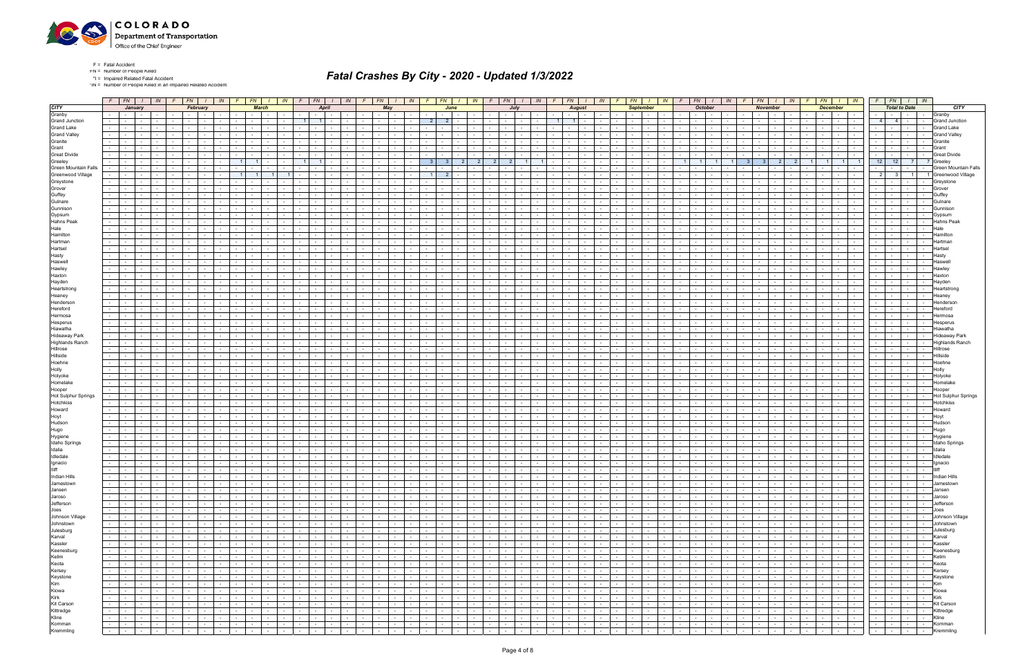

\*IN = Number of People Killed in an Impaired Related Accident

| <b>CITY</b>                     |                  | $F$ $FN$ $I$                                    | January                       | IN                                          |                                             | $F$   $FN$   $I$<br>February | IN                              | F                    | FN<br><b>March</b>          | $\sqrt{1}$ $\sqrt{N}$                                                                                                                                                                                                                             |            | $F \mid FN$<br>$1 \mid W$<br>April                                                            |                             |                                                  | $FN$ $I$ $IN$<br>May                                 |        | FN                                                                   | June                            | IN                           | F –                                      | FN 1<br>July                  | IN                                             | $F$   $FN$   $1$                                                                                              | <b>August</b>      | IN                                 |                                                    | FN  <br><b>September</b>                      | $IN$ $F$                                               |                                                       | $FN$ $\vert$ $\vert$<br><b>October</b>       | <i>IN</i>                              | FN                                                         | $1 \parallel IN$<br><b>November</b>                                                                                                                                                                                            |                                    | <b>December</b>                           | $FN$ $I$ $IN$                                                                                                   |                  | $F$ $FN$ $I$ $IN$<br><b>Total to Date</b>                                                                                        |                          |                | <b>CITY</b>                     |
|---------------------------------|------------------|-------------------------------------------------|-------------------------------|---------------------------------------------|---------------------------------------------|------------------------------|---------------------------------|----------------------|-----------------------------|---------------------------------------------------------------------------------------------------------------------------------------------------------------------------------------------------------------------------------------------------|------------|-----------------------------------------------------------------------------------------------|-----------------------------|--------------------------------------------------|------------------------------------------------------|--------|----------------------------------------------------------------------|---------------------------------|------------------------------|------------------------------------------|-------------------------------|------------------------------------------------|---------------------------------------------------------------------------------------------------------------|--------------------|------------------------------------|----------------------------------------------------|-----------------------------------------------|--------------------------------------------------------|-------------------------------------------------------|----------------------------------------------|----------------------------------------|------------------------------------------------------------|--------------------------------------------------------------------------------------------------------------------------------------------------------------------------------------------------------------------------------|------------------------------------|-------------------------------------------|-----------------------------------------------------------------------------------------------------------------|------------------|----------------------------------------------------------------------------------------------------------------------------------|--------------------------|----------------|---------------------------------|
| Granby                          |                  |                                                 | the collection                |                                             |                                             |                              |                                 |                      |                             |                                                                                                                                                                                                                                                   |            | $\sim$ $-$                                                                                    |                             | $\sim$                                           | $\sim$ 10 $\pm$                                      |        |                                                                      |                                 |                              |                                          | the contract of               |                                                | <b>Service</b>                                                                                                | $\sim$             |                                    |                                                    | $\sim$                                        |                                                        |                                                       |                                              |                                        | $\sim$                                                     | <b>Service</b><br>$\sim$                                                                                                                                                                                                       |                                    | $\sim$                                    | <b>Contract</b>                                                                                                 | $\sim$ 100 $\mu$ | $\sim$                                                                                                                           |                          | $\sim$         | Granby                          |
| <b>Grand Junction</b>           |                  | $\sim$                                          | $\sim$                        |                                             |                                             |                              |                                 |                      |                             |                                                                                                                                                                                                                                                   |            | $\overline{1}$<br>$\overline{1}$                                                              |                             | $\sim$                                           |                                                      |        | $\overline{2}$<br>2 <sup>1</sup>                                     |                                 |                              |                                          |                               |                                                | $\overline{1}$                                                                                                |                    |                                    |                                                    |                                               |                                                        |                                                       |                                              |                                        |                                                            |                                                                                                                                                                                                                                |                                    |                                           |                                                                                                                 | 4 <sup>1</sup>   | 4 <sup>1</sup>                                                                                                                   |                          | $\sim$         | <b>Grand Junction</b>           |
| <b>Grand Lake</b>               | $\sim 100$       | $\sim$ $-$                                      | $\sim$                        |                                             |                                             |                              |                                 |                      |                             |                                                                                                                                                                                                                                                   |            |                                                                                               |                             | $\sim$                                           |                                                      |        |                                                                      |                                 |                              | $\sim$                                   |                               |                                                |                                                                                                               |                    |                                    |                                                    |                                               |                                                        |                                                       |                                              |                                        | $\sim$                                                     |                                                                                                                                                                                                                                |                                    | $\sim$                                    |                                                                                                                 |                  |                                                                                                                                  |                          | $\sim$         | <b>Grand Lake</b>               |
| <b>Grand Valley</b>             |                  |                                                 |                               |                                             |                                             |                              |                                 |                      |                             |                                                                                                                                                                                                                                                   |            |                                                                                               |                             |                                                  |                                                      |        |                                                                      |                                 |                              |                                          |                               |                                                |                                                                                                               |                    |                                    |                                                    |                                               |                                                        |                                                       |                                              |                                        |                                                            |                                                                                                                                                                                                                                |                                    |                                           |                                                                                                                 |                  |                                                                                                                                  |                          |                | <b>Grand Valley</b>             |
| Granite                         |                  |                                                 |                               |                                             |                                             |                              |                                 |                      |                             |                                                                                                                                                                                                                                                   |            |                                                                                               |                             |                                                  |                                                      |        |                                                                      |                                 |                              |                                          |                               |                                                |                                                                                                               |                    |                                    |                                                    |                                               |                                                        |                                                       |                                              |                                        |                                                            |                                                                                                                                                                                                                                |                                    |                                           |                                                                                                                 |                  |                                                                                                                                  |                          |                | Granite                         |
| Grant                           |                  |                                                 |                               |                                             |                                             |                              |                                 |                      |                             |                                                                                                                                                                                                                                                   |            |                                                                                               |                             |                                                  |                                                      |        |                                                                      |                                 |                              |                                          |                               |                                                |                                                                                                               |                    |                                    |                                                    |                                               |                                                        |                                                       |                                              |                                        |                                                            |                                                                                                                                                                                                                                |                                    |                                           |                                                                                                                 |                  |                                                                                                                                  |                          | $\sim$         | Grant                           |
| <b>Great Divide</b>             |                  | $\sim$                                          | $\sim$                        |                                             |                                             |                              |                                 |                      |                             |                                                                                                                                                                                                                                                   |            |                                                                                               |                             |                                                  |                                                      |        | 3 <sup>1</sup>                                                       |                                 |                              | 2 <sup>1</sup><br>2                      |                               |                                                |                                                                                                               |                    |                                    |                                                    |                                               |                                                        |                                                       |                                              |                                        |                                                            |                                                                                                                                                                                                                                |                                    |                                           | 11                                                                                                              | 12               | 12                                                                                                                               | 7 <sup>1</sup>           |                | <b>Great Divide</b><br>7 Greele |
| Greeley<br>Green Mountain Falls | $\sim 100$       | $\sim$                                          |                               |                                             |                                             |                              |                                 |                      |                             |                                                                                                                                                                                                                                                   |            |                                                                                               |                             | $\sim$                                           |                                                      |        |                                                                      |                                 |                              |                                          |                               |                                                |                                                                                                               |                    |                                    |                                                    |                                               |                                                        |                                                       |                                              |                                        |                                                            |                                                                                                                                                                                                                                |                                    |                                           |                                                                                                                 |                  |                                                                                                                                  |                          |                | Green Mountain Falls            |
| Greenwood Village               | $\sim$           |                                                 |                               |                                             |                                             |                              |                                 |                      |                             |                                                                                                                                                                                                                                                   |            |                                                                                               |                             |                                                  |                                                      |        |                                                                      |                                 |                              |                                          |                               |                                                |                                                                                                               |                    |                                    |                                                    |                                               |                                                        |                                                       |                                              |                                        |                                                            |                                                                                                                                                                                                                                |                                    |                                           |                                                                                                                 | $\overline{2}$   |                                                                                                                                  |                          |                | Greenwood Village               |
| Greystone                       | $\sim$           |                                                 |                               |                                             |                                             |                              |                                 |                      |                             |                                                                                                                                                                                                                                                   |            |                                                                                               |                             |                                                  |                                                      |        |                                                                      |                                 |                              |                                          |                               |                                                |                                                                                                               |                    |                                    |                                                    |                                               |                                                        |                                                       |                                              |                                        |                                                            |                                                                                                                                                                                                                                |                                    |                                           |                                                                                                                 |                  |                                                                                                                                  |                          |                | Greystone                       |
| Grover                          | $\sim$           |                                                 | $\sim$                        |                                             |                                             |                              |                                 |                      |                             |                                                                                                                                                                                                                                                   |            |                                                                                               |                             |                                                  |                                                      |        |                                                                      |                                 |                              |                                          |                               |                                                |                                                                                                               |                    |                                    |                                                    |                                               |                                                        |                                                       |                                              |                                        |                                                            |                                                                                                                                                                                                                                |                                    |                                           |                                                                                                                 |                  |                                                                                                                                  |                          |                | Grover                          |
| Guffey                          |                  |                                                 |                               |                                             |                                             |                              |                                 |                      |                             |                                                                                                                                                                                                                                                   |            |                                                                                               |                             |                                                  |                                                      |        |                                                                      |                                 |                              |                                          |                               |                                                |                                                                                                               |                    |                                    |                                                    |                                               |                                                        |                                                       |                                              |                                        |                                                            |                                                                                                                                                                                                                                |                                    |                                           |                                                                                                                 |                  |                                                                                                                                  |                          |                | Guffey                          |
| Gulnare                         | $\sim$           |                                                 |                               |                                             |                                             |                              |                                 |                      |                             |                                                                                                                                                                                                                                                   |            |                                                                                               |                             |                                                  |                                                      |        |                                                                      |                                 |                              |                                          |                               |                                                |                                                                                                               |                    |                                    |                                                    |                                               |                                                        |                                                       |                                              |                                        |                                                            |                                                                                                                                                                                                                                |                                    |                                           |                                                                                                                 |                  |                                                                                                                                  |                          |                | Gulnare                         |
| Gunnison                        | $\sim$           |                                                 | $\overline{\phantom{a}}$      |                                             |                                             |                              |                                 |                      |                             |                                                                                                                                                                                                                                                   |            |                                                                                               |                             |                                                  |                                                      |        |                                                                      |                                 |                              |                                          |                               |                                                |                                                                                                               |                    |                                    |                                                    |                                               |                                                        |                                                       |                                              |                                        |                                                            |                                                                                                                                                                                                                                |                                    |                                           |                                                                                                                 |                  |                                                                                                                                  |                          |                | Gunniso                         |
| Gypsum                          |                  |                                                 |                               |                                             |                                             |                              |                                 |                      |                             |                                                                                                                                                                                                                                                   |            |                                                                                               |                             |                                                  |                                                      |        |                                                                      |                                 |                              |                                          |                               |                                                |                                                                                                               |                    |                                    |                                                    |                                               |                                                        |                                                       |                                              |                                        |                                                            |                                                                                                                                                                                                                                |                                    |                                           |                                                                                                                 |                  |                                                                                                                                  |                          |                |                                 |
| <b>Hahns Peak</b>               | $\sim$           |                                                 |                               |                                             |                                             |                              |                                 |                      |                             |                                                                                                                                                                                                                                                   |            |                                                                                               |                             |                                                  |                                                      |        |                                                                      |                                 |                              |                                          |                               |                                                |                                                                                                               |                    |                                    |                                                    |                                               |                                                        |                                                       |                                              |                                        |                                                            |                                                                                                                                                                                                                                |                                    |                                           |                                                                                                                 |                  |                                                                                                                                  |                          |                | Hahns Peal                      |
| Hale                            |                  |                                                 |                               |                                             |                                             |                              |                                 |                      |                             |                                                                                                                                                                                                                                                   |            |                                                                                               |                             |                                                  |                                                      |        |                                                                      |                                 |                              |                                          |                               |                                                |                                                                                                               |                    |                                    |                                                    |                                               |                                                        |                                                       |                                              |                                        |                                                            |                                                                                                                                                                                                                                |                                    |                                           |                                                                                                                 |                  |                                                                                                                                  |                          |                |                                 |
| Hamilton<br>Hartman             | $\sim 100$       |                                                 |                               |                                             |                                             |                              |                                 |                      |                             |                                                                                                                                                                                                                                                   |            |                                                                                               |                             |                                                  |                                                      |        |                                                                      |                                 |                              |                                          |                               |                                                |                                                                                                               |                    |                                    |                                                    |                                               |                                                        |                                                       |                                              |                                        |                                                            |                                                                                                                                                                                                                                |                                    |                                           |                                                                                                                 |                  |                                                                                                                                  |                          |                | Hamilto                         |
| Hartsel                         |                  |                                                 |                               |                                             |                                             |                              |                                 |                      |                             |                                                                                                                                                                                                                                                   |            |                                                                                               |                             |                                                  |                                                      |        |                                                                      |                                 |                              |                                          |                               |                                                |                                                                                                               |                    |                                    |                                                    |                                               |                                                        |                                                       |                                              |                                        |                                                            |                                                                                                                                                                                                                                |                                    |                                           |                                                                                                                 |                  |                                                                                                                                  |                          |                | Hartse                          |
| Hasty                           |                  |                                                 |                               |                                             |                                             |                              |                                 |                      |                             |                                                                                                                                                                                                                                                   |            |                                                                                               |                             |                                                  |                                                      |        |                                                                      |                                 |                              |                                          |                               |                                                |                                                                                                               |                    |                                    |                                                    |                                               |                                                        |                                                       |                                              |                                        |                                                            |                                                                                                                                                                                                                                |                                    |                                           |                                                                                                                 |                  |                                                                                                                                  |                          |                | Hastv                           |
| Haswell                         | $\sim 100$       |                                                 |                               |                                             |                                             |                              |                                 |                      |                             |                                                                                                                                                                                                                                                   |            |                                                                                               |                             |                                                  |                                                      |        |                                                                      |                                 |                              |                                          |                               |                                                |                                                                                                               |                    |                                    |                                                    |                                               |                                                        |                                                       |                                              |                                        |                                                            |                                                                                                                                                                                                                                |                                    |                                           |                                                                                                                 |                  |                                                                                                                                  |                          |                | Haswe                           |
| Hawley                          |                  |                                                 |                               |                                             |                                             |                              |                                 |                      |                             |                                                                                                                                                                                                                                                   |            |                                                                                               |                             |                                                  |                                                      |        |                                                                      |                                 |                              |                                          |                               |                                                |                                                                                                               |                    |                                    |                                                    |                                               |                                                        |                                                       |                                              |                                        |                                                            |                                                                                                                                                                                                                                |                                    |                                           |                                                                                                                 |                  |                                                                                                                                  |                          |                | Hawley                          |
| Haxton                          | $\sim$           |                                                 |                               |                                             |                                             |                              |                                 |                      |                             |                                                                                                                                                                                                                                                   |            |                                                                                               |                             |                                                  |                                                      |        |                                                                      |                                 |                              |                                          |                               |                                                |                                                                                                               |                    |                                    |                                                    |                                               |                                                        |                                                       |                                              |                                        |                                                            |                                                                                                                                                                                                                                |                                    |                                           |                                                                                                                 |                  |                                                                                                                                  |                          |                | Haxton                          |
| Hayden                          |                  |                                                 |                               |                                             |                                             |                              |                                 |                      |                             |                                                                                                                                                                                                                                                   |            |                                                                                               |                             |                                                  |                                                      |        |                                                                      |                                 |                              |                                          |                               |                                                |                                                                                                               |                    |                                    |                                                    |                                               |                                                        |                                                       |                                              |                                        |                                                            |                                                                                                                                                                                                                                |                                    |                                           |                                                                                                                 |                  |                                                                                                                                  |                          |                | Havder                          |
| Heartstrong                     |                  |                                                 |                               |                                             |                                             |                              |                                 |                      |                             |                                                                                                                                                                                                                                                   |            |                                                                                               |                             |                                                  |                                                      |        |                                                                      |                                 |                              |                                          |                               |                                                |                                                                                                               |                    |                                    |                                                    |                                               |                                                        |                                                       |                                              |                                        |                                                            |                                                                                                                                                                                                                                |                                    |                                           |                                                                                                                 |                  |                                                                                                                                  |                          |                | Heartstror                      |
| Heaney                          | $\sim$ 100 $\mu$ | $\sim$                                          |                               |                                             |                                             |                              |                                 |                      |                             |                                                                                                                                                                                                                                                   |            |                                                                                               |                             | $\sim$                                           |                                                      |        |                                                                      |                                 |                              | $\sim$                                   | $\sim$                        |                                                |                                                                                                               |                    |                                    |                                                    |                                               |                                                        |                                                       |                                              |                                        |                                                            |                                                                                                                                                                                                                                |                                    |                                           |                                                                                                                 |                  |                                                                                                                                  |                          |                | Heane                           |
| Henderson                       |                  |                                                 |                               |                                             |                                             |                              |                                 |                      |                             |                                                                                                                                                                                                                                                   |            |                                                                                               |                             |                                                  |                                                      |        |                                                                      |                                 |                              |                                          |                               |                                                |                                                                                                               |                    |                                    |                                                    |                                               |                                                        |                                                       |                                              |                                        |                                                            |                                                                                                                                                                                                                                |                                    |                                           |                                                                                                                 |                  |                                                                                                                                  |                          |                | lenderso                        |
| Hereford<br>Hermosa             | $\sim$           |                                                 |                               |                                             |                                             |                              |                                 |                      |                             |                                                                                                                                                                                                                                                   |            |                                                                                               |                             | $\sim$                                           |                                                      |        |                                                                      |                                 |                              |                                          |                               |                                                |                                                                                                               |                    |                                    |                                                    |                                               |                                                        |                                                       |                                              |                                        |                                                            |                                                                                                                                                                                                                                |                                    |                                           |                                                                                                                 |                  |                                                                                                                                  |                          |                |                                 |
| Hesperus                        |                  |                                                 |                               |                                             |                                             |                              |                                 |                      |                             |                                                                                                                                                                                                                                                   |            |                                                                                               |                             |                                                  |                                                      |        |                                                                      |                                 |                              |                                          |                               |                                                |                                                                                                               |                    |                                    |                                                    |                                               |                                                        |                                                       |                                              |                                        |                                                            |                                                                                                                                                                                                                                |                                    |                                           |                                                                                                                 |                  |                                                                                                                                  |                          |                |                                 |
| Hiawatha                        |                  |                                                 |                               |                                             |                                             |                              |                                 |                      |                             |                                                                                                                                                                                                                                                   |            |                                                                                               |                             |                                                  |                                                      |        |                                                                      |                                 |                              |                                          |                               |                                                |                                                                                                               |                    |                                    |                                                    |                                               |                                                        |                                                       |                                              |                                        |                                                            |                                                                                                                                                                                                                                |                                    |                                           |                                                                                                                 |                  |                                                                                                                                  |                          |                |                                 |
| <b>Hideaway Park</b>            | $\sim 100$       | $\sim$ 100 $\mu$                                | $\sim$                        |                                             |                                             |                              |                                 |                      |                             |                                                                                                                                                                                                                                                   |            | $\sim$<br>$\sim$ $\sim$                                                                       |                             | $\sim$                                           | $\sim$                                               |        |                                                                      |                                 |                              | $\sim$                                   | $\sim$                        |                                                | $\sim$<br>$\sim$                                                                                              | $\sim$             |                                    |                                                    |                                               |                                                        |                                                       |                                              |                                        |                                                            |                                                                                                                                                                                                                                |                                    | $\sim$                                    |                                                                                                                 | $\sim$ 100 $\mu$ | $\sim$                                                                                                                           |                          | $\sim$         | Hideaway Park                   |
| <b>Highlands Ranch</b>          |                  |                                                 |                               |                                             |                                             |                              |                                 |                      |                             |                                                                                                                                                                                                                                                   |            |                                                                                               |                             |                                                  |                                                      |        |                                                                      |                                 |                              |                                          |                               |                                                |                                                                                                               |                    |                                    |                                                    |                                               |                                                        |                                                       |                                              |                                        |                                                            |                                                                                                                                                                                                                                |                                    |                                           |                                                                                                                 |                  |                                                                                                                                  |                          |                | Highlands Ranch                 |
| Hillrose                        | $\sim$           | $\sim$                                          | $\sim$                        |                                             |                                             |                              |                                 |                      |                             |                                                                                                                                                                                                                                                   |            |                                                                                               |                             |                                                  |                                                      |        |                                                                      |                                 |                              |                                          |                               |                                                |                                                                                                               |                    |                                    |                                                    |                                               |                                                        |                                                       |                                              |                                        |                                                            |                                                                                                                                                                                                                                |                                    |                                           |                                                                                                                 |                  |                                                                                                                                  |                          | $\sim$         | Hillrose                        |
| Hillside                        | $\sim$           | $\sim 100$                                      | $\sim$                        |                                             |                                             |                              |                                 |                      |                             |                                                                                                                                                                                                                                                   |            | $\sim$<br>$\sim$ $\sim$                                                                       |                             | $\sim$                                           | $\sim$                                               |        |                                                                      |                                 |                              | $\sim$ $-$                               | $\sim$ $-$                    |                                                | $\sim$<br>$\sim$                                                                                              | $\sim$             |                                    |                                                    |                                               |                                                        |                                                       |                                              |                                        | $\sim$                                                     |                                                                                                                                                                                                                                |                                    | $\sim$                                    |                                                                                                                 | $\sim$ 100 $\mu$ |                                                                                                                                  |                          | $\sim$         | Hillside                        |
| Hoehne                          |                  |                                                 |                               |                                             |                                             |                              |                                 |                      |                             |                                                                                                                                                                                                                                                   |            |                                                                                               |                             |                                                  |                                                      |        |                                                                      |                                 |                              |                                          |                               |                                                |                                                                                                               |                    |                                    |                                                    |                                               |                                                        |                                                       |                                              |                                        |                                                            |                                                                                                                                                                                                                                |                                    |                                           |                                                                                                                 |                  |                                                                                                                                  |                          |                | Hoehn                           |
| Holly                           | $\sim$           |                                                 |                               |                                             |                                             |                              |                                 |                      |                             |                                                                                                                                                                                                                                                   |            |                                                                                               |                             |                                                  |                                                      |        |                                                                      |                                 |                              |                                          |                               |                                                |                                                                                                               |                    |                                    |                                                    |                                               |                                                        |                                                       |                                              |                                        |                                                            |                                                                                                                                                                                                                                |                                    |                                           |                                                                                                                 |                  |                                                                                                                                  |                          |                | Holly                           |
| Holyoke<br>Homelake             | $\sim 100$       | $\sim$ $-$                                      | $\sim$                        |                                             |                                             |                              |                                 |                      |                             |                                                                                                                                                                                                                                                   |            | $\sim$                                                                                        |                             | $\sim$                                           |                                                      |        |                                                                      |                                 |                              | $\sim$                                   | $\sim$ $-$                    |                                                | $\sim$                                                                                                        | $\sim$             |                                    |                                                    |                                               |                                                        |                                                       |                                              |                                        | $\sim$                                                     |                                                                                                                                                                                                                                |                                    | $\sim$                                    | $\sim$                                                                                                          |                  | $\sim$                                                                                                                           |                          | $\sim$         | Holvoke                         |
| Hooper                          |                  | $\sim$ $-$                                      | $\sim$                        |                                             |                                             |                              |                                 |                      |                             |                                                                                                                                                                                                                                                   |            |                                                                                               |                             |                                                  |                                                      |        |                                                                      |                                 |                              |                                          |                               |                                                |                                                                                                               |                    |                                    |                                                    |                                               |                                                        |                                                       |                                              |                                        |                                                            |                                                                                                                                                                                                                                |                                    |                                           |                                                                                                                 |                  |                                                                                                                                  |                          |                | Hooper                          |
| Hot Sulphur Springs             | $\sim$           |                                                 |                               |                                             |                                             |                              |                                 |                      |                             |                                                                                                                                                                                                                                                   |            |                                                                                               |                             |                                                  |                                                      |        |                                                                      |                                 |                              |                                          |                               |                                                |                                                                                                               |                    |                                    |                                                    |                                               |                                                        |                                                       |                                              |                                        |                                                            |                                                                                                                                                                                                                                |                                    |                                           |                                                                                                                 |                  |                                                                                                                                  |                          |                | Hot Sulphur Springs             |
| Hotchkiss                       | $\sim$           |                                                 |                               |                                             |                                             |                              |                                 |                      |                             |                                                                                                                                                                                                                                                   |            |                                                                                               |                             |                                                  |                                                      |        |                                                                      |                                 |                              |                                          |                               |                                                |                                                                                                               |                    |                                    |                                                    |                                               |                                                        |                                                       |                                              |                                        |                                                            |                                                                                                                                                                                                                                |                                    |                                           |                                                                                                                 |                  |                                                                                                                                  |                          |                | Hotchkiss                       |
| Howard                          | $\sim$           |                                                 |                               |                                             |                                             |                              |                                 |                      |                             |                                                                                                                                                                                                                                                   |            |                                                                                               |                             |                                                  |                                                      |        |                                                                      |                                 |                              |                                          |                               |                                                |                                                                                                               |                    |                                    |                                                    |                                               |                                                        |                                                       |                                              |                                        |                                                            |                                                                                                                                                                                                                                |                                    |                                           |                                                                                                                 |                  |                                                                                                                                  |                          | $\sim$         | Howard                          |
| Hoyt                            |                  |                                                 |                               |                                             |                                             |                              |                                 |                      |                             |                                                                                                                                                                                                                                                   |            |                                                                                               |                             |                                                  |                                                      |        |                                                                      |                                 |                              |                                          |                               |                                                |                                                                                                               |                    |                                    |                                                    |                                               |                                                        |                                                       |                                              |                                        |                                                            |                                                                                                                                                                                                                                |                                    |                                           |                                                                                                                 |                  |                                                                                                                                  |                          |                |                                 |
| Hudson                          |                  |                                                 |                               |                                             |                                             |                              |                                 |                      |                             |                                                                                                                                                                                                                                                   |            |                                                                                               |                             |                                                  |                                                      |        |                                                                      |                                 |                              |                                          |                               |                                                |                                                                                                               |                    |                                    |                                                    |                                               |                                                        |                                                       |                                              |                                        |                                                            |                                                                                                                                                                                                                                |                                    |                                           |                                                                                                                 |                  |                                                                                                                                  |                          |                | Hudson                          |
| Hugo                            | $\sim$           |                                                 |                               |                                             |                                             |                              |                                 |                      |                             |                                                                                                                                                                                                                                                   |            |                                                                                               |                             |                                                  |                                                      |        |                                                                      |                                 |                              |                                          |                               |                                                |                                                                                                               |                    |                                    |                                                    |                                               |                                                        |                                                       |                                              |                                        |                                                            |                                                                                                                                                                                                                                |                                    |                                           |                                                                                                                 |                  |                                                                                                                                  |                          | $\sim$         | Hugo                            |
| Hygiene<br>Idaho Springs        |                  |                                                 |                               |                                             |                                             |                              |                                 |                      |                             |                                                                                                                                                                                                                                                   |            |                                                                                               |                             |                                                  |                                                      |        |                                                                      |                                 |                              |                                          |                               |                                                |                                                                                                               |                    |                                    |                                                    |                                               |                                                        |                                                       |                                              |                                        |                                                            |                                                                                                                                                                                                                                |                                    |                                           |                                                                                                                 |                  |                                                                                                                                  |                          |                |                                 |
| Idalia                          | $\sim$           |                                                 |                               |                                             |                                             |                              |                                 |                      |                             |                                                                                                                                                                                                                                                   |            |                                                                                               |                             |                                                  |                                                      |        |                                                                      |                                 |                              |                                          |                               |                                                |                                                                                                               |                    |                                    |                                                    |                                               |                                                        |                                                       |                                              |                                        |                                                            |                                                                                                                                                                                                                                |                                    |                                           |                                                                                                                 |                  |                                                                                                                                  |                          |                | <b>Idaho Springs</b>            |
| Idledale                        |                  |                                                 |                               |                                             |                                             |                              |                                 |                      |                             |                                                                                                                                                                                                                                                   |            |                                                                                               |                             |                                                  |                                                      |        |                                                                      |                                 |                              |                                          |                               |                                                |                                                                                                               |                    |                                    |                                                    |                                               |                                                        |                                                       |                                              |                                        |                                                            |                                                                                                                                                                                                                                |                                    |                                           |                                                                                                                 |                  |                                                                                                                                  |                          |                | Idledal                         |
| Ignacio                         | $\sim$           | $\sim$ $-$                                      | $\sim$                        |                                             | $\sim$                                      |                              |                                 |                      |                             | $\sim$                                                                                                                                                                                                                                            | $\sim$ $-$ | $\sim$<br>$\sim$ $ \sim$<br>$\sim$<br>$\sim$                                                  |                             | $\sim$                                           | $\sim$                                               |        | $\sim$                                                               |                                 |                              | $\sim$<br>$\sim$                         | $\sim$ $-$                    |                                                | $\sim$<br>$\sim$                                                                                              | $\sim$             |                                    |                                                    |                                               |                                                        |                                                       |                                              | $\sim$                                 | $\sim$                                                     | $\sim$                                                                                                                                                                                                                         |                                    | $\sim$                                    | $\sim$ $-$                                                                                                      | $\sim$ $-$       | $\sim$                                                                                                                           |                          | $\sim$         | Ignacio                         |
| <b>Illiff</b>                   | $\sim$           | $\sim 10^{-11}$                                 | $\sim$                        | $\sim$                                      | $\sim$                                      |                              |                                 |                      |                             |                                                                                                                                                                                                                                                   | $\sim$     | $\sim$                                                                                        |                             | $\sim$                                           |                                                      |        |                                                                      |                                 |                              | $\sim 100$<br>$\sim$ $-$                 | $\sim$                        |                                                | $\sim$<br>$\sim$                                                                                              | $\sim$             |                                    |                                                    |                                               |                                                        |                                                       |                                              |                                        | $\sim$                                                     |                                                                                                                                                                                                                                |                                    | $\sim$                                    |                                                                                                                 |                  |                                                                                                                                  |                          |                |                                 |
| Indian Hills                    |                  |                                                 |                               |                                             |                                             |                              |                                 |                      |                             | the contract of the con-                                                                                                                                                                                                                          |            | the contract of<br>the contract of the con-                                                   |                             | $\sim$ $\sim$ $\sim$<br>$\sim$ $-$               | $\sim$ $\sim$ $\sim$ $\sim$                          |        | $-1$                                                                 | the contract of the contract of |                              | $\sim$ $-$                               | the contract of the           | $-1 - 1 - 1 - 1 -$                             |                                                                                                               |                    | $\sim$ $\sim$ $\sim$ $\sim$        | $\sim$                                             | $\sim$ $-1$<br>$\sim$                         | $\mathbf{1}$ $\mathbf{1}$                              | $\sim$ 100 $\mu$                                      |                                              | $\sim 100$                             | $\sim$ $\sim$ $\sim$                                       |                                                                                                                                                                                                                                |                                    | $\sim$ $-$                                | $1 - 1 - 1$                                                                                                     |                  | $-1 - 1 - 1 - 1$                                                                                                                 |                          | $\sim$ $-$     | Indian Hills                    |
| Jamestown                       |                  | $-1 - 1$                                        | $\sim 100$                    | <b>Contract</b>                             | $\sim$                                      | <b>Common</b><br>$\sim$      | $\sim$ $-$                      | $\sim 100$           | <b>Contract</b>             | the contract of                                                                                                                                                                                                                                   |            | the contract of<br>the contract of                                                            | $\sim 10^{-10}$             | $\sim$ $-$                                       |                                                      | $\sim$ | $-1$                                                                 | the contract of                 | $\sim$ $ \sim$               | $\sim$ $\sim$                            | and the state of the state of |                                                |                                                                                                               | $\sim 10^{-11}$    | <b>Contract</b>                    | $\sim$                                             | $\sim 100$<br>$\sim$                          | $\sim$ $-$                                             | $\sim$<br><b>Contract</b>                             |                                              | $\sim$ $-$                             | the contract of the con-                                   | the contract of                                                                                                                                                                                                                | <b>Contract</b>                    | the contract of the con-                  | $\sim 10^{-11}$                                                                                                 |                  | .                                                                                                                                |                          |                | Jamestown                       |
| Jansen                          |                  |                                                 |                               | <b>Contract</b>                             | $    -$                                     | $\sim$                       | <b>Contract</b>                 |                      |                             |                                                                                                                                                                                                                                                   |            | the contract of<br>the contract of                                                            |                             | the contract of                                  | $\sim$ $\sim$ $\sim$ $\sim$                          |        | .                                                                    |                                 | $\sim$ $-$                   |                                          |                               | $\sim 10^{-10}$                                | the contract of the contract of the con-                                                                      |                    | <b>Contract</b>                    | $\sim$ $-$                                         | $\sim$<br>$\sim$ $\sim$ $\sim$                | $\mathbf{r}$ and $\mathbf{r}$                          | $\sim$                                                | the contract of                              | $\sim 10^{-11}$                        | the contract of the con-                                   | the contract of                                                                                                                                                                                                                |                                    |                                           |                                                                                                                 |                  | .                                                                                                                                |                          |                | Jansen                          |
| Jaroso<br>Jefferson             |                  | .                                               |                               | <b>Contract</b>                             |                                             | $\sim$ $-$                   | $\mathbf{I}$ and $\mathbf{I}$   | $\sim$ $\sim$ $\sim$ | $\sim 10^{-11}$             | and the state                                                                                                                                                                                                                                     |            | <b>Contract Contract</b><br>and the state of the state of                                     |                             |                                                  |                                                      |        | $-1 - 1$                                                             | $\sim 10^{-11}$                 | $\sim$ $-$                   | the contract of the contract of the con- |                               | $\sim 10^{-10}$                                |                                                                                                               | $\sim 10^{-11}$    | <b>Contract</b>                    | the contract of the contract of                    |                                               | <b>Service Contracts</b>                               | $\sim$ $-$<br>$\sim$ $\sim$ $\sim$                    | $\sim$ $-$                                   | $\sim 10^{-11}$                        | <b>Contract Contract</b>                                   | the contract of                                                                                                                                                                                                                | $\sim 10^{-10}$                    |                                           |                                                                                                                 |                  | $-1 - 1 - 1 - 1 -$                                                                                                               |                          |                | Jaroso                          |
| Joes                            | $\sim 100$       | <b>Andrew Park</b>                              | and the state of the state of | <b>Contract Contract</b>                    | the contract of                             | $\sim$                       | $\sim$ $-$                      | $\sim$ $-$           | $\sim$ $-$                  | the contract of the contract of the contract of the contract of the contract of the contract of the contract of the contract of the contract of the contract of the contract of the contract of the contract of the contract o<br>the contract of |            | .<br>the contract of<br>and the state of the state of                                         | $\sim 100$                  | $\sim 100$                                       | $-1 - 1 - 1 - 1 - 1$<br><b>Contract Contract</b>     | $\sim$ | $\sim$<br>$-1$                                                       | $\sim$ 100 $\mu$                | $\sim 10^{-1}$<br>$\sim$ $-$ | $\sim$ $  -$                             | the contract of               | <b>Contract Contract</b>                       | <b>Contract</b><br><b>Contract Contract</b>                                                                   | $\sim 100$         | <b>Contract</b><br>$\sim 100$      | $\sim$                                             | .<br>$\sim$ 100 $\mu$<br>$\sim$               | <b>Contract</b>                                        | $\sim 10^{-10}$<br>$\sim$<br><b>Contract Contract</b> | and the state of<br><b>Contract Contract</b> | $\sim$ $-$                             | $\sim$ $\sim$ $\sim$<br><b>Contract</b>                    | the contract of the contract of the con-<br>and the state                                                                                                                                                                      | <b>Contract Contract</b>           |                                           | .<br>$\sim$                                                                                                     |                  | and the state of the state of the state of the state of the state of the state of the state of the state of the<br>and the state | <b>Contract Contract</b> |                | Jefferson<br>Joes               |
| Johnson Village                 |                  | $-1 - 1 - 1 - 1$                                |                               | <b>Contract</b>                             | the contract of                             | $\sim$                       | <b>Contract</b>                 | $\sim 10^{-11}$      | <b>Contract Contract</b>    | the contract of                                                                                                                                                                                                                                   |            | the contract of<br>and the state                                                              | $\sim 10^{-10}$             | $\sim 10^{-11}$                                  | $\sim$ $\sim$ $\sim$ $\sim$                          | $\sim$ | $\sim$ $\sim$<br>$\sim 10^{-1}$                                      | <b>Contract</b>                 | $\sim$ $-$                   | the contract of the con-                 |                               | $\sim 10^{-10}$                                | the contract of                                                                                               | $\sim 100$         | <b>Contract</b>                    | $\sim$                                             | <b>Contract</b><br>$\sim$                     | $\sim$ $-$                                             | $\sim$<br><b>Contract</b>                             | <b>Contract Contract</b>                     | $\sim 10^{-11}$                        | the contract of                                            | the contract of                                                                                                                                                                                                                | <b>Contract</b>                    | $-1 - 1 - 1$                              | $\sim$ $-$                                                                                                      |                  |                                                                                                                                  |                          |                | Johnson Village                 |
| Johnstown                       |                  | the product of the second                       |                               |                                             | $-1$ . $-1$                                 |                              | the contract of                 |                      |                             | $-1 - 1 - 1 - 1$                                                                                                                                                                                                                                  |            | $-1 - 1 - 1 - 1 - 1$                                                                          |                             |                                                  | $-1 - 1 - 1 - 1 - 1$                                 |        | the contract of the con-                                             |                                 | $\sim$                       | the contract of the con-                 |                               |                                                |                                                                                                               |                    | $\sim$ $-$                         | $-1 - 1$                                           |                                               | $-1 - 1$                                               | $\sim 10^{-1}$<br>$\sim$ $\sim$                       | النجال جا                                    |                                        |                                                            |                                                                                                                                                                                                                                |                                    |                                           | $-1 - 1 - 1 - 1 - 1$                                                                                            |                  |                                                                                                                                  |                          |                | -   -   -   -  Johnstown        |
| Julesburg                       | $\sim 10^{-11}$  |                                                 | and the state of the state of | <b>Contract Contract</b>                    | the contract of the con-                    | $\sim$                       | $\sim$ $-$                      | $\sim$               | <b>Contract Contract</b>    | and the contract of the con-                                                                                                                                                                                                                      |            | the contract of<br>the contract of the con-                                                   | <b>Contract</b>             | $\sim 10^{-11}$                                  | <b>Contract Contract</b>                             | $\sim$ | <b>Service</b><br>$\sim$                                             | $\sim$ 100 $\mu$                | $\sim$ $-$                   | $\sim$ $\sim$ $\sim$                     | the contract of               | $\sim$ $-$                                     | $\sim$ $-$<br><b>Contract</b>                                                                                 | $\sim 10^{-11}$    | $\sim 100$                         | $\sim$                                             | $\sim 10^{-11}$<br>$\sim$ $-$                 | <b>Contract</b>                                        | $\sim$ $-$<br><b>Contract Contract</b>                | <b>Contract</b>                              | $\sim 100$<br><b>Contract Contract</b> | $\sim 10^{-11}$                                            | and the state of the state of                                                                                                                                                                                                  | <b>Contract Contract</b>           | .                                         | $\sim$                                                                                                          |                  | the contract of                                                                                                                  | and the state            |                | Julesburg                       |
| Karval                          |                  | the contract of the contract of the con-        |                               | $\sim 10^{-11}$                             | the contract of                             | $\sim$                       | <b>Contract</b>                 | $\sim$ $-$           | <b>Contract Contract</b>    | the contract of                                                                                                                                                                                                                                   |            | the contract of<br>and the state                                                              | <b>Contract</b>             | $\sim$ $-$                                       | $\sim$ $\sim$ $\sim$ $\sim$                          | $\sim$ | $\sim$ $\sim$<br>$\sim 10^{-1}$                                      | <b>Contract</b>                 | $\sim$ $-$                   |                                          |                               | $\sim 10^{-10}$                                | and the state of the state of the                                                                             | $\sim 100$         | <b>Contract</b>                    | $\sim$                                             | <b>Contract</b><br>$\sim$                     | $\sim$ $-$                                             | $\sim$<br><b>Contract</b>                             | <b>Contract</b>                              | $\sim 10^{-11}$                        | the contract of                                            | the contract of                                                                                                                                                                                                                | <b>Contract</b>                    | the contract of the con-                  | $\sim$ $-$                                                                                                      |                  | the contract of the con-                                                                                                         |                          |                | Karval                          |
| Kassler                         |                  | the product of the second                       |                               |                                             | <b>Contract Contract State</b>              | $\sim$                       | المستقبل                        | $\sim$ $\sim$        |                             | <b>Committee Street Section</b>                                                                                                                                                                                                                   |            | the contract of<br><b>Contract Contract</b>                                                   |                             |                                                  | .                                                    |        | the contract of the con-                                             |                                 | $\sim$                       |                                          |                               | $\sim 10^{-10}$                                | .                                                                                                             |                    | $\sim 10^{-10}$                    | $\sim 100$                                         | $\mathbf{I}$ $\mathbf{I}$                     | the contract of                                        | $\sim$ $-$<br>$\sim$ $\sim$                           | $\sim$ $\sim$                                | $\sim 10^{-11}$                        | the contract of                                            | <b>Committee</b>                                                                                                                                                                                                               | $\sim 10^{-10}$                    |                                           | .                                                                                                               |                  | -   -   -   -   Kassler                                                                                                          |                          |                |                                 |
| Keenesburg                      | $\sim 100$       |                                                 | and the state                 | $\sim$                                      | the contract of                             | $\sim$                       | $\sim$ $-$                      | $\sim 10^{-10}$      | $\sim 10^{-10}$             | the collection                                                                                                                                                                                                                                    |            | $\sim$ $\sim$ $\sim$<br>$\sim 100$<br>the contract of the contract of the                     | $\sim 10^{-10}$             | $\sim 100$                                       | .                                                    | $\sim$ | $\sim$ $\sim$<br>$\sim$                                              | <b>Contract</b>                 | $\sim$                       | $\sim$ $\sim$ $\sim$                     | and the control               | <b>Contract Contract</b>                       | $\sim 10^{-10}$<br><b>Contract</b>                                                                            | $\sim 10^{-11}$    | <b>Contract</b>                    | $\sim$                                             | $\sim$<br><b>Contract Contract</b>            | $\mathbf{I}$ and $\mathbf{I}$                          | $\sim$ $\sim$ $\sim$<br>$\sim$                        | <b>Contract Contract</b>                     | $\sim$ $-$                             | $\sim$ $\sim$<br>$\sim 10^{-11}$                           | the contract of                                                                                                                                                                                                                | <b>Contract Contract</b>           | and the contract of the contract of       | $\sim$ $-$                                                                                                      |                  | <b>Contract Contract</b>                                                                                                         | the contract             |                | Keenesburg                      |
| Kelim                           |                  | $-1 - 1 - 1 - 1$                                |                               | $\sim 10^{-11}$                             | the contract of                             | $\sim$                       | <b>Contract</b>                 | $\sim$ $\sim$        | $\sim 10^{-11}$             | the contract of                                                                                                                                                                                                                                   |            | the contract of<br>and the state of the state                                                 | <b>Contract</b>             | $\sim 10^{-10}$                                  | $\sim$ 100 $\pm$ 100 $\pm$                           | $\sim$ | $-1$                                                                 | and the contract of the con-    | $\sim$ $-$                   | the contract of the con-                 |                               | $\sim 10^{-10}$                                | .                                                                                                             |                    | <b>Contract</b>                    | $\sim 100$                                         | $\sim$ $-$                                    | the contract of the con-                               | $\sim$ $-$<br>$\sim 10^{-11}$                         | $\sim$ $\sim$ $\sim$                         | $\sim 10^{-11}$                        | $\sim$ $\sim$ $\sim$ $\sim$                                | the contract of                                                                                                                                                                                                                | <b>Contract</b>                    | $\sim$ $\sim$ $\sim$ $\sim$ $\sim$ $\sim$ |                                                                                                                 |                  | and the state of the state of                                                                                                    | <b>Contract Contract</b> |                | Kelim                           |
| Keota                           |                  | the contract of the contract of the con-        |                               | $\sim 10^{-10}$                             | <b>Contract</b>                             | $\sim 10^{-10}$<br>$\sim$    | <b>Contract</b>                 | $\sim 100$           |                             | المحال جال جا                                                                                                                                                                                                                                     |            | <b>Contract Contract</b><br>the contract of                                                   |                             | the contract of                                  | 1949 - Personal Property Corp.                       |        | $-1 - 1$                                                             | $\sim 100$ km s $^{-1}$         | $\sim$ $-$                   |                                          |                               | $\sim$ $\sim$ $\sim$                           | .                                                                                                             |                    | <b>Contract</b>                    | $\sim$                                             | $\sim$ $\sim$ $\sim$ $\sim$<br>$\sim 10^{-1}$ | $\sim 100$ km s $^{-1}$                                | $\sim 10^{-11}$<br>$\sim$ $\sim$ $\sim$               | $\sim 10^{-11}$                              | $\sim 10^{-11}$                        | the contract of                                            | and the control                                                                                                                                                                                                                | $\sim 10^{-10}$                    |                                           | .                                                                                                               |                  | the contract of                                                                                                                  | and the state            |                | Keota                           |
| Kersey<br>Keystone              |                  | $-1 - 1 - 1 - 1$<br><b>Second Second Second</b> |                               | <b>Contract Contract</b><br>$\sim 10^{-11}$ | the contract of the con-<br>the contract of | $\sim$<br>$\sim$             | <b>Contract</b><br>$\mathbf{I}$ | $\sim$ $\sim$ $\sim$ | $\sim$ $-$<br>$-1 - 1$      | the contract of<br><b>Contract Contract</b>                                                                                                                                                                                                       |            | and the con-<br>and the state of the state of<br><b>Carl Park</b><br><b>Contract Contract</b> |                             | $\sim$ $\sim$ $\sim$<br><b>Contract Contract</b> | and the state of the state of the state<br>1940 F.H. |        | the contract of the contract of the con-<br>the contract of the con- |                                 | $\sim$ $-$<br>$\sim$         | .                                        |                               | $\sim 10^{-10}$<br>$\sim$ $\sim$ $\sim$ $\sim$ | <b>Carolina College</b>                                                                                       | $\sim 10^{-11}$    | <b>Contract</b><br>$\sim 10^{-11}$ | the contract of the contract of<br>the contract of |                                               | the contract of the contract of the<br>the contract of | $\sim$<br>$  -$<br>$\sim 10^{-11}$<br>$\sim$ $\sim$   | $\sim$ $\sim$ $\sim$<br><b>Carl Carl</b>     | <b>Contract</b>                        | $\sim$ $\sim$ $\sim$<br><b>Contract</b><br>the contract of | and the state of the state<br><b>Committee</b>                                                                                                                                                                                 | <b>Contract</b><br>$\sim 10^{-10}$ |                                           | .<br>.                                                                                                          |                  | the contract of<br>-   -   -   -   Keystone                                                                                      | .                        |                | Kersey                          |
| Kim                             |                  | $-1 - 1 - 1$                                    |                               | <b>Contract</b>                             | $\sim 10^{-11}$                             | <b>Common</b><br>$\sim$      | $\sim 10^{-11}$                 | $\sim$               | $ -$                        | <b>Contract Contract</b>                                                                                                                                                                                                                          |            | the contract of<br>and the state                                                              |                             | the control of the                               | $\sim$ $\sim$ $\sim$                                 |        | the contract of                                                      | <b>Contract</b>                 | $\sim$ $-$                   |                                          |                               | $\sim 10^{-11}$                                | and the state of the state                                                                                    |                    | <b>Contract</b>                    | $\sim$                                             | $\sim$<br>$\sim$ $-$                          | $\sim$ $-$                                             | $\sim$<br><b>Contract</b>                             | $\sim$ $-$                                   | $\sim 10^{-11}$                        | <b>Carl Carl Carl</b>                                      | the contract of                                                                                                                                                                                                                | $\sim 10^{-11}$                    |                                           | .                                                                                                               |                  | <b>Contract Contract</b>                                                                                                         | <b>Contract Contract</b> |                | Kim                             |
| Kiowa                           |                  | $-1 - 1 - 1 - 1$                                |                               | $\sim$                                      | $-1 - 1$                                    | $\sim$                       | $\mathbf{1}$ and $\mathbf{1}$   | $\sim$ $\sim$ $\sim$ | $\sim$ $\sim$ $\sim$ $\sim$ | the contract of                                                                                                                                                                                                                                   |            | and the control<br>and the state of the state of                                              |                             | $\sim$ $\sim$ $\sim$                             | .                                                    |        | the contract of the contract of the con-                             |                                 | $\sim$ $-$                   | .                                        |                               | $\sim 10^{-10}$                                | and the characters of the con-                                                                                |                    | <b>Contract</b>                    | the contract of the contract of                    |                                               | the contract of                                        | $\sim$<br>$  -$                                       | $\sim$ $\sim$ $\sim$                         | <b>Contract</b>                        | the contract of the contract of the                        | and the state of the state                                                                                                                                                                                                     | <b>Contract</b>                    |                                           |                                                                                                                 |                  |                                                                                                                                  |                          |                | Kiowa                           |
| Kirk                            |                  | <b>Second Second Second</b>                     |                               | $\sim 10^{-11}$                             |                                             |                              | <b>Second Control</b>           |                      |                             | the contract of the contract of                                                                                                                                                                                                                   |            | <b>Contract Contract</b><br><b>Contract Contract</b>                                          |                             |                                                  | the collection of the collection                     |        | the contract of the con-                                             |                                 | $\sim$                       | the contract of the con-                 |                               | $\sim$ $-$                                     |                                                                                                               | 1940   1940   1940 | $\sim 10^{-11}$                    | the contract of                                    |                                               | <b>Service</b> Service                                 | $\sim 10^{-10}$<br>$\sim$ $\sim$ $\sim$               | <b>Carl Carl</b>                             |                                        | <b>Contract Contract</b>                                   | <b>Committee</b>                                                                                                                                                                                                               | $\sim$ $\sim$ $\sim$               |                                           | .                                                                                                               |                  | and the state of the state of the state of the state of the state of the state of the state of the state of the                  |                          |                | Kirk                            |
| Kit Carson                      |                  | the property of the con-                        |                               | $\sim 10^{-10}$                             | the contract of                             | $\sim$                       | <b>Contract</b>                 |                      |                             |                                                                                                                                                                                                                                                   |            | the contract of<br>and the state                                                              |                             |                                                  | the contract of the contract of the con-             |        | $-1 - 1 - 1$                                                         |                                 | $\sim$ $-$                   | and the later                            |                               | $\sim 10^{-10}$                                | 1989 - 1989 - 1989 - 1989 - 1989 - 1989 - 1989 - 1989 - 1989 - 1989 - 1989 - 1989 - 1989 - 1989 - 1989 - 1989 |                    | <b>Contract</b>                    | the contract of                                    |                                               | the contract of                                        | $\sim 10^{-11}$<br>$\sim$ $\sim$ $\sim$               | $\sim 10^{-11}$                              | $\sim$ $-$                             | $-1 - 1$                                                   | <b>Contract Contract</b>                                                                                                                                                                                                       | $\sim 10^{-10}$                    |                                           | .                                                                                                               |                  | the contract of                                                                                                                  | 1 - 1 -                  |                | <b>Kit Carson</b>               |
| Kittredge                       |                  |                                                 | $\sim 100$                    |                                             | the contract of                             | $\sim$                       | <b>Contract</b>                 | $\sim$ $\sim$ $\sim$ | $\sim 10^{-10}$             | the contract of                                                                                                                                                                                                                                   |            | the contract of<br>the collection                                                             | $\sim$ $\sim$ $\sim$ $\sim$ | $\sim 10^{-11}$                                  | $\sim$ $-$                                           | $\sim$ | $\sim$ $\sim$                                                        | the contract of the con-        | $\sim 10^{-1}$               | the contract of the con-                 |                               | <b>Contract Contract Street</b>                | .                                                                                                             |                    | <b>Contract</b>                    | $-1 - 1$                                           |                                               | the contract of                                        | $\sim$ $-$<br><b>Contract</b>                         | <b>Contract Contract</b>                     | $\sim$ $-$                             | the contract of                                            | and the state of the state                                                                                                                                                                                                     | <b>Contract</b>                    | $-1 - 1 - 1$                              | $\sim$ $-$                                                                                                      |                  | the contract of the contract of the                                                                                              |                          |                | -   - Kittredge                 |
| Kline                           |                  | <b>Andrew Park</b>                              |                               | $\sim$ $-$                                  | the contract of                             |                              | the contract of                 |                      |                             |                                                                                                                                                                                                                                                   |            | <b>Contract Contract</b><br>and the state                                                     |                             |                                                  | $-1 - 1 - 1 - 1 - 1$                                 |        | $-1 - 1 - 1 - 1$                                                     |                                 | $\sim 10^{-1}$               |                                          |                               |                                                |                                                                                                               |                    | $\sim 10^{-10}$                    |                                                    |                                               |                                                        | $\sim 10^{-11}$                                       | 1950 - 1950                                  |                                        |                                                            | the contract of the contract of the contract of the contract of the contract of the contract of the contract of the contract of the contract of the contract of the contract of the contract of the contract of the contract o |                                    |                                           | and the state of the state of the state of the state of the state of the state of the state of the state of the |                  |                                                                                                                                  |                          |                | Kline                           |
| Kornman                         | $\sim 10^{-1}$   | <b>Contract Contract</b>                        | $\sim 10^{-1}$                | $\sim 10^{-11}$                             | $\sim$ $-$                                  | $\sim$<br>$\sim$             | $\sim$                          | $\sim$               | $\sim 10^{-11}$             | <b>Service State</b>                                                                                                                                                                                                                              |            | $\sim$ $-$<br>$\sim 10^{-10}$<br>and the state                                                | $\sim 10^{-11}$             | $\sim$ $-$                                       | $\sim 10^{-10}$                                      | $\sim$ | $\sim$ $-$<br>$\sim 10^{-11}$                                        | $\sim 10^{-11}$                 | $\sim$ $-$                   | $\sim$ $-$                               | and the state                 | $\sim 10^{-11}$                                | $\sim 10^{-11}$<br><b>Contract</b>                                                                            | $\sim 10^{-1}$     | $\sim 10^{-11}$                    | $\sim$                                             | $\sim$<br>$\sim$ $-$                          | $\sim 10^{-11}$                                        | $\sim$<br>$\sim 10^{-11}$                             | $\sim 10^{-11}$                              | $\sim$ $\sim$<br>$\sim$ $-$            | $\sim 10^{-11}$                                            | the contract                                                                                                                                                                                                                   | $\sim 10^{-11}$                    | $\sim$ $-$                                | <b>Contract Contract</b><br>$\sim$                                                                              | $\sim$ $\sim$    | $\sim$                                                                                                                           | $\sim$ $\sim$ $\sim$     | $\sim 10^{-1}$ | Kornman                         |
| Kremmling                       |                  | $-1 - 1 - 1 - 1$                                |                               |                                             | .                                           |                              | $-1 - 1 - 1$                    |                      |                             |                                                                                                                                                                                                                                                   |            |                                                                                               |                             |                                                  | the contract of the contract of the con-             |        | the contract of the contract of the con-                             |                                 |                              | .                                        |                               |                                                |                                                                                                               |                    | <b>Contract</b>                    |                                                    |                                               |                                                        | <b>Contract</b>                                       | the contract of the contract of              | <b>Contract Contract</b>               |                                                            |                                                                                                                                                                                                                                |                                    |                                           | $-$ 1 $-$ 1 $-$ 1 $-$                                                                                           |                  | $-1$ $-1$                                                                                                                        |                          |                | - <b>Kremmling</b>              |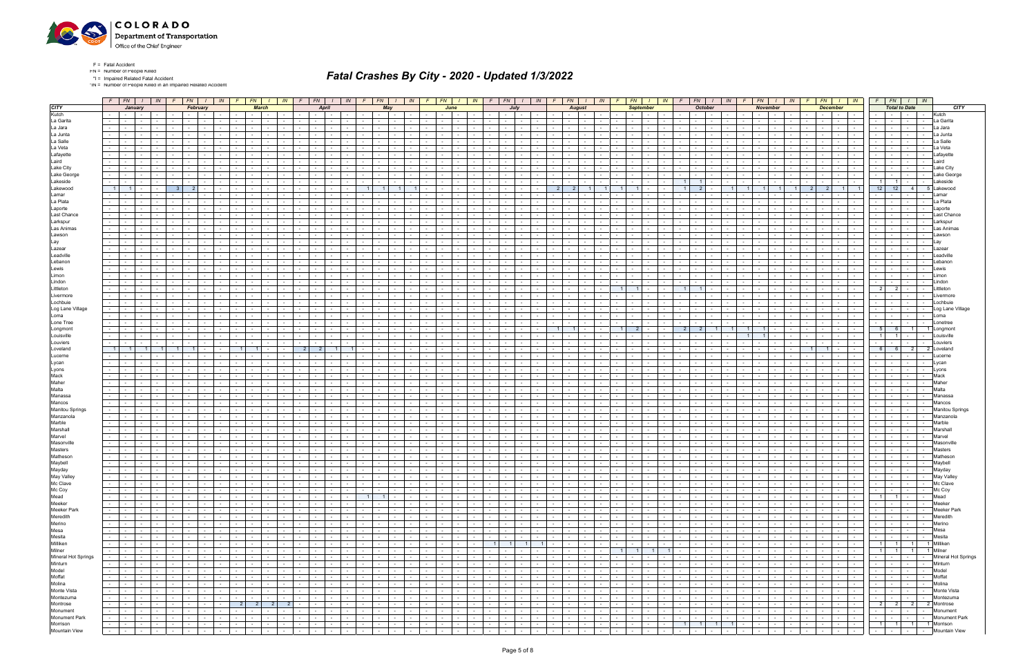

\*IN = Number of People Killed in an Impaired Related Accident

|                     |                     |                          |                                     | $F$ $FN$ $I$ $N$ | $F$ $FN$ $I$<br>IN                                            | $F$ $FN$<br>IN                                                                | $F$   $FN$   $I$                            | IN                                     | $F$ $FN$ $I$                                | IN             | $F$ $FN$ $I$                |                                        | IN              |                      | $F$   $FN$   $I$   $IN$                |            |                      | $F$ $FN$ $I$                            | IN                                  | $F$ $FN$ $I$<br>IN                                         | $F$   $FN$   $I$                                               | $FN$   $1$<br>IN<br>F                                                                                                                                                                                                          | IN              | $F \parallel$                                       | $FN$ $I$ $IN$                   | $F$ $FN$ $I$ $N$                    |                             |        |                        |
|---------------------|---------------------|--------------------------|-------------------------------------|------------------|---------------------------------------------------------------|-------------------------------------------------------------------------------|---------------------------------------------|----------------------------------------|---------------------------------------------|----------------|-----------------------------|----------------------------------------|-----------------|----------------------|----------------------------------------|------------|----------------------|-----------------------------------------|-------------------------------------|------------------------------------------------------------|----------------------------------------------------------------|--------------------------------------------------------------------------------------------------------------------------------------------------------------------------------------------------------------------------------|-----------------|-----------------------------------------------------|---------------------------------|-------------------------------------|-----------------------------|--------|------------------------|
|                     |                     |                          | January                             |                  | February                                                      | <b>March</b>                                                                  | <b>April</b>                                |                                        | May                                         |                |                             | June                                   |                 |                      | July                                   |            |                      | <b>August</b>                           |                                     | <b>September</b>                                           | <b>October</b>                                                 | <b>November</b>                                                                                                                                                                                                                |                 |                                                     | <b>December</b>                 |                                     | <b>Total to Date</b>        |        |                        |
|                     |                     | $\sim$ $\sim$ $\sim$     | $\sim 100$                          |                  | $\sim 10^{-11}$                                               |                                                                               |                                             |                                        | $\sim$                                      |                |                             |                                        |                 |                      |                                        |            |                      | $\sim$                                  |                                     | $\sim$                                                     |                                                                |                                                                                                                                                                                                                                |                 | $\sim$ $-$                                          |                                 |                                     |                             |        | Kutch                  |
|                     |                     | $\sim$                   |                                     |                  |                                                               |                                                                               |                                             |                                        | $\sim$                                      |                |                             |                                        |                 |                      |                                        |            |                      |                                         |                                     |                                                            |                                                                |                                                                                                                                                                                                                                |                 |                                                     | $\sim$<br>$\sim$                |                                     |                             | $\sim$ | La Garita              |
|                     | $\sim 10$           | $\sim$ $\sim$            | $\sim$                              |                  | $\sim$                                                        | $\sim$                                                                        | $\sim$ 10 $\pm$                             |                                        | $\sim$<br>$\sim$                            |                | $\sim$                      |                                        |                 |                      | $\sim$                                 |            |                      |                                         | $\sim$                              | $\sim$<br>$\sim$                                           |                                                                |                                                                                                                                                                                                                                |                 | $\sim$ $-$                                          | $\sim$                          | $\sim$                              | $\sim$                      | $\sim$ | La Jara                |
|                     |                     |                          |                                     |                  |                                                               |                                                                               |                                             |                                        |                                             |                |                             |                                        |                 |                      |                                        |            |                      |                                         |                                     |                                                            |                                                                |                                                                                                                                                                                                                                |                 |                                                     |                                 |                                     |                             |        | a Junta                |
|                     |                     |                          |                                     |                  |                                                               |                                                                               |                                             |                                        |                                             |                |                             |                                        |                 |                      |                                        |            |                      |                                         |                                     |                                                            |                                                                |                                                                                                                                                                                                                                |                 |                                                     |                                 |                                     |                             |        | a Salle                |
|                     | $\sim 10$           |                          | $\sim$                              |                  |                                                               |                                                                               |                                             |                                        |                                             |                |                             |                                        |                 |                      |                                        |            |                      |                                         |                                     |                                                            |                                                                |                                                                                                                                                                                                                                |                 |                                                     |                                 |                                     |                             |        |                        |
|                     |                     |                          |                                     |                  |                                                               |                                                                               |                                             |                                        |                                             |                |                             |                                        |                 |                      |                                        |            |                      |                                         |                                     |                                                            |                                                                |                                                                                                                                                                                                                                |                 |                                                     |                                 |                                     |                             |        | .afavette              |
|                     |                     |                          |                                     |                  |                                                               |                                                                               |                                             |                                        |                                             |                |                             |                                        |                 |                      |                                        |            |                      |                                         |                                     |                                                            |                                                                |                                                                                                                                                                                                                                |                 |                                                     |                                 |                                     |                             |        |                        |
|                     |                     |                          |                                     |                  |                                                               |                                                                               |                                             |                                        |                                             |                |                             |                                        |                 |                      |                                        |            |                      |                                         |                                     |                                                            |                                                                |                                                                                                                                                                                                                                |                 |                                                     |                                 |                                     |                             |        | Laird                  |
|                     | $\sim 10$           |                          | $\sim$                              |                  |                                                               |                                                                               |                                             |                                        |                                             |                |                             |                                        |                 |                      |                                        |            |                      |                                         |                                     |                                                            |                                                                |                                                                                                                                                                                                                                |                 |                                                     | $\sim$                          | $\sim$                              |                             |        | Lake Citv              |
|                     |                     |                          |                                     |                  |                                                               |                                                                               |                                             |                                        |                                             |                |                             |                                        |                 |                      |                                        |            |                      |                                         |                                     |                                                            |                                                                |                                                                                                                                                                                                                                |                 |                                                     |                                 |                                     |                             |        | Lake Georo             |
|                     | $\sim 100$          |                          | $\sim$                              |                  |                                                               |                                                                               |                                             |                                        |                                             |                |                             |                                        |                 |                      |                                        |            |                      |                                         |                                     |                                                            | - 1 1<br>$\overline{1}$                                        |                                                                                                                                                                                                                                |                 | $\sim$                                              |                                 | $\overline{1}$<br>$\overline{1}$    |                             |        | akeside.               |
|                     | $\overline{1}$      |                          |                                     |                  | 2 <sup>1</sup>                                                |                                                                               |                                             |                                        |                                             |                |                             |                                        |                 |                      |                                        |            |                      | -2                                      |                                     |                                                            | 2 <sup>1</sup>                                                 |                                                                                                                                                                                                                                |                 | 2 <sup>1</sup>                                      | $\blacksquare$                  | 12<br>12                            | 4 <sup>1</sup>              |        | Lakewood               |
|                     |                     |                          |                                     |                  |                                                               |                                                                               |                                             |                                        |                                             |                |                             |                                        |                 |                      |                                        |            |                      |                                         |                                     |                                                            |                                                                |                                                                                                                                                                                                                                |                 |                                                     |                                 |                                     |                             |        | amar                   |
|                     |                     |                          |                                     |                  |                                                               |                                                                               |                                             |                                        |                                             |                |                             |                                        |                 |                      |                                        |            |                      |                                         |                                     |                                                            |                                                                |                                                                                                                                                                                                                                |                 |                                                     |                                 |                                     |                             |        |                        |
|                     |                     |                          |                                     |                  |                                                               |                                                                               |                                             |                                        |                                             |                |                             |                                        |                 |                      |                                        |            |                      |                                         |                                     |                                                            |                                                                |                                                                                                                                                                                                                                |                 |                                                     |                                 |                                     |                             |        | La Plata               |
|                     |                     |                          |                                     |                  |                                                               |                                                                               |                                             |                                        |                                             |                |                             |                                        |                 |                      |                                        |            |                      |                                         |                                     |                                                            |                                                                |                                                                                                                                                                                                                                |                 |                                                     |                                 |                                     |                             |        | _aporte                |
|                     |                     |                          |                                     |                  |                                                               |                                                                               |                                             |                                        |                                             |                |                             |                                        |                 |                      |                                        |            |                      |                                         |                                     |                                                            |                                                                |                                                                                                                                                                                                                                |                 |                                                     |                                 |                                     |                             |        | Last Chance            |
|                     |                     |                          |                                     |                  |                                                               |                                                                               |                                             |                                        |                                             |                |                             |                                        |                 |                      |                                        |            |                      |                                         |                                     |                                                            |                                                                |                                                                                                                                                                                                                                |                 |                                                     |                                 |                                     |                             |        | Larkspur               |
|                     |                     |                          |                                     |                  |                                                               |                                                                               |                                             |                                        |                                             |                |                             |                                        |                 |                      |                                        |            |                      |                                         |                                     |                                                            |                                                                |                                                                                                                                                                                                                                |                 |                                                     |                                 |                                     |                             |        | Las Anima:             |
|                     |                     |                          |                                     |                  |                                                               |                                                                               |                                             |                                        |                                             |                |                             |                                        |                 |                      |                                        |            |                      |                                         |                                     |                                                            |                                                                |                                                                                                                                                                                                                                |                 |                                                     |                                 |                                     |                             |        | Lawson                 |
|                     |                     |                          |                                     |                  |                                                               |                                                                               |                                             |                                        |                                             |                |                             |                                        |                 |                      |                                        |            |                      |                                         |                                     |                                                            |                                                                |                                                                                                                                                                                                                                |                 |                                                     |                                 |                                     |                             |        |                        |
|                     |                     |                          |                                     |                  |                                                               |                                                                               |                                             |                                        |                                             |                |                             |                                        |                 |                      |                                        |            |                      |                                         |                                     |                                                            |                                                                |                                                                                                                                                                                                                                |                 |                                                     |                                 |                                     |                             |        |                        |
|                     |                     |                          |                                     |                  |                                                               |                                                                               |                                             |                                        |                                             |                |                             |                                        |                 |                      |                                        |            |                      |                                         |                                     |                                                            |                                                                |                                                                                                                                                                                                                                |                 |                                                     |                                 |                                     |                             |        | Lazea                  |
|                     |                     |                          |                                     |                  |                                                               |                                                                               |                                             |                                        |                                             |                |                             |                                        |                 |                      |                                        |            |                      |                                         |                                     |                                                            |                                                                |                                                                                                                                                                                                                                |                 |                                                     |                                 |                                     |                             |        | _eadvill               |
|                     |                     |                          |                                     |                  |                                                               |                                                                               |                                             |                                        |                                             |                |                             |                                        |                 |                      |                                        |            |                      |                                         |                                     |                                                            |                                                                |                                                                                                                                                                                                                                |                 |                                                     |                                 |                                     |                             |        | _ebanor                |
|                     |                     |                          |                                     |                  |                                                               |                                                                               |                                             |                                        |                                             |                |                             |                                        |                 |                      |                                        |            |                      |                                         |                                     |                                                            |                                                                |                                                                                                                                                                                                                                |                 |                                                     |                                 |                                     |                             |        | _ewis                  |
|                     | $\sim 100$          | $\sim$                   | $\sim$                              |                  |                                                               |                                                                               | $\sim$                                      |                                        | $\sim$                                      |                | $\overline{\phantom{a}}$    |                                        |                 |                      |                                        |            |                      |                                         | $\sim$                              | $\sim$                                                     |                                                                |                                                                                                                                                                                                                                |                 | $\sim$                                              |                                 | $\sim$                              |                             |        | Limon                  |
|                     |                     |                          |                                     |                  |                                                               |                                                                               |                                             |                                        |                                             |                |                             |                                        |                 |                      |                                        |            |                      |                                         |                                     |                                                            |                                                                |                                                                                                                                                                                                                                |                 |                                                     |                                 |                                     |                             |        |                        |
|                     |                     |                          |                                     |                  |                                                               |                                                                               |                                             |                                        |                                             |                |                             |                                        |                 |                      |                                        |            |                      |                                         |                                     | $\overline{1}$                                             |                                                                |                                                                                                                                                                                                                                |                 |                                                     |                                 | 2 <sup>1</sup><br>- 21              |                             |        | _ittletor              |
|                     |                     |                          | $\sim$                              |                  |                                                               | $\sim$                                                                        | $\sim$                                      |                                        | $\sim$                                      |                |                             |                                        |                 |                      |                                        |            |                      |                                         |                                     |                                                            |                                                                |                                                                                                                                                                                                                                |                 | $\sim$                                              |                                 |                                     |                             |        |                        |
|                     |                     |                          |                                     |                  |                                                               |                                                                               |                                             |                                        |                                             |                |                             |                                        |                 |                      |                                        |            |                      |                                         |                                     |                                                            |                                                                |                                                                                                                                                                                                                                |                 |                                                     |                                 |                                     |                             |        | Lochbuie               |
|                     |                     |                          |                                     |                  |                                                               |                                                                               |                                             |                                        |                                             |                |                             |                                        |                 |                      |                                        |            |                      |                                         |                                     |                                                            |                                                                |                                                                                                                                                                                                                                |                 |                                                     |                                 |                                     |                             |        |                        |
|                     |                     |                          |                                     |                  |                                                               |                                                                               |                                             |                                        |                                             |                |                             |                                        |                 |                      |                                        |            |                      |                                         |                                     |                                                            |                                                                |                                                                                                                                                                                                                                |                 |                                                     |                                 |                                     |                             |        | Log Lane Village       |
|                     | $\sim$              |                          | $\sim$                              |                  |                                                               | $\sim$                                                                        | $\sim$                                      |                                        | $\sim$                                      |                |                             |                                        |                 |                      |                                        |            |                      |                                         |                                     | $\sim$<br>$\sim$                                           |                                                                |                                                                                                                                                                                                                                |                 | $\sim$                                              | $\sim$                          | $\sim$                              | <b>Contract Contract</b>    | $\sim$ | Loma                   |
|                     |                     |                          |                                     |                  |                                                               |                                                                               |                                             |                                        |                                             |                |                             |                                        |                 |                      |                                        |            |                      |                                         |                                     |                                                            |                                                                |                                                                                                                                                                                                                                |                 |                                                     |                                 |                                     |                             |        | _onetree               |
|                     |                     |                          |                                     |                  |                                                               |                                                                               |                                             |                                        |                                             |                |                             |                                        |                 |                      |                                        |            |                      |                                         |                                     |                                                            | 2 <sup>1</sup><br>-2                                           | $\overline{1}$                                                                                                                                                                                                                 |                 |                                                     |                                 | 5<br>- 6                            |                             |        |                        |
|                     | $\sim 10$           |                          | $\sim$                              |                  |                                                               |                                                                               | $\sim$                                      |                                        |                                             |                | $\sim$                      |                                        |                 |                      |                                        |            |                      |                                         |                                     |                                                            |                                                                | $1 -$                                                                                                                                                                                                                          |                 | $\sim$                                              | $\sim$                          | 1 <sup>1</sup>                      |                             |        | l ouisville            |
|                     |                     |                          |                                     |                  |                                                               |                                                                               |                                             |                                        |                                             |                |                             |                                        |                 |                      |                                        |            |                      |                                         |                                     |                                                            |                                                                |                                                                                                                                                                                                                                |                 |                                                     |                                 |                                     |                             |        |                        |
|                     | $\overline{1}$      |                          |                                     |                  |                                                               | $\overline{1}$<br>$\overline{1}$                                              | 2<br>-2                                     |                                        |                                             |                |                             |                                        |                 |                      |                                        |            |                      |                                         |                                     |                                                            |                                                                |                                                                                                                                                                                                                                |                 | 1 I<br>$\overline{1}$                               |                                 | -61<br>6                            | 2                           |        |                        |
|                     |                     |                          |                                     |                  |                                                               |                                                                               |                                             |                                        |                                             |                |                             |                                        |                 |                      |                                        |            |                      |                                         |                                     |                                                            |                                                                |                                                                                                                                                                                                                                |                 |                                                     |                                 |                                     |                             |        |                        |
|                     |                     |                          |                                     |                  |                                                               |                                                                               |                                             |                                        |                                             |                | $\sim$                      |                                        |                 |                      |                                        |            |                      |                                         |                                     |                                                            |                                                                |                                                                                                                                                                                                                                |                 |                                                     |                                 |                                     |                             |        |                        |
|                     |                     |                          |                                     |                  |                                                               |                                                                               |                                             |                                        |                                             |                |                             |                                        |                 |                      |                                        |            |                      |                                         |                                     |                                                            |                                                                |                                                                                                                                                                                                                                |                 |                                                     |                                 |                                     |                             |        |                        |
|                     |                     | $\sim$                   | $\sim$                              |                  |                                                               |                                                                               |                                             |                                        |                                             |                |                             |                                        |                 |                      |                                        |            |                      |                                         |                                     |                                                            |                                                                |                                                                                                                                                                                                                                |                 |                                                     |                                 |                                     |                             |        | Lyons                  |
|                     |                     |                          |                                     |                  |                                                               |                                                                               |                                             |                                        |                                             |                |                             |                                        |                 |                      |                                        |            |                      |                                         |                                     |                                                            |                                                                |                                                                                                                                                                                                                                |                 |                                                     |                                 |                                     |                             |        | Mack                   |
|                     |                     |                          |                                     |                  |                                                               |                                                                               |                                             |                                        |                                             |                |                             |                                        |                 |                      |                                        |            |                      |                                         |                                     |                                                            |                                                                |                                                                                                                                                                                                                                |                 |                                                     |                                 |                                     |                             |        | Maher                  |
|                     |                     |                          | $\sim$                              |                  |                                                               |                                                                               |                                             |                                        |                                             |                |                             |                                        |                 |                      |                                        |            |                      |                                         |                                     |                                                            |                                                                |                                                                                                                                                                                                                                |                 |                                                     |                                 |                                     |                             |        |                        |
|                     |                     |                          |                                     |                  |                                                               |                                                                               |                                             |                                        |                                             |                |                             |                                        |                 |                      |                                        |            |                      |                                         |                                     |                                                            |                                                                |                                                                                                                                                                                                                                |                 |                                                     |                                 |                                     |                             |        | Manassa                |
|                     |                     |                          |                                     |                  |                                                               |                                                                               |                                             |                                        |                                             |                |                             |                                        |                 |                      |                                        |            |                      |                                         |                                     |                                                            |                                                                |                                                                                                                                                                                                                                |                 |                                                     |                                 |                                     |                             |        |                        |
|                     |                     |                          |                                     |                  |                                                               |                                                                               |                                             |                                        |                                             |                |                             |                                        |                 |                      |                                        |            |                      |                                         |                                     |                                                            |                                                                |                                                                                                                                                                                                                                |                 |                                                     |                                 |                                     |                             |        | Mancos                 |
|                     |                     |                          |                                     |                  |                                                               |                                                                               |                                             |                                        |                                             |                |                             |                                        |                 |                      |                                        |            |                      |                                         |                                     |                                                            |                                                                |                                                                                                                                                                                                                                |                 |                                                     |                                 |                                     |                             |        | <b>Manitou Springs</b> |
|                     |                     |                          |                                     |                  |                                                               |                                                                               |                                             |                                        |                                             |                |                             |                                        |                 |                      |                                        |            |                      |                                         |                                     |                                                            |                                                                |                                                                                                                                                                                                                                |                 |                                                     |                                 |                                     |                             |        | Manzanola              |
|                     |                     |                          |                                     |                  |                                                               |                                                                               |                                             |                                        |                                             |                |                             |                                        |                 |                      |                                        |            |                      |                                         |                                     |                                                            |                                                                |                                                                                                                                                                                                                                |                 |                                                     |                                 |                                     |                             |        | Marble                 |
|                     |                     |                          |                                     |                  |                                                               |                                                                               |                                             |                                        |                                             |                |                             |                                        |                 |                      |                                        |            |                      |                                         |                                     |                                                            |                                                                |                                                                                                                                                                                                                                |                 |                                                     |                                 |                                     |                             |        | Marshal                |
|                     |                     |                          |                                     |                  |                                                               |                                                                               |                                             |                                        |                                             |                |                             |                                        |                 |                      |                                        |            |                      |                                         |                                     |                                                            |                                                                |                                                                                                                                                                                                                                |                 |                                                     |                                 |                                     |                             |        | Marve                  |
|                     |                     |                          |                                     |                  |                                                               |                                                                               | $\sim$                                      |                                        |                                             |                |                             |                                        |                 |                      |                                        |            |                      |                                         |                                     |                                                            |                                                                |                                                                                                                                                                                                                                |                 | $\sim$                                              |                                 |                                     |                             |        |                        |
|                     |                     |                          |                                     |                  |                                                               |                                                                               |                                             |                                        |                                             |                |                             |                                        |                 |                      |                                        |            |                      |                                         |                                     |                                                            |                                                                |                                                                                                                                                                                                                                |                 |                                                     |                                 |                                     |                             |        |                        |
|                     |                     |                          |                                     |                  |                                                               |                                                                               |                                             |                                        |                                             |                |                             |                                        |                 |                      |                                        |            |                      |                                         |                                     |                                                            |                                                                |                                                                                                                                                                                                                                |                 |                                                     |                                 |                                     |                             |        |                        |
|                     |                     |                          |                                     |                  |                                                               |                                                                               |                                             |                                        |                                             |                |                             |                                        |                 |                      |                                        |            |                      |                                         |                                     |                                                            |                                                                |                                                                                                                                                                                                                                |                 |                                                     |                                 |                                     |                             |        | Mathesor               |
|                     | $\sim 100$          | <b>Contract Contract</b> | $\sim$ $-$                          |                  | $\sim$<br><b>Contract Contract</b><br>$\sim$                  | $\sim$ $\sim$                                                                 | $\sim$ 10 $\pm$<br>$\sim$                   |                                        | $\sim$<br>$\sim$                            |                | $\sim$ 100 $\sim$<br>$\sim$ |                                        |                 |                      | $\sim$<br>$\sim$ $\sim$                |            |                      | $\sim$ $-$                              | $\sim$                              | $\sim$ $-$<br>$\sim$                                       | <b>Service</b><br>$\sim$                                       | <b>Contract Contract</b><br>$\sim$                                                                                                                                                                                             |                 | $\sim 100$                                          | $\sim$ $ \sim$<br>$\sim$ $\sim$ | <b>Contract</b>                     | <b>Contract Contract</b>    | $\sim$ | Maybel                 |
|                     |                     | <b>Contract Contract</b> | $\sim$ $-$                          |                  | $\sim$ $-$<br>$\sim$                                          | $\sim$ $-$                                                                    | $\sim$<br>$\sim$                            |                                        | $\sim$<br>$\sim$                            |                | $\sim$<br>$\sim$            |                                        |                 |                      | $\sim$                                 |            |                      | $\sim$<br>$\sim$                        | $\sim$                              | $\sim$<br>$\sim$                                           | $\sim$                                                         |                                                                                                                                                                                                                                |                 | $\sim$ $-$                                          |                                 |                                     |                             |        | Mayday                 |
|                     |                     |                          | and the state of the state          | $\sim$ $-$       | $\mathbf{I}$ and $\mathbf{I}$<br>$\sim$<br>$\sim$             | $\mathbf{I}$ $\mathbf{I}$<br>$-1$<br>$\sim$<br><b>Contract Contract</b>       | the contract of                             | and the state of the state of the      |                                             |                | $\sim$ $\sim$ $\sim$        | $\mathbf{I}$ $\mathbf{I}$ $\mathbf{I}$ | $\sim$ $\sim$   | $ -$                 | $\sim$ $-$<br>.                        |            |                      |                                         |                                     | $\mathbf{I}$ $\mathbf{I}$                                  | $\sim$<br>$\mathbf{I}$ $\mathbf{I}$ $\mathbf{I}$<br>$\sim$ $-$ | $1 - 1$<br>the contract of the contract of<br>$\sim$                                                                                                                                                                           | $\sim$ $-$      | the contract of                                     | and the contract of the con-    | .                                   |                             |        | May Valley             |
|                     | $\sim$ 100 $\pm$    |                          | and the state                       | $\sim 10^{-11}$  | $\sim$<br>$\sim$ $\sim$ $\sim$ $\sim$<br>$\sim$ $-$           | $-1 - 1$<br>$\sim$<br>$\sim 10^{-11}$                                         | <b>Contract Contract</b>                    | $-1 - 1 - 1 - 1 = 0$                   |                                             |                | the contract of             | $\sim$ $\sim$ $\sim$ $\sim$            | $\sim$          |                      | $-1 - 1 - 1 - 1$                       | 나는 1       | $\sim$ $\sim$ $\sim$ |                                         | デュリ                                 | $\sim 10^{-10}$                                            | ) 민준이<br>기준<br>$\sim$ $\sim$ $\sim$                            | <b>Contract Contract</b><br>$\sim$<br>$\sim$ $-$                                                                                                                                                                               | $\sim 10^{-11}$ | the contract of                                     | $\sim$ $\sim$ $\sim$            | - - - - Mc Clave                    |                             |        |                        |
|                     | $\sim$              |                          | and the state of the state of       | $\sim$           | <b>Contract Contract</b><br>$\sim$<br>$\sim$                  | $\sim$ $-$<br>$\sim$<br>$\sim$                                                | <b>Service</b><br>$\sim$                    | $\sim 10^{-1}$<br>$\sim$ $-$           | the contract of the con-<br>$\sim 100$      | $\sim$         | the contract of             |                                        |                 | <b>Service</b>       | $\sim 10^{-1}$<br>$\sim$ $-$           | $\sim$     | $\sim$ $-$           | $\sim 10^{-1}$<br><b>Contract</b>       | $\sim$<br>$\sim$ $-$                | <b>Contract</b><br>$\sim 100$<br>$\sim$ $-$                | $\sim$<br><b>Contract Contract</b><br>$\sim$ $-$               | $\sim$ $-$<br>$\sim$<br>$\sim$ $\sim$ $\sim$<br>$\sim$                                                                                                                                                                         | $\sim$ $-$      | the contract of                                     | $\sim$ $-$<br>$\sim 100$        | $\sim$ $\sim$ $\sim$ $\sim$         | and the state of the state  |        | Mc Coy                 |
|                     |                     |                          | $    -$                             | $\sim 10^{-11}$  | $\sim$<br>$\sim$ $\sim$ $\sim$ $\sim$ $\sim$<br>$\sim$        | $\sim$<br>$\mathbf{1}$ and $\mathbf{1}$<br>$\sim$<br>$\sim$ $-$               | $\sim$ $-$                                  | $\sim 10^{-11}$                        | $1 \quad 1$                                 | $\sim$ $-$     | $\sim$ $\sim$ $\sim$        | $\sim$ 100 $\mu$                       | $\sim$          | the contract         | $\mathbf{I}$ $\mathbf{I}$              | $\sim$ $-$ | $\sim$ $\sim$        | the contract of                         | <b>Contract</b>                     | .<br>$\sim$ $-$<br>$\sim 100$                              | $\sim 100$<br>$\sim$ $\sim$ $\sim$                             | $\sim$<br>and the state<br>$\sim 100$                                                                                                                                                                                          | $\sim$ $-$      | the contract of                                     | the contract of                 | $1 \t1 \t1$                         |                             |        | Mead                   |
|                     | $\omega_{\rm{max}}$ |                          |                                     | <b>Contract</b>  |                                                               | $\sim$ $-$                                                                    | and the state<br>$\sim$ $\sim$ $\sim$       | $\sim 10^{-11}$                        |                                             |                |                             |                                        |                 |                      |                                        | $\sim$ $-$ |                      | <b>Carl Address</b>                     | $\sim$ $\sim$ $\sim$                | the contract of the contract of the                        |                                                                | and the control                                                                                                                                                                                                                |                 | and the contract of the contract of the             | and the state                   | -   -   -   - Meeker                |                             |        |                        |
|                     |                     |                          | the contract of                     |                  | $-1 - 1 -$<br>$\sim$ $-$                                      | $-1 - 1$<br>$\sim 10^{-11}$                                                   |                                             |                                        |                                             | $\sim$         | <b>Service</b>              | $\sim 10^{-10}$                        | $\sim$          |                      | .                                      |            |                      |                                         |                                     | $\sim 10^{-10}$                                            | $\sim 10$<br><b>Contract Contract</b>                          | $\sim$<br>$\sim$                                                                                                                                                                                                               | $\sim 10^{-11}$ |                                                     |                                 |                                     |                             |        |                        |
|                     | $\sim 10^{-11}$     |                          | and the state of the state of       | $\sim$           | $-1 - 1$<br>$\sim$                                            | <b>The Contract Contract Contract</b><br>$\sim$<br>$\sim$<br>$\sim$ 100 $\mu$ | $\sim 10^{-11}$<br>$\sim$<br>$\sim$ $-$     | $\sim$ $-$<br>$\sim$ $-$               | $\sim 10^{-11}$<br><b>Contract</b>          | $\sim$         | the contract                | $\sim$                                 | $\sim$          | $\sim$ $\sim$        | $\sim 10^{-1}$<br><b>Contract</b>      | $\sim$     | $\sim 10^{-11}$      | $\sim 10^{-1}$<br>$\sim 10^{-11}$       | $\sim$<br>$\sim$                    | $\sim 10^{-10}$<br>$\sim$ $-$<br>$\sim$                    | $\sim$<br><b>Contract</b><br>$\sim$ $-$                        | $\sim 10^{-1}$<br>$-1$<br>$\sim$                                                                                                                                                                                               | $\sim$          | $\sim$ $\sim$ $\sim$<br>$\sim 10^{-11}$             | the contract of                 | the company of                      | the contract of             |        | <b>Meeker Park</b>     |
|                     | $\sim 100$          |                          | the contract of                     | $\sim 100$       | $\sim$ $-$<br>1. – 1<br>$\sim$<br>$\sim$                      | $\sim$<br>$\mathbf{r}$<br>$\sim$<br>$\sim$                                    | $\sim 100$                                  | <b>Contract</b><br>$\sim 10^{-11}$     | the contract of the con-<br><b>Contract</b> | $\sim$         | the contract of             | <b>Service</b>                         | $\sim$          | <b>Contract</b>      | $\sim$ $-$<br>$\sim 10^{-10}$          | $\sim$ $-$ | $\sim 10^{-11}$      | $\sim 10^{-11}$<br><b>Contract</b>      | $\sim$ 100 $\mu$<br>$\sim 10^{-11}$ | <b>Common</b><br>$\sim 100$<br>$\sim 10^{-11}$             | $\sim$<br>and the state of the state                           | $\sim$<br>$\sim$<br>$\sim$ $\sim$<br>$\sim$ $-$                                                                                                                                                                                | $\sim$ $-$      | the contract of                                     | the contract of the con-        | the contract of the con-            | and the state of the state  |        | Meredith               |
|                     | $\sim 10^{-11}$     |                          | the contract of                     | <b>Contract</b>  | $\sim$<br>$\sim$ $\sim$ $\sim$ $\sim$                         | $\sim$ 100 $\mu$ m $^{-1}$<br>$\sim$<br>$\sim$<br>$\sim$                      | <b>Second Second</b><br>$\sim 100$          | $\sim 10^{-11}$                        | <b>Contract Contract</b><br><b>Contract</b> | $\sim$         | the contract of             | <b>Contract</b>                        | $\sim$          | $\sim 100$           | $\sim$ $-$<br>$\sim$ $-$               | $\sim$     | $\sim$ $-$           | $\sim$ $\sim$ $\sim$<br><b>Contract</b> | <b>Contract</b>                     | the contract of<br>$\sim 100$<br><b>Contract</b>           | $\sim$<br>the collection                                       | $\sim$<br>$\sim$ $-$<br>$\sim$                                                                                                                                                                                                 | $\sim 10^{-11}$ | the contract of                                     | <b>Contract Contract</b>        | -   -   -   - Merino                |                             |        |                        |
|                     | $\sim 100$          |                          | and the state of the state of       | $\sim$           | $\sim$ 1 $\sim$ 1<br>$\sim$                                   | $\mathbf{I}$ and $\mathbf{I}$<br>$\sim$<br>$\sim$                             | $\sim 10^{-11}$<br>$\sim$<br>$\sim$ $-$     | <b>Contract Contract</b><br>$\sim$ $-$ | $\sim 10^{-11}$<br><b>Contract</b>          | $\sim$         | the contract                | $\sim$                                 | $\sim$          | <b>Service</b>       | $\sim 10^{-1}$<br><b>Contract</b>      | $\sim$     | $\sim 10^{-11}$      | $\sim 10^{-1}$<br>$\sim 10^{-11}$       | $\sim 100$<br>$\sim$                | <b>Contract</b><br>$\sim$ $-$<br>$\sim$                    | $\sim$<br><b>Contract</b><br>$\sim$ $-$                        | $\sim 10^{-1}$<br>$-1$<br>$\sim$                                                                                                                                                                                               | $\sim$          | the contract of                                     | and the state                   | <b>Contract Contract</b>            | the contracts               |        | Mesa                   |
|                     | $\sim 100$          |                          | the contract of                     | $\sim 10^{-11}$  | $\sim$ $-$<br>1. – 1<br>$\sim$<br>$\sim$                      | the contract of the con-<br>$\sim$<br>$\sim$                                  | $\sim 100$                                  | <b>Contract</b><br>$\sim 10^{-11}$     | the contract of the con-<br><b>Contract</b> | $\sim$         | the contract of the con-    | <b>Contract</b>                        | $\sim$          | $\sim$ $\sim$ $\sim$ | $\sim$<br>$\sim$ $-$                   | $\sim$ $-$ | <b>Contract</b>      | $\sim$ $-$<br><b>Contract</b>           | $\sim$ 100 $\mu$<br>$\sim 10^{-11}$ | $\sim 10^{-11}$<br>$\sim$ $-$<br>$\sim 10^{-11}$           | $\sim$<br>the contract of the con-                             | $\sim$ $-$<br>$\sim$<br>$\sim$ $\sim$<br>$\sim$ $-$                                                                                                                                                                            | $\sim$ $-$      | the contract of                                     | the contract of the con-        | .                                   |                             |        | Mesita                 |
|                     | $\sim$ $-$          |                          | the contract of                     | <b>Contract</b>  | $\sim$ $-$<br>$\sim$ $-$                                      | $-1 - 1$<br>$\sim 10^{-1}$<br>$\sim$                                          | the contract of<br>$\sim 10^{-11}$          | $\sim 10^{-11}$                        | $      -$                                   | $\sim 10^{-1}$ | the contract of             | $\sim 100$                             | $\sim$          |                      | $1$ 1 1 1 1                            |            |                      | the contract of the contract of         | <b>Contract</b>                     | <b>Contract</b>                                            | $\sim 100$<br>$\sim$ $\sim$ $\sim$ $\sim$                      | and the state<br>$\sim$<br>$\sim$                                                                                                                                                                                              | $\sim 10^{-11}$ | the contract of                                     | the contract of                 | 1 1 1 1 Milliken                    |                             |        |                        |
|                     |                     |                          | the contract of the con-            | $\sim$           | $-1 - 1$<br>$\sim$ $-$                                        | the contract of the con-<br>$\sim$                                            | $\sim 10^{-11}$<br>$\sim$                   | $\sim 10^{-1}$<br>$\sim$ $-$           | the contract of the con-<br><b>Contract</b> | $\sim$         | the contract of             | $\sim$ 100 $\mu$                       | $\sim$          | $\sim$ $\sim$        | $\sim 10^{-1}$<br><b>Contract</b>      | $\sim$     | <b>Contract</b>      | $\sim 10^{-10}$<br><b>Contract</b>      | <b>Contract</b>                     | $1 \quad 1 \quad 1 \quad 1$                                | $\sim$ $-$<br>and the state of the state                       | $\sim 10^{-11}$<br>$\sim$<br>$\sim$ $\sim$<br>$\sim$ $-$                                                                                                                                                                       | $\sim 10^{-11}$ |                                                     | the contract of                 | 1   1   1   1   Milner              |                             |        |                        |
|                     |                     |                          |                                     |                  |                                                               |                                                                               |                                             |                                        |                                             |                |                             |                                        |                 |                      |                                        |            |                      |                                         |                                     |                                                            |                                                                |                                                                                                                                                                                                                                |                 |                                                     |                                 |                                     |                             |        |                        |
| Mineral Hot Springs |                     |                          | and a state of                      | $\sim 10^{-11}$  | $-1 - 1 - 1 - 1$<br>$\sim$                                    | the contract of<br>$\sim$<br>$\sim$ $-$                                       | the collection<br>$\sim$ $  -$              | $\sim 10^{-11}$                        | the contract of the contract of             | r sa s         | the contract                | $\sim 100$                             | $\sim$          |                      | the contract of the con-               | $\sim$ $-$ | $\sim$ $\sim$        | the contract of                         | <b>Contract</b>                     | the contract of the contract of the<br>$\sim$ $-$          | $\sim$ $\sim$ $\sim$<br>$\sim$                                 | <b>Contract Contract</b><br>$\sim$<br>$\sim$ $-$                                                                                                                                                                               | $\sim$ $-$      | the contract of                                     | <b>Carl Carl</b>                | -   -   -   -   Mineral Hot Springs |                             |        |                        |
|                     | $\sim 100$          |                          | the contract of                     | $\sim 10^{-11}$  | $\sim$<br>$\sim$ $\sim$ $\sim$ $\sim$<br>$\sim$ $-$<br>$\sim$ | $\sim$<br>$\mathbf{I}$ and $\mathbf{I}$<br>$\sim$<br>$\sim$ $-$               | the contract of the con-<br>$\sim$          | $\sim 10^{-11}$                        | the contract of<br><b>Contract</b>          | $\sim$ $-$     | $\sim$ $\sim$ $\sim$        | $\sim$ 100 $\mu$                       | $\sim$          | $-1$                 | $\sim$ $-$<br><b>Contract</b>          | $\sim$ $-$ | $\sim$ $\sim$        | $\sim$ $  -$<br><b>Contract</b>         | $\sim$ $-$                          | <b>Contract Contract</b><br>$\sim 100$<br>$\sim 10^{-11}$  | $\sim$<br>and the state                                        | $\sim$ $-$<br>$\sim$ 100 $\mu$<br>$\sim$<br>$\sim$ $\sim$                                                                                                                                                                      | $\sim 10^{-11}$ | the contract of                                     | <b>Carl Carl</b>                | $\sim$ $\sim$ $\sim$ $\sim$         | - Minturn                   |        |                        |
|                     | $\sim 100$          |                          | the contract of                     | $\sim 100$       | $-1 - 1$<br>$\sim$                                            | <b>Second Contract</b><br>$\sim$<br>$\sim$                                    | $\sim$ $-$<br>$\sim$                        | <b>Contract</b><br>$\sim 10^{-11}$     | the contract of<br><b>Contract</b>          | $\sim$         | <b>Service State</b>        | <b>Contract</b>                        | $\sim$          | the contract of      | <b>Contract</b>                        | $\sim$     | $\sim 10^{-11}$      | $\sim$ $-$<br><b>Contract</b>           | $\sim 10^{-11}$                     | the contract of<br>$\sim 100$<br>$\sim 10^{-11}$           | $\sim$<br><b>Contract Contract</b>                             | $\sim$ $\sim$ $\sim$<br>$\sim$ $-$<br>$\sim$ $-$<br>$\sim$                                                                                                                                                                     | $\sim$          | the contract of                                     | the contract of                 | .                                   |                             |        | Model                  |
|                     | $\sim 100$          |                          | the contract of                     | <b>Contract</b>  | $-1 - 1 - 1 - 1$<br>$\sim$ $-$                                | $-1 - 1$<br>$\sim$<br>$\sim 10^{-11}$                                         | <b>Contract Contract</b><br>$\sim$ $\sim$   | $\sim 10^{-11}$                        | <b>Second Second</b><br>$\sim 10^{-10}$     | $\sim 10^{-1}$ | the collection              | $\sim 100$                             | $\sim$          | <b>Service</b>       | $\sim$ $\sim$                          | $\sim$     | $-1 - 1$             | $\sim 10^{-11}$                         | $\sim 10^{-11}$                     | the company of the company<br>$\sim 10^{-10}$              | <b>Contract Contract</b><br>$\sim$                             | - 1 - 1<br>$\sim$ 100 $\mu$<br>$\sim$                                                                                                                                                                                          | $\sim$ $-$      |                                                     | te di estima di est             |                                     |                             |        | Moffat                 |
|                     | $\sim 10^{-1}$      |                          | <b>Contract Contract</b>            | $\sim 10^{-11}$  | $\sim$<br>$\sim 10^{-10}$<br>$\sim$ $-$<br>$\sim$             | $\mathbf{I}$<br>$\sim$ $-$<br>$\sim$<br>$\sim$                                | $\sim 10^{-11}$<br>$\sim$                   | $\sim 10^{-11}$<br>$\sim 10^{-11}$     | <b>Contract Contract</b><br>$\sim 10^{-11}$ | $\sim$         | <b>Service</b>              | $\sim 100$                             | $\sim$          | $\sim 100$           | $\sim$<br>$\sim 10^{-11}$              | $\sim$     | $\sim$ $-$           | $\sim 10^{-11}$<br>$\sim 10^{-11}$      | $\sim$ $-$<br>$\sim$                | $\sim$ $\sim$ $\sim$<br>$\sim 10^{-11}$<br>$\sim 10^{-11}$ | $\sim$<br>$\sim 10^{-10}$<br>$\sim 10^{-11}$                   | $\sim$ $-$<br>$\sim$<br>$\sim$<br>$\sim$                                                                                                                                                                                       | $\sim$ $-$      | <b>Second Second</b>                                | <b>Carl Carl</b>                | $-1 - 1$                            | <b>Contract Contract</b>    |        | Molina                 |
|                     | $\sim 10^{-11}$     |                          | the contract of                     | $\sim$ $-$       | $\sim$ $\sim$ $\sim$ $\sim$                                   | the contract of<br>$\sim$<br>$\sim$                                           | the contract of<br>$\sim$                   | $\sim$ $-$                             | the contract of<br>$\sim 100$ km s $^{-1}$  | $\sim$         | <b>Service State</b>        | <b>Contract</b>                        | $\sim$          | the contract         | $\sim 100$ m $^{-1}$                   | $\sim$     | $\sim 100$           | $\sim$ $-$<br><b>Contract</b>           | $\sim 10^{-11}$                     | the contract of<br>$\sim 100$<br>$\sim$ $-$                | $\sim$<br><b>Contract Contract</b>                             | $\sim$ $\sim$ $\sim$<br>$\sim$ $-$<br>$\sim$ $-$<br>$\sim$                                                                                                                                                                     | $\sim$          | the contract of                                     | the contract of                 | the contract of                     | - - Monte Vista             |        |                        |
|                     |                     |                          |                                     |                  | $\sim$ $-$                                                    |                                                                               |                                             |                                        |                                             |                |                             |                                        |                 |                      |                                        |            |                      |                                         |                                     |                                                            |                                                                |                                                                                                                                                                                                                                |                 |                                                     |                                 |                                     |                             |        |                        |
|                     | $\sim 100$          |                          | <b>Contract Contract</b>            | <b>Contract</b>  | $-1 - 1 - 1 - 1$<br>$\sim 100$                                | the contract of<br>$\sim$ $-$<br>$\sim 10^{-11}$                              | <b>Contract Contract</b><br>$\sim 10^{-11}$ | $\sim 10^{-11}$                        | the contract of<br>$\sim 10^{-10}$          | $\sim 10^{-1}$ | the collection              | $\sim 100$                             | $\sim$          | <b>Service</b>       | $\mathbf{1}$ and $\mathbf{1}$          | $\sim$     | $-1 - 1$             | $\sim 10^{-11}$                         | $\sim 10^{-11}$                     | the company of the company<br>$\sim 10^{-10}$              | <b>Contract Contract</b><br>$\sim$                             | - 1 - 1<br>$\sim$ 10 $\pm$<br>$\sim$                                                                                                                                                                                           | $\sim 10^{-11}$ | and the con-                                        | and the state                   | -   -   -   - Montezuma             |                             |        |                        |
|                     | $\sim 100$          |                          | the contract of                     | $\sim 10^{-11}$  | the contract of the con-<br>$\sim 10^{-1}$<br>$\sim$          | $2 \mid 2 \mid 2 \mid$<br>$\overline{2}$                                      | $\sim$ $-$<br><b>Service</b>                | $\sim 10^{-10}$<br>$\sim 10^{-11}$     | the contract of<br>$\sim 10^{-10}$          | 6. Po          | the contract                | $\sim 100$                             | $\sim$          | the contract         | $\mathbf{I}$ $\mathbf{I}$              | $\sim$     | $\sim$ $\sim$ $\sim$ | $\sim 10^{-11}$<br>$\sim 10^{-10}$      | $\sim 10^{-11}$                     | the contract of the contract of the<br>$\sim$ 100 $\mu$    | $\sim$<br><b>Contract Contract</b>                             | $\sim 10^{-1}$<br>$\sim$<br>$\sim$ $-$                                                                                                                                                                                         | $\sim 10^{-11}$ | the contract of                                     | <b>Contract Contract</b>        | 2 2 2 2 Montrose                    |                             |        |                        |
|                     | $\sim$ 1            |                          | and the state of the state          | $\sim 100$       | $-1 - 1 - 1 - 1$<br>$\sim$                                    | the contract of the con-<br>$\sim$ $-$<br>$\sim$ $-$                          | the collection<br>$\sim$ $\sim$ $\sim$      | <b>Contract</b>                        | <b>Contract Contract</b>                    | $\sim 100$     | $\sim$ $\sim$ $\sim$ $\sim$ | $\sim 100$                             | $\sim$          |                      | .                                      | $\sim$ $-$ | $\sim$ $\sim$        | and the control                         | <b>Contract</b>                     | $\sim 10^{-11}$                                            | $-1 - 1 - 1 - 1$                                               | $\sim 100$ m $^{-1}$<br>$\sim$<br>the contract of                                                                                                                                                                              | $\sim 10^{-11}$ | the contract of                                     | and the state                   | $    -$ Monument                    |                             |        |                        |
|                     |                     |                          | the contract of                     | <b>Contract</b>  | the collection of the collection<br>$\sim$ $-$                | the contract of<br>$\sim$<br>$\sim$ $-$                                       | the contract of<br>$\sim$ $  -$             | <b>Contract</b>                        |                                             |                | <b>Service</b> Service      | $\sim 100$                             | $\sim$          |                      |                                        |            |                      |                                         | $\sim$ $\sim$                       | and the district<br>$\sim 10^{-11}$                        | $\sim$ $-$<br>the contract of                                  | $\sim$<br>the contract of<br><b>Contract</b>                                                                                                                                                                                   | $\sim 10^{-11}$ | the contract of                                     | the contract of                 | -   -   -   -   Monument Park       |                             |        |                        |
|                     | $\sim 10^{-11}$     |                          | the contract of                     | $\sim 100$       | $-1 - 1 - 1$<br><b>Contract</b>                               | $\sim 10^{-11}$<br>the contract of<br>$\sim 10^{-11}$                         | <del>- 1. 1. 1. 1.</del>                    |                                        | का सामन                                     |                | .                           |                                        | $\sim 10^{-11}$ |                      | <del>:   :   :   :   :   :   :  </del> |            |                      |                                         | <b>Contract Contract</b>            | <b>Contract Contract</b><br>$\sim 10^{-10}$                | $1$ 1 1 1 1                                                    | the contract of the contract of the contract of the contract of the contract of the contract of the contract of the contract of the contract of the contract of the contract of the contract of the contract of the contract o |                 | $\overline{\phantom{a}}$ . $\overline{\phantom{a}}$ | <b>Contract Contract</b>        | 1   1   1   1   Morrison            |                             |        |                        |
|                     |                     |                          | the contract of the contract of the | $\sim 10^{-10}$  | .                                                             |                                                                               |                                             |                                        |                                             |                |                             |                                        |                 |                      |                                        |            |                      |                                         |                                     | .                                                          | .                                                              | .                                                                                                                                                                                                                              |                 |                                                     |                                 |                                     | -   -   -   - Mountain View |        |                        |
|                     |                     |                          |                                     |                  |                                                               |                                                                               |                                             |                                        |                                             |                |                             |                                        |                 |                      |                                        |            |                      |                                         |                                     |                                                            |                                                                |                                                                                                                                                                                                                                |                 |                                                     |                                 |                                     |                             |        |                        |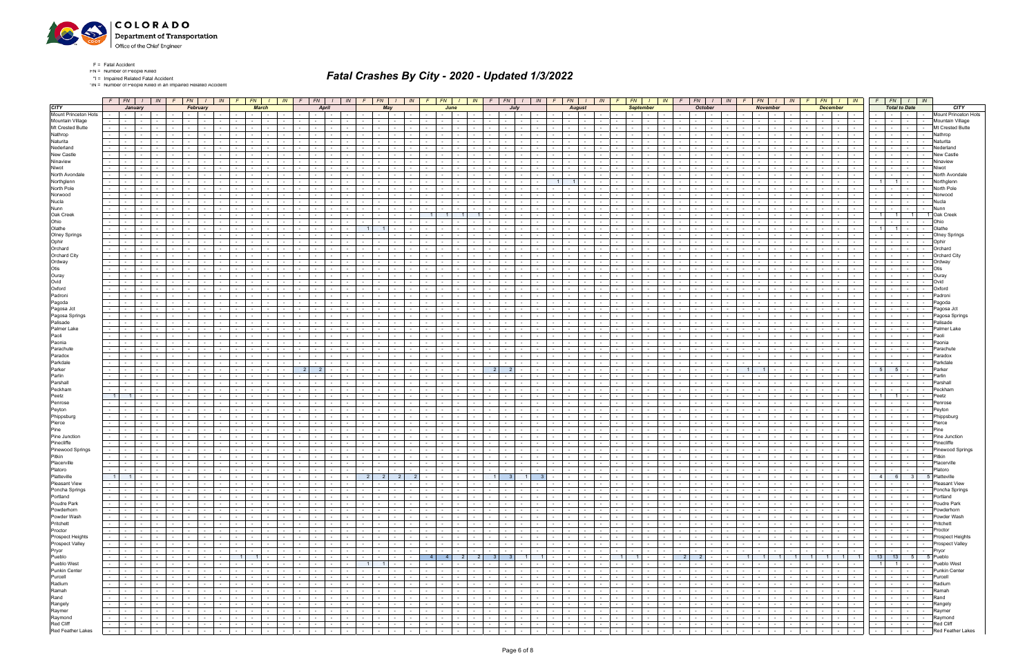

\*IN = Number of People Killed in an Impaired Related Accident

|                      | $F$ $FN$ $I$ $N$                                                                                                     | January                       |                |                          |            | $F$ $FN$ $I$                      | February                        | IN               |            | $F \mid FN$                         | <b>March</b>             |                             | IN                       | $F \mid FN$                         | April                |                             | IN                                      |                          |                          | May                      | $F$ $FN$ $I$ $N$            |                          | $F_N$           | June                 |                                        | $IN$ $F$                                        |                 | $FN$ $I$ $IN$<br>July |                         | $F \mid$             | <b>August</b>   | $FN$ $I$ $IN$ $F$                               |                                   |                | <b>September</b>         | $FN$ $I$ $IN$ $F$                           |                | $FN$ $I$ $IN$<br><b>October</b>    |                                             |                                    | $FN$ $I$ $IN$<br><b>November</b> |                          | F                        | <b>December</b> | $FN$ $I$ $IN$                   |                       | <b>Total to Date</b>     | $F$   $FN$   $I$   $IN$            |                         |
|----------------------|----------------------------------------------------------------------------------------------------------------------|-------------------------------|----------------|--------------------------|------------|-----------------------------------|---------------------------------|------------------|------------|-------------------------------------|--------------------------|-----------------------------|--------------------------|-------------------------------------|----------------------|-----------------------------|-----------------------------------------|--------------------------|--------------------------|--------------------------|-----------------------------|--------------------------|-----------------|----------------------|----------------------------------------|-------------------------------------------------|-----------------|-----------------------|-------------------------|----------------------|-----------------|-------------------------------------------------|-----------------------------------|----------------|--------------------------|---------------------------------------------|----------------|------------------------------------|---------------------------------------------|------------------------------------|----------------------------------|--------------------------|--------------------------|-----------------|---------------------------------|-----------------------|--------------------------|------------------------------------|-------------------------|
| Mount Princeton Hots |                                                                                                                      | <b>Service</b> Service        |                |                          |            | $\sim$ 10 $\pm$                   |                                 |                  |            |                                     | $\sim$ 10 $\pm$          |                             |                          |                                     | $\sim$ $-$           |                             |                                         |                          | $\sim$                   | $\sim$                   | $\sim$                      |                          |                 |                      | $\sim$                                 |                                                 |                 |                       |                         |                      |                 | $\sim$ $-$                                      |                                   |                | $\sim 100$               | $\sim$                                      |                | $\sim$                             |                                             | $\sim$ 100 $\mu$                   | $\sim$                           |                          |                          | $\sim$ $-$      | <b>Contract</b><br>$\sim$       |                       | $\sim 100$               | $\sim$ 100 $\mu$                   | Mount Princeton Hots    |
| Mt Crested Butte     |                                                                                                                      | $\sim$                        | $\sim$         |                          |            |                                   |                                 |                  |            |                                     |                          |                             |                          |                                     | $\sim$               |                             |                                         |                          | $\sim$                   |                          |                             |                          |                 |                      |                                        |                                                 |                 |                       |                         |                      |                 |                                                 |                                   |                |                          |                                             |                |                                    |                                             |                                    |                                  |                          |                          | $\sim$          | $\sim$<br>$\sim$                |                       | $\sim$                   | $\sim$<br>$\sim$                   | Mountain Village        |
|                      | $\sim 100$                                                                                                           | $\sim$                        | $\sim$         |                          |            | $\sim$                            |                                 |                  |            |                                     |                          |                             |                          |                                     | $\sim$               |                             |                                         |                          | $\sim$                   |                          |                             |                          |                 |                      |                                        |                                                 |                 |                       |                         | $\sim$               |                 | $\sim$                                          |                                   |                |                          | $\sim$                                      |                |                                    |                                             |                                    |                                  |                          |                          | $\sim$          | $\sim$ $-$                      |                       | $\sim$                   | $\sim$<br>$\sim$                   | Mt Crested Butte        |
|                      |                                                                                                                      |                               |                |                          |            |                                   |                                 |                  |            |                                     |                          |                             |                          |                                     |                      |                             |                                         |                          |                          |                          |                             |                          |                 |                      |                                        |                                                 |                 |                       |                         |                      |                 |                                                 |                                   |                |                          |                                             |                |                                    |                                             |                                    |                                  |                          |                          |                 |                                 |                       |                          |                                    | Nathrop                 |
|                      |                                                                                                                      |                               | $\overline{a}$ |                          |            |                                   |                                 |                  |            |                                     |                          |                             |                          |                                     |                      |                             |                                         |                          |                          |                          |                             |                          |                 |                      |                                        |                                                 |                 |                       |                         |                      |                 |                                                 |                                   |                |                          |                                             |                |                                    |                                             |                                    |                                  |                          |                          |                 |                                 |                       | $\sim$                   |                                    | Naturita                |
|                      |                                                                                                                      |                               |                |                          |            |                                   |                                 |                  |            |                                     |                          |                             |                          |                                     |                      |                             |                                         |                          |                          |                          |                             |                          |                 |                      |                                        |                                                 |                 |                       |                         |                      |                 |                                                 |                                   |                |                          |                                             |                |                                    |                                             |                                    |                                  |                          |                          |                 |                                 |                       | $\sim$                   |                                    | Nederland               |
|                      |                                                                                                                      |                               |                |                          |            |                                   |                                 |                  |            |                                     |                          |                             |                          |                                     |                      |                             |                                         |                          |                          |                          |                             |                          |                 |                      |                                        |                                                 |                 |                       |                         |                      |                 |                                                 |                                   |                |                          |                                             |                |                                    |                                             |                                    |                                  |                          |                          |                 |                                 |                       |                          |                                    | New Castle              |
|                      |                                                                                                                      |                               |                |                          |            |                                   |                                 |                  |            |                                     |                          |                             |                          |                                     |                      |                             |                                         |                          |                          |                          |                             |                          |                 |                      |                                        |                                                 |                 |                       |                         |                      |                 |                                                 |                                   |                |                          |                                             |                |                                    |                                             |                                    |                                  |                          |                          |                 |                                 |                       | $\sim$                   |                                    | Ninaview                |
|                      |                                                                                                                      | $\sim$                        | $\sim$         |                          |            |                                   |                                 |                  |            |                                     |                          |                             |                          |                                     |                      |                             |                                         |                          |                          |                          |                             |                          |                 |                      |                                        |                                                 |                 |                       |                         | $\sim$               |                 |                                                 |                                   |                |                          | $\sim$                                      |                |                                    |                                             |                                    |                                  |                          |                          |                 | $\sim$<br>$\sim$ $-$            |                       | $\sim$                   | $\sim$<br>$\overline{\phantom{a}}$ | Niwot                   |
|                      |                                                                                                                      |                               |                |                          |            |                                   |                                 |                  |            |                                     |                          |                             |                          |                                     |                      |                             |                                         |                          |                          |                          |                             |                          |                 |                      |                                        |                                                 |                 |                       |                         |                      |                 |                                                 |                                   |                |                          |                                             |                |                                    |                                             |                                    |                                  |                          |                          |                 |                                 |                       |                          |                                    | North Avondal           |
|                      | $\sim 100$                                                                                                           |                               |                |                          |            |                                   |                                 |                  |            |                                     |                          |                             |                          |                                     |                      |                             |                                         |                          |                          |                          |                             |                          |                 |                      |                                        |                                                 |                 |                       |                         | $\overline{1}$       |                 |                                                 |                                   |                |                          |                                             |                |                                    |                                             |                                    |                                  |                          |                          |                 |                                 | $\overline{1}$        | $\overline{1}$           |                                    | Northglenn              |
|                      | $\sim 10$                                                                                                            |                               | $\sim$         |                          |            |                                   |                                 |                  |            |                                     |                          |                             |                          |                                     |                      |                             |                                         |                          |                          |                          |                             |                          |                 |                      |                                        |                                                 |                 |                       |                         |                      |                 |                                                 |                                   |                |                          | $\sim$                                      |                |                                    |                                             |                                    |                                  |                          |                          |                 | $\sim$                          |                       | $\sim$                   | $\sim$                             | North Pole              |
|                      |                                                                                                                      |                               |                |                          |            |                                   |                                 |                  |            |                                     |                          |                             |                          |                                     |                      |                             |                                         |                          |                          |                          |                             |                          |                 |                      |                                        |                                                 |                 |                       |                         |                      |                 |                                                 |                                   |                |                          |                                             |                |                                    |                                             |                                    |                                  |                          |                          |                 |                                 |                       |                          |                                    |                         |
|                      |                                                                                                                      |                               |                |                          |            |                                   |                                 |                  |            |                                     |                          |                             |                          |                                     |                      |                             |                                         |                          |                          |                          |                             |                          |                 |                      |                                        |                                                 |                 |                       |                         |                      |                 |                                                 |                                   |                |                          |                                             |                |                                    |                                             |                                    |                                  |                          |                          |                 |                                 |                       |                          |                                    | Norwood                 |
|                      | $\sim 100$                                                                                                           | $\sim$                        | $\sim$         |                          |            |                                   |                                 |                  |            |                                     |                          |                             |                          |                                     |                      |                             |                                         |                          |                          |                          |                             |                          |                 |                      |                                        |                                                 |                 |                       |                         |                      |                 |                                                 |                                   |                |                          | $\sim$                                      |                |                                    |                                             |                                    |                                  |                          |                          |                 | $\sim$                          |                       | $\sim$                   | $\sim$<br>$\sim$                   | Nucla                   |
|                      | $\sim$                                                                                                               |                               | $\sim$         |                          |            |                                   |                                 |                  |            |                                     |                          |                             |                          |                                     |                      |                             |                                         |                          |                          |                          |                             |                          |                 |                      |                                        |                                                 |                 |                       |                         | $\sim$               |                 | $\sim$                                          |                                   |                |                          | $\sim$                                      |                |                                    |                                             |                                    |                                  |                          |                          |                 | $\sim$                          |                       | $\sim 10^{-1}$           | $\sim$                             | Nunn                    |
|                      |                                                                                                                      |                               |                |                          |            |                                   |                                 |                  |            |                                     |                          |                             |                          |                                     |                      |                             |                                         |                          |                          |                          |                             |                          |                 |                      |                                        |                                                 |                 |                       |                         |                      |                 |                                                 |                                   |                |                          |                                             |                |                                    |                                             |                                    |                                  |                          |                          |                 |                                 | 1 <sup>1</sup>        |                          |                                    | 1 Oak Creek             |
|                      | $\sim 100$                                                                                                           | $\sim$                        | $\sim$         |                          |            |                                   |                                 |                  |            |                                     |                          |                             |                          |                                     |                      |                             |                                         |                          |                          |                          |                             |                          |                 |                      |                                        |                                                 |                 |                       |                         |                      |                 | $\sim$                                          |                                   |                |                          | $\sim$                                      |                |                                    |                                             |                                    |                                  |                          |                          |                 | $\sim$                          |                       | $\sim$                   | $\sim$<br>$\sim$                   | Ohio                    |
|                      |                                                                                                                      |                               |                |                          |            |                                   |                                 |                  |            |                                     |                          |                             |                          |                                     |                      |                             |                                         |                          |                          |                          |                             |                          |                 |                      |                                        |                                                 |                 |                       |                         |                      |                 |                                                 |                                   |                |                          |                                             |                |                                    |                                             |                                    |                                  |                          |                          |                 |                                 | 1                     |                          | $\sim$<br>$\sim$                   | Olathe                  |
|                      |                                                                                                                      |                               |                |                          |            |                                   |                                 |                  |            |                                     |                          |                             |                          |                                     |                      |                             |                                         |                          |                          |                          |                             |                          |                 |                      |                                        |                                                 |                 |                       |                         |                      |                 |                                                 |                                   |                |                          |                                             |                |                                    |                                             |                                    |                                  |                          |                          |                 |                                 |                       | $\sim$                   | $\sim$                             | <b>Olney Springs</b>    |
|                      |                                                                                                                      |                               |                |                          |            |                                   |                                 |                  |            |                                     |                          |                             |                          |                                     |                      |                             |                                         |                          |                          |                          |                             |                          |                 |                      |                                        |                                                 |                 |                       |                         |                      |                 |                                                 |                                   |                |                          |                                             |                |                                    |                                             |                                    |                                  |                          |                          |                 |                                 |                       | $\sim$                   | $\sim$<br>$\sim$                   | Ophir                   |
|                      |                                                                                                                      |                               | $\sim$         |                          |            |                                   |                                 |                  |            |                                     |                          |                             |                          |                                     |                      |                             |                                         |                          |                          |                          |                             |                          |                 |                      |                                        |                                                 |                 |                       |                         |                      |                 |                                                 |                                   |                |                          |                                             |                |                                    |                                             |                                    |                                  |                          |                          |                 |                                 |                       | $\sim$                   | $\sim$<br>$\sim$                   | Orchard                 |
|                      |                                                                                                                      |                               |                |                          |            |                                   |                                 |                  |            |                                     |                          |                             |                          |                                     |                      |                             |                                         |                          |                          |                          |                             |                          |                 |                      |                                        |                                                 |                 |                       |                         |                      |                 |                                                 |                                   |                |                          |                                             |                |                                    |                                             |                                    |                                  |                          |                          |                 |                                 |                       | $\sim$                   | $\sim$                             | <b>Orchard City</b>     |
|                      |                                                                                                                      |                               |                |                          |            |                                   |                                 |                  |            |                                     |                          |                             |                          |                                     |                      |                             |                                         |                          |                          |                          |                             |                          |                 |                      |                                        |                                                 |                 |                       |                         |                      |                 |                                                 |                                   |                |                          |                                             |                |                                    |                                             |                                    |                                  |                          |                          |                 |                                 |                       |                          |                                    |                         |
|                      |                                                                                                                      |                               |                |                          |            |                                   |                                 |                  |            |                                     |                          |                             |                          |                                     |                      |                             |                                         |                          |                          |                          |                             |                          |                 |                      |                                        |                                                 |                 |                       |                         |                      |                 |                                                 |                                   |                |                          |                                             |                |                                    |                                             |                                    |                                  |                          |                          |                 |                                 |                       | $\sim$                   | $\sim$                             | Ordway                  |
|                      |                                                                                                                      |                               |                |                          |            |                                   |                                 |                  |            |                                     |                          |                             |                          |                                     |                      |                             |                                         |                          |                          |                          |                             |                          |                 |                      |                                        |                                                 |                 |                       |                         |                      |                 |                                                 |                                   |                |                          |                                             |                |                                    |                                             |                                    |                                  |                          |                          |                 |                                 |                       | $\sim$                   | $\sim$                             | Otis                    |
|                      |                                                                                                                      |                               |                |                          |            |                                   |                                 |                  |            |                                     |                          |                             |                          |                                     |                      |                             |                                         |                          |                          |                          |                             |                          |                 |                      |                                        |                                                 |                 |                       |                         |                      |                 |                                                 |                                   |                |                          |                                             |                |                                    |                                             |                                    |                                  |                          |                          |                 | $\sim$                          |                       | $\sim$                   | $\sim$                             | Ouray                   |
|                      | $\sim$                                                                                                               | $\sim$                        |                |                          |            |                                   |                                 |                  |            |                                     |                          |                             |                          |                                     |                      |                             |                                         |                          |                          |                          |                             |                          |                 |                      |                                        |                                                 |                 |                       |                         |                      |                 |                                                 |                                   |                |                          |                                             |                |                                    |                                             |                                    |                                  |                          |                          |                 |                                 |                       | $\sim$                   |                                    | Ovid                    |
|                      |                                                                                                                      |                               |                |                          |            |                                   |                                 |                  |            |                                     |                          |                             |                          |                                     |                      |                             |                                         |                          |                          |                          |                             |                          |                 |                      |                                        |                                                 |                 |                       |                         |                      |                 |                                                 |                                   |                |                          |                                             |                |                                    |                                             |                                    |                                  |                          |                          |                 |                                 |                       | $\sim$                   |                                    | Oxford                  |
|                      | $\sim$                                                                                                               | $\sim$                        | $\sim$         |                          |            |                                   |                                 |                  |            |                                     |                          |                             |                          |                                     | $\sim$               |                             |                                         | $\sim$                   | $\sim$                   |                          |                             |                          |                 |                      |                                        |                                                 |                 |                       |                         | $\sim$               |                 | $\sim$                                          |                                   |                |                          | $\sim$                                      |                |                                    |                                             |                                    |                                  |                          |                          | $\sim$          | $\sim 100$                      |                       | $\sim$                   | $\sim$<br>$\sim$                   | Padroni                 |
|                      |                                                                                                                      | $\sim$                        |                |                          |            |                                   |                                 |                  |            |                                     |                          |                             |                          |                                     |                      |                             |                                         |                          |                          |                          |                             |                          |                 |                      |                                        |                                                 |                 |                       |                         |                      |                 |                                                 |                                   |                |                          |                                             |                |                                    |                                             |                                    |                                  |                          |                          |                 |                                 |                       |                          |                                    | Pagoda                  |
|                      |                                                                                                                      |                               |                |                          |            |                                   |                                 |                  |            |                                     |                          |                             |                          |                                     |                      |                             |                                         |                          |                          |                          |                             |                          |                 |                      |                                        |                                                 |                 |                       |                         |                      |                 |                                                 |                                   |                |                          |                                             |                |                                    |                                             |                                    |                                  |                          |                          |                 |                                 |                       |                          |                                    | Pagosa Jct              |
|                      | $\sim 100$                                                                                                           | $\sim$                        | $\sim$         |                          |            |                                   |                                 |                  |            |                                     |                          |                             |                          |                                     | $\sim$               |                             |                                         |                          | $\sim$                   |                          |                             |                          |                 |                      |                                        |                                                 |                 |                       |                         | $\sim$               |                 | $\sim$                                          |                                   |                |                          | $\sim$                                      |                |                                    |                                             |                                    |                                  |                          |                          | $\sim$          | $\sim 10^{-1}$                  |                       | $\sim$                   | $\sim$<br>$\sim$                   | Pagosa Springs          |
|                      |                                                                                                                      |                               |                |                          |            |                                   |                                 |                  |            |                                     |                          |                             |                          |                                     |                      |                             |                                         |                          |                          |                          |                             |                          |                 |                      |                                        |                                                 |                 |                       |                         |                      |                 |                                                 |                                   |                |                          |                                             |                |                                    |                                             |                                    |                                  |                          |                          |                 |                                 |                       |                          |                                    | Palisade                |
|                      |                                                                                                                      |                               |                |                          |            |                                   |                                 |                  |            |                                     |                          |                             |                          |                                     |                      |                             |                                         |                          |                          |                          |                             |                          |                 |                      |                                        |                                                 |                 |                       |                         |                      |                 |                                                 |                                   |                |                          |                                             |                |                                    |                                             |                                    |                                  |                          |                          |                 |                                 |                       |                          |                                    |                         |
|                      |                                                                                                                      |                               |                |                          |            |                                   |                                 |                  |            |                                     |                          |                             |                          |                                     |                      |                             |                                         |                          |                          |                          |                             |                          |                 |                      |                                        |                                                 |                 |                       |                         |                      |                 |                                                 |                                   |                |                          |                                             |                |                                    |                                             |                                    |                                  |                          |                          |                 |                                 |                       | $\sim$                   | $\sim$<br>$\sim$                   | Palmer Lake             |
|                      | $\sim$                                                                                                               | $\sim$                        | $\sim$         |                          |            |                                   |                                 |                  |            |                                     |                          |                             |                          |                                     | $\sim$               |                             |                                         |                          | $\overline{\phantom{a}}$ |                          |                             |                          |                 |                      |                                        |                                                 |                 |                       |                         | $\sim$               |                 | $\sim$                                          |                                   |                |                          | $\sim$                                      |                |                                    |                                             |                                    |                                  |                          |                          | $\sim$          | $\sim$                          |                       | $\sim$                   | $\sim$<br>$\sim$                   | Paoli                   |
|                      |                                                                                                                      |                               |                |                          |            |                                   |                                 |                  |            |                                     |                          |                             |                          |                                     |                      |                             |                                         |                          |                          |                          |                             |                          |                 |                      |                                        |                                                 |                 |                       |                         |                      |                 |                                                 |                                   |                |                          |                                             |                |                                    |                                             |                                    |                                  |                          |                          |                 |                                 |                       | $\sim$                   |                                    | Paonia                  |
|                      | $\sim 100$                                                                                                           |                               |                |                          |            |                                   |                                 |                  |            |                                     |                          |                             |                          |                                     |                      |                             |                                         |                          |                          |                          |                             |                          |                 |                      |                                        |                                                 |                 |                       |                         |                      |                 |                                                 |                                   |                |                          |                                             |                |                                    |                                             |                                    |                                  |                          |                          |                 | $\sim$                          |                       | $\sim$                   |                                    | Parachute               |
|                      | $\sim$                                                                                                               | $\sim$ $-$                    | $\sim$         |                          | $\sim$     |                                   |                                 |                  |            |                                     |                          |                             |                          |                                     | $\sim$               |                             |                                         |                          | $\sim$                   |                          |                             |                          |                 |                      |                                        |                                                 |                 |                       |                         | $\sim$               |                 | $\sim$                                          |                                   |                |                          | $\sim$                                      |                |                                    |                                             |                                    |                                  |                          |                          | $\sim$          | $\sim$                          |                       | $\sim$                   | $\sim$                             | Paradox                 |
|                      |                                                                                                                      | $\sim$                        |                |                          |            |                                   |                                 |                  |            |                                     |                          |                             |                          |                                     |                      |                             |                                         |                          |                          |                          |                             |                          |                 |                      |                                        |                                                 |                 |                       |                         |                      |                 |                                                 |                                   |                |                          |                                             |                |                                    |                                             |                                    |                                  |                          |                          |                 |                                 |                       | $\sim$                   |                                    | Parkdale                |
|                      | $\sim 100$                                                                                                           |                               |                |                          |            |                                   |                                 |                  |            |                                     |                          |                             |                          | 2 <sup>1</sup>                      | 2 <sup>1</sup>       |                             |                                         |                          |                          |                          |                             |                          |                 |                      |                                        | -2                                              |                 |                       |                         |                      |                 |                                                 |                                   |                |                          |                                             |                |                                    |                                             |                                    |                                  |                          |                          |                 | $\sim$                          | 5 <sup>1</sup>        | - 5                      | $\sim$                             | Parker                  |
|                      | $\sim$                                                                                                               | $\sim 100$                    | $\sim$         |                          | $\sim$     |                                   |                                 |                  |            |                                     |                          |                             |                          |                                     | $\sim$ $-$           |                             |                                         |                          | $\sim$                   |                          | $\sim$                      |                          |                 |                      | $\sim$                                 |                                                 |                 |                       |                         | $\sim$               |                 | $\sim$                                          |                                   |                |                          | $\sim$                                      |                |                                    |                                             |                                    |                                  |                          |                          | $\sim$          | $\sim$<br>$\sim$ 100 $\sim$     |                       | $\sim$                   | $\sim$                             | Parlin                  |
|                      |                                                                                                                      |                               |                |                          |            |                                   |                                 |                  |            |                                     |                          |                             |                          |                                     |                      |                             |                                         |                          |                          |                          |                             |                          |                 |                      |                                        |                                                 |                 |                       |                         |                      |                 |                                                 |                                   |                |                          |                                             |                |                                    |                                             |                                    |                                  |                          |                          |                 |                                 |                       |                          |                                    | Parshall                |
|                      | $\sim 10$                                                                                                            | $\sim$                        | $\sim$         |                          |            |                                   |                                 |                  |            |                                     |                          |                             |                          |                                     | $\sim$               |                             |                                         | $\sim$                   | $\sim$                   |                          |                             |                          |                 |                      |                                        |                                                 |                 |                       |                         | $\sim$               |                 | $\sim$                                          |                                   |                |                          | $\sim$                                      |                |                                    |                                             |                                    |                                  |                          |                          | $\sim$          | $\sim$ $-$                      |                       | $\sim$                   | $\sim$<br>$\sim$                   | Peckham                 |
|                      | 1                                                                                                                    | $-1$                          |                |                          |            |                                   |                                 |                  |            |                                     |                          |                             |                          |                                     |                      |                             |                                         |                          |                          |                          |                             |                          |                 |                      |                                        |                                                 |                 |                       |                         |                      |                 |                                                 |                                   |                |                          |                                             |                |                                    |                                             |                                    |                                  |                          |                          |                 |                                 | 1                     | $\overline{1}$           | $\sim$<br>$\sim$                   | Peetz                   |
|                      |                                                                                                                      |                               |                |                          |            |                                   |                                 |                  |            |                                     |                          |                             |                          |                                     |                      |                             |                                         |                          |                          |                          |                             |                          |                 |                      |                                        |                                                 |                 |                       |                         |                      |                 |                                                 |                                   |                |                          |                                             |                |                                    |                                             |                                    |                                  |                          |                          |                 |                                 |                       |                          |                                    | Penrose                 |
|                      |                                                                                                                      |                               |                |                          |            |                                   |                                 |                  |            |                                     |                          |                             |                          |                                     |                      |                             |                                         |                          |                          |                          |                             |                          |                 |                      |                                        |                                                 |                 |                       |                         |                      |                 |                                                 |                                   |                |                          |                                             |                |                                    |                                             |                                    |                                  |                          |                          |                 |                                 |                       |                          |                                    |                         |
|                      | $\sim$ $-$                                                                                                           | $\sim$                        | $\sim$         |                          |            |                                   |                                 |                  |            |                                     |                          |                             |                          |                                     |                      |                             |                                         |                          |                          |                          |                             |                          |                 |                      |                                        |                                                 |                 |                       |                         |                      |                 |                                                 |                                   |                |                          | $\overline{\phantom{a}}$                    |                |                                    |                                             |                                    |                                  |                          |                          |                 |                                 |                       | $\sim$                   | $\sim$                             | Peyton                  |
|                      |                                                                                                                      | $\sim$                        | $\sim$         |                          |            |                                   |                                 |                  |            |                                     |                          |                             |                          |                                     | $\sim$               |                             |                                         |                          | $\overline{\phantom{a}}$ |                          |                             |                          |                 |                      |                                        |                                                 |                 |                       |                         | $\sim$               |                 |                                                 |                                   |                |                          | $\overline{\phantom{a}}$                    |                |                                    |                                             |                                    |                                  |                          |                          |                 | $\sim$                          |                       | $\sim$                   | $\sim$<br>$\sim$                   | Phippsburg              |
|                      |                                                                                                                      |                               |                |                          |            |                                   |                                 |                  |            |                                     |                          |                             |                          |                                     |                      |                             |                                         |                          |                          |                          |                             |                          |                 |                      |                                        |                                                 |                 |                       |                         |                      |                 |                                                 |                                   |                |                          |                                             |                |                                    |                                             |                                    |                                  |                          |                          |                 |                                 |                       | $\sim$                   |                                    | Pierce                  |
|                      |                                                                                                                      | $\sim$                        | $\sim$         |                          |            |                                   |                                 |                  |            |                                     |                          |                             |                          |                                     |                      |                             |                                         |                          |                          |                          |                             |                          |                 |                      |                                        |                                                 |                 |                       |                         |                      |                 |                                                 |                                   |                |                          | $\sim$                                      |                |                                    |                                             |                                    |                                  |                          |                          |                 | $\sim$                          |                       | $\sim$                   | $\sim$<br>$\sim$                   | Pine                    |
|                      |                                                                                                                      |                               | $\sim$         |                          |            |                                   |                                 |                  |            |                                     |                          |                             |                          |                                     |                      |                             |                                         |                          |                          |                          |                             |                          |                 |                      |                                        |                                                 |                 |                       |                         |                      |                 |                                                 |                                   |                |                          |                                             |                |                                    |                                             |                                    |                                  |                          |                          |                 |                                 |                       | $\sim$                   | $\sim$                             | Pine Junction           |
|                      |                                                                                                                      |                               |                |                          |            |                                   |                                 |                  |            |                                     |                          |                             |                          |                                     |                      |                             |                                         |                          |                          |                          |                             |                          |                 |                      |                                        |                                                 |                 |                       |                         |                      |                 |                                                 |                                   |                |                          |                                             |                |                                    |                                             |                                    |                                  |                          |                          |                 | $\sim$                          |                       | $\sim$                   | $\sim$                             | Pinecliffe              |
|                      |                                                                                                                      |                               |                |                          |            |                                   |                                 |                  |            |                                     |                          |                             |                          |                                     |                      |                             |                                         |                          |                          |                          |                             |                          |                 |                      |                                        |                                                 |                 |                       |                         |                      |                 |                                                 |                                   |                |                          |                                             |                |                                    |                                             |                                    |                                  |                          |                          |                 |                                 |                       | $\sim$                   |                                    | Pinewood Springs        |
|                      |                                                                                                                      |                               |                |                          |            |                                   |                                 |                  |            |                                     |                          |                             |                          |                                     |                      |                             |                                         |                          |                          |                          |                             |                          |                 |                      |                                        |                                                 |                 |                       |                         |                      |                 |                                                 |                                   |                |                          |                                             |                |                                    |                                             |                                    |                                  |                          |                          |                 |                                 |                       | $\sim$                   | $\sim$<br>$\sim$                   | Pitkin                  |
|                      | $\sim 10$                                                                                                            | $\sim$ 100 $\mu$              | $\sim$         | $\sim$                   | $\sim$     | $\sim$ $-$                        |                                 |                  |            | $\sim$                              |                          |                             |                          | $\sim$                              | $\sim$               | $\sim$                      |                                         | $\sim$                   | $\sim$                   | $\sim$                   | $\sim$                      |                          |                 |                      |                                        |                                                 |                 | $\sim$                |                         | $\sim$               | $\sim$          | $\sim$                                          |                                   | $\sim$         | $\sim$                   | $\sim$                                      |                | $\sim$                             |                                             | $\sim$                             | $\sim$                           | $\sim$                   |                          | $\sim$          | $\sim 100$<br>$\sim$            | <b>Service</b>        | $\sim 10^{-11}$          | $\sim$<br>$\sim$                   | Placerville             |
|                      | $\sim 10$                                                                                                            | $\sim$ $\sim$                 | $\sim$ $-$     | $\sim$                   | $\sim$     |                                   |                                 |                  |            |                                     |                          |                             |                          |                                     | $\sim$               |                             | $\sim$                                  | $\sim$                   | $\sim$                   | $\sim$                   | $\sim$                      |                          |                 |                      |                                        |                                                 |                 |                       |                         | $\sim$               |                 | $\sim$                                          |                                   |                | $\sim$                   | $\sim$                                      |                |                                    |                                             |                                    |                                  | $\sim$                   |                          | $\sim$          |                                 |                       | $\sim$                   | $\sim$<br>$\sim$                   | Platoro                 |
|                      |                                                                                                                      |                               |                |                          |            |                                   |                                 |                  |            |                                     |                          |                             |                          |                                     |                      |                             |                                         |                          |                          |                          |                             |                          |                 |                      |                                        |                                                 |                 |                       |                         |                      |                 |                                                 |                                   |                |                          |                                             |                |                                    |                                             |                                    |                                  |                          |                          |                 |                                 |                       |                          |                                    |                         |
|                      |                                                                                                                      | $1 \quad 1$                   |                |                          |            |                                   |                                 |                  | $\sim$     |                                     | <b>Contract Contract</b> | $\sim$ 100 $\sim$           | <b>Contract Contract</b> | the contract of                     |                      |                             | and the contract of the contract of the | $\overline{2}$           | $\vert$ 2                |                          | $\vert$ 2                   | $\overline{2}$           | $\sim$          |                      | the contract of                        | $\left  \begin{array}{c} 1 \end{array} \right $ | 3 <sup>1</sup>  | $\blacksquare$        | $\overline{\mathbf{3}}$ | $\sim$ $-$           |                 | $\sim 100$                                      | .                                 |                | $\sim$ 100 $\pm$         | $\sim$<br>. .                               |                | $\sim$ $-$                         | <b>Contract Contract Contract</b>           | <b>Contract Contract</b>           |                                  | the contract of the con- |                          |                 |                                 |                       | $4 \mid 6 \mid$          | 3 5 Platteville                    |                         |
|                      | $\sim$ 1                                                                                                             | and the state of the state    |                | $\sim 10^{-10}$          | $\sim$ $-$ | $\sim$ $-$                        | $\sim$                          | $\sim$ $-$       |            | the contract of                     |                          | $\sim$ $-$                  | $\sim 100$               | the contract of                     |                      | the contract of             |                                         | the contract of          |                          | <b>Contract</b>          | $\sim 10^{-11}$             | $\sim$ $-$               | $\sim$          | $-1$                 | $\sim$ $-$                             | $\sim 10^{-10}$                                 | $\sim$ $-$      | $\sim 10^{-11}$       | $\sim$ $\sim$           | $\sim 10^{-11}$      | $\sim$ $-$      | <b>Contract</b>                                 | $\sim 100$ m $^{-1}$              | $\sim 10^{-1}$ | <b>Contract</b>          | $\sim 100$<br><b>Contract</b>               | $\sim$         | $\sim 100$                         | $-1$<br><b>Contract</b>                     | <b>Contract</b><br>$\sim 10^{-11}$ |                                  | the contract of          | $\sim$ $  -$             |                 | .                               | the contract of       |                          | the collection                     | Pleasant View           |
|                      | $\sim 100$                                                                                                           | the contract of               |                | <b>Contract Contract</b> |            | the contract of                   |                                 |                  |            | the contract of                     |                          | $\sim 10^{-11}$             | $\sim$ $-$               | the contract of                     |                      | <b>Contract Contract</b>    | $\sim$ $-$                              | and the state            |                          | <b>Contract</b>          | $\sim$ $-$                  | <b>Contract</b>          | $\sim$          |                      | $\sim$ $\sim$ $\sim$<br>$\sim$ $ \sim$ | $\sim$ $-$                                      | $\sim$ $-$      | <b>Service</b>        | $\sim$                  | $\sim$ $-$           | <b>Contract</b> | $\sim$ $\sim$                                   | <b>Contract</b>                   | $\sim$         | <b>Contract</b>          | $\sim 100$                                  |                | $\sim$ $-$<br><b>Service</b>       | $\sim 100$                                  |                                    | $\sim$ $\sim$ $\sim$             | the contract of          | <b>Contract Contract</b> |                 | .                               |                       | the contract of          | .                                  | Poncha Springs          |
|                      |                                                                                                                      | the contract of               |                | $\sim$                   |            | the contract of the con-          | $\sim$                          | $\sim$           | $\sim$ $-$ |                                     | <b>Contract Contract</b> | $\sim$ $-$                  | $\sim 10^{-11}$          | $\sim$ $\sim$                       | <b>Contract</b>      | $\sim 10^{-10}$             | $\sim 10^{-11}$                         | and the state            |                          | $\sim 10^{-11}$          | $\sim$                      | $\sim$ $-$               | $\sim$          | $\sim$ $\sim$ $\sim$ | $\sim$ $-$                             | <b>Contract</b>                                 | $\sim 10^{-1}$  | $\sim 10^{-10}$       | $\sim$                  | $\sim 10^{-11}$      | $\sim 10^{-10}$ | $\sim 10^{-11}$                                 | <b>Contract</b>                   | $\sim$         | $\sim 10^{-11}$          | $\sim$ $-$<br>$\sim 100$                    |                | $\sim 10^{-1}$<br>$\sim$ 100 $\mu$ | $\sim$ $-$                                  | $\sim 10^{-11}$                    | $-1$                             | <b>Contract</b>          | $\sim 10^{-10}$          |                 |                                 | and the state         |                          | and the state                      | Portland                |
|                      | $-1 - 1 - 1$                                                                                                         |                               |                | $\sim 10^{-10}$          |            | $-1 - 1 - 1 - 1$                  |                                 | $\sim$ $-$       |            | the contract of the con-            |                          | $\sim$ $\sim$ $\sim$ $\sim$ | <b>Contract</b>          | the collection                      |                      | <b>Contract Contract</b>    |                                         | the contract of          |                          |                          | the collection              |                          | the contract of |                      | the college of                         | <b>Contract</b>                                 | $\sim$ $-$      |                       | $\sim 10^{-11}$         |                      |                 | the contract of the contract of the contract of |                                   | $\sim 100$     | المنجار بجار             | $\mathbf{I}$                                | $\sim$         | $ -$                               | the contract of the con-                    | $\sim$                             | $\sim$ $\sim$ $\sim$             | the contract of          | $\sim$ $\sim$            |                 | .                               |                       | the contract of          | 1949 - Personal Propinsi           | Poudre Park             |
|                      |                                                                                                                      | the contract of the con-      |                | $\sim$ $-$               | $\sim$ $-$ | $\overline{\phantom{a}}$          | $\sim$                          |                  | $\sim$     |                                     | $\sim$ $-$<br>$\sim$     |                             | $\sim$ $-$               | <b>Contract Contract</b>            | $\sim 10^{-11}$      | $\sim$                      | $\sim$                                  | $\sim 10^{-11}$          | $\sim 100$               | $\sim$ $-$               | $\sim$                      | $\sim$ $-$               | $\sim$          |                      | $\sim$                                 | $\sim$                                          | $\sim$          | $\sim$                | $\sim$                  | $\sim$               | $\sim$ $-$      | $\sim 100$                                      | $\sim 100$                        | $\sim$         | $\sim$ $-$               | $\sim$                                      |                | $\sim$                             | $\sim$ $-$                                  | $\sim$                             | <b>Contract Contract</b>         | $\sim 100$               | $\sim$                   | <b>Contract</b> | $\sim$ $-$<br>$\sim$ 100 $\mu$  | the contract of       |                          | the contract                       | Powderhorn              |
|                      | $\sim 100$                                                                                                           | <b>Contract Contract</b>      |                |                          | $\sim$ $-$ | $\mathbf{I}$                      |                                 |                  | $\sim$     | $\sim 100$                          |                          | $\sim$                      | $\sim$ $-$               | the contract of                     |                      | <b>Contract</b>             | $\sim 10^{-11}$                         | the contract             |                          | <b>Contract</b>          | $\sim$                      | <b>Contract Contract</b> | $\sim$          | <b>Contract</b>      | $\sim$                                 |                                                 | $\sim$          | $\sim$ $-$            | $\sim$                  | <b>Contract</b>      | <b>Contract</b> | $\sim$ $-$                                      | <b>Contract</b>                   | $\sim$         | <b>Contract</b>          | $\sim$<br>$\sim$ 100 $\mu$                  |                | $\sim$                             | $\sim$ $-$                                  | $\sim$ $-$                         |                                  | the contract of          | $\sim$                   |                 |                                 | the contract of       |                          | the contract                       | Powder Wash             |
|                      | $\sim 100$                                                                                                           | the contract of               |                | $\sim 10^{-10}$          |            | $-1 - 1$                          | $\sim$                          | $\sim$ $-$       |            | the contract of                     |                          | $\sim 10^{-10}$             | <b>Contract</b>          | <b>Contract Contract</b>            |                      | $\sim$ $\sim$ $\sim$ $\sim$ | $\sim 10^{-11}$                         | the contract of          |                          | $\sim$ $  -$             | $\sim 100$                  | $\sim$ $\sim$            | $\sim$          | $\sim$ $\sim$ $\sim$ | $\sim$                                 | $\sim$ 100 $\mu$                                | $\sim 10^{-1}$  | $\sim 10^{-11}$       | $\sim$ $-$              | $\sim$ $\sim$ $\sim$ | $\sim 10^{-10}$ | <b>Contract</b>                                 | $\sim$ $ \sim$ $\sim$ $\sim$      | $\sim$ $-$     | the contract of          | <b>Contract Contract</b>                    | $\sim$         | <b>Contract</b><br>$\sim$ $-$      | $\sim$ $-$                                  | $\sim$                             | $\sim$ $\sim$                    | the contract of          | $\sim 10^{-10}$          |                 |                                 |                       | the company's            | - Pritchett                        |                         |
|                      |                                                                                                                      | the contract of the con-      |                | $\sim$                   | $\sim$ $-$ | $\overline{\phantom{a}}$          | $\overline{\phantom{a}}$        |                  |            |                                     | $\sim$ $-$<br>$\sim$     |                             | $\sim$ $-$               | $\sim$                              | $\sim 100$           | $\sim$                      | $\sim$                                  | <b>Contract Contract</b> | $\sim$ $-$               | $\sim$                   | $\sim$                      | $\sim$                   | $\sim$          |                      | $\sim$                                 |                                                 | $\sim$          | $\sim$                | $\sim$                  | $\sim$               | $\sim$          | $\sim$ 10 $\pm$                                 | $\sim$                            | $\sim$         | $\sim$                   | $\sim$                                      |                | $\sim$                             | $\sim$                                      | $\sim$                             | $\sim$ $-$                       | $\sim 10^{-1}$           |                          | $\sim$ $-$      | $\sim$ $-$<br>$\sim$ 100 $\mu$  | <b>Service State</b>  |                          | the contract                       | Proctor                 |
|                      |                                                                                                                      |                               |                | $\sim$ $-$               | $\sim$ $-$ | $\mathbf{I}$                      |                                 |                  | $\sim$     | <b>Contract</b>                     |                          |                             | $\sim$ $-$               |                                     |                      | <b>Contract</b>             |                                         |                          |                          | <b>Contract</b>          |                             | <b>Contract Contract</b> | $\sim$          | <b>Contract</b>      | $\sim$ $-$                             | $\sim$ $-$                                      | $\sim$          | $\sim$ $-$            |                         |                      |                 |                                                 | <b>Contract</b>                   | $\sim$         | <b>Contract</b>          | $\sim$ 100 $\mu$                            |                | $\sim$                             | $\sim$ $-$                                  | $\sim$                             |                                  |                          | <b>Contract</b>          |                 |                                 |                       |                          |                                    |                         |
|                      | $\sim$ $\sim$                                                                                                        |                               |                |                          |            |                                   |                                 |                  |            |                                     |                          |                             |                          | the contract of                     |                      |                             | $\sim 10^{-11}$                         | the contract             |                          |                          | $\sim$                      |                          |                 |                      |                                        |                                                 |                 |                       |                         | <b>Contract</b>      | <b>Contract</b> | <b>Contract</b>                                 |                                   |                |                          | $\sim$                                      |                |                                    |                                             |                                    |                                  | the contract of          |                          |                 | .                               | the contract of       |                          | the contract of                    | <b>Prospect Heights</b> |
|                      | $\sim 100$                                                                                                           | the contract of               |                | $\sim 10^{-10}$          |            | the contract of                   | $\sim$                          | $\sim$           |            | $\sim$ $\sim$ $\sim$                | <b>Contract</b>          | $\sim 10^{-11}$             | $\sim 10^{-11}$          | the collection                      |                      | $\sim 10^{-10}$             | $\sim 10^{-11}$                         | the contract of          |                          | $\sim 10^{-11}$          | $\sim$ $-$                  | $-1$                     | $\sim$          | <b>Contract</b>      | $\sim$ $-$                             | $\sim 10^{-11}$                                 | $\sim 10^{-11}$ | <b>Contract</b>       | $\sim 10^{-11}$         | $\sim 10^{-1}$       | $\sim 10^{-10}$ | $\sim 10^{-10}$                                 | <b>Contract Contract Contract</b> | $\sim$         | $\sim 10^{-11}$          | $\sim 100$<br><b>Contract</b>               | $\sim$         | $\sim 10^{-1}$<br><b>Contract</b>  | $\sim$ $-$                                  | $\sim$<br>$\sim 10^{-11}$          |                                  | the contract of          | $\sim 10^{-10}$          |                 | the contract of the contract of |                       | the contract of          | - Prospect Valley                  |                         |
|                      |                                                                                                                      | the contract of               |                | $\sim$ $-$               |            | the contract of                   | $\sim$                          |                  | $\sim$     | $\mathbf{1}$ and $\mathbf{1}$       |                          | $\sim$                      | $\sim$ $-$               | <b>Service</b>                      | $\sim 10^{-11}$      | $\sim$                      |                                         | and the state            |                          | <b>Contract</b>          | $\sim$                      | <b>Service</b>           | $\sim$          | <b>Service</b>       | $\sim$                                 | <b>Contract</b>                                 | $\sim$          | <b>Contract</b>       | $\sim$                  | $\sim$ $-$           | $\sim$          | $\sim 10^{-11}$                                 | $\sim$ 100 $\mu$                  | $\sim$         | <b>Service</b>           | $\sim$ $-$<br>$\sim$                        |                | $\sim$<br>$\sim$ $-$               | $\sim 10^{-11}$                             | <b>Contract</b>                    |                                  | $\sim 10^{-11}$          |                          | <b>Contract</b> | the contract of the con-        |                       | <b>Service</b> State     | the contract                       | Pryor                   |
|                      | $\sim 100$                                                                                                           | the collection                |                | $\sim 10^{-11}$          |            | the contract of                   | $\sim$                          | $\sim$           |            | $1 \quad 1$                         |                          | $\sim 10^{-11}$             | $\sim$ $-$               | the contract of                     |                      | $\sim 100$                  | $\sim 10^{-11}$                         | the contract of          |                          | $\sim 10^{-11}$          | $\sim 100$                  |                          |                 |                      | $4 \mid 4 \mid 2 \mid 2 \mid$          | 3 <sup>1</sup>                                  | 3 <sup>1</sup>  | $\overline{1}$        |                         | $1 -$                | $\sim 10^{-10}$ | <b>Contract</b>                                 | <b>Contract</b>                   |                | $1 \quad 1 \quad -$      | <b>Contract</b>                             |                | $2 \mid 2 \mid -$                  | $\sim$ $-$                                  | $1 \vert$                          | $1 \mid 1 \mid$                  | $\blacksquare$ 1         | $\blacksquare$ 1         |                 | $1 \quad 1 \quad 1$             |                       |                          | 13 13 5 5 Pueblo                   |                         |
|                      | $\sim 100$                                                                                                           | the contract of               |                | $\sim 10^{-10}$          |            | the contract of the con-          | $\sim$                          | $\sim$ 100 $\mu$ |            | the contract of                     |                          | <b>Contract</b>             | $\sim$ $-$               | the contract of the con-            |                      | the contract of             |                                         |                          |                          |                          | $1 \quad 1 \quad - \quad -$ | $\sim$ $\sim$ $\sim$     | $\sim$          | <b>Contract</b>      | $\sim$                                 | $\sim 100$                                      | $\sim$          | $\sim 100$            | $\sim$ $-$              | $\sim 10^{-11}$      |                 |                                                 | $\sim 10^{-10}$                   | $\sim$         | the collection           | <b>Contract</b>                             | $\sim$         | $\sim 100$                         | $\sim 100$<br><b>Contract</b>               | $\sim 10^{-11}$<br>$\sim$          |                                  | the contract of          |                          |                 |                                 |                       |                          | 1 1 - Pueblo West                  |                         |
|                      |                                                                                                                      | and the state of the state of |                | $\sim$                   |            | $-1 - 1$                          | $\sim$                          |                  |            | $\sim$ $\sim$ $\sim$                | <b>Contract Contract</b> | $\sim$                      | $\sim$ 100 $\mu$         | the contract of                     |                      | $\sim$ 100 $\mu$            | $\sim$ 100 $\mu$                        | and the state            |                          | $\sim 10^{-11}$          | $\sim$                      | <b>Service</b>           | $\sim$          | <b>Service</b>       | $\sim$ $-$                             | $\sim 10^{-10}$                                 | $\sim$          | $\sim 10^{-11}$       | $\sim$                  | $\sim$ $-$           | $\sim 10^{-11}$ | $\sim 10^{-11}$                                 | <b>Contract Contract</b>          | $\sim$         | $\sim 10^{-11}$          | $\sim 10^{-11}$<br><b>Contract Contract</b> | $\sim$         | $\sim$ $-$<br>$\sim 10^{-10}$      | $\sim 10^{-11}$                             | $\sim 10^{-11}$                    | $-1$                             | $\sim 10^{-11}$          | $\sim$                   | $\sim$ $-$      | and the state of the state      | the contract of       |                          | and the state                      | <b>Punkin Center</b>    |
|                      | $-1 - 1 - 1 - 1$                                                                                                     |                               |                | <b>Contract</b>          |            | $-1 - 1$                          | $\sim$ $-$                      | $\sim$ $-$       |            | the contract of                     |                          | $\sim$ $-$                  | $\sim$ $-$               | the contract of                     |                      | <b>Contract Contract</b>    | $\sim 10^{-11}$                         | <b>Contract Contract</b> |                          |                          | the contract                | $\sim$ 100 $\pm$         | $\sim$          |                      | the contract of                        | $\sim 10^{-10}$                                 | $\sim$ $ \sim$  | $\sim 10^{-11}$       | $\sim$                  | $\sim 10^{-11}$      | $\sim 10^{-10}$ | <b>Contract Contract</b>                        |                                   | $\sim$         | <b>Contract Contract</b> | $\mathbf{I}$                                | $\sim$         | <b>Contract</b><br>$\sim$          | $\mathbf{1}$                                | $\sim$ $-$<br>$\sim 10^{-11}$      |                                  | the contract of          | $\sim 100$               |                 |                                 |                       | <b>Contract Contract</b> | the collection                     | Purcell                 |
|                      | $\sim 100$                                                                                                           | the contract of               |                | <b>Contract</b>          |            | <b>Contract Contract Contract</b> | $\sim$                          | $\sim$           | $\sim$     | $\mathbf{r}$                        |                          | $\sim$ $-$                  | $\sim$ $ \sim$           | <b>Contract Contract</b>            |                      | $\sim 10^{-10}$             | $\sim 10^{-11}$                         | the collection           |                          | $\sim 10^{-11}$          | $\sim 100$                  | <b>Contract</b>          | $\sim$          | <b>Contract</b>      | $\sim$ $ \sim$                         | $\sim$ $-$                                      | $\sim$ $-$      | $\sim 10^{-11}$       | $\sim$                  | $\sim$ $-$           | <b>Contract</b> | $\sim 10^{-11}$                                 | <b>Contract</b>                   | $\sim$         | $\sim 10^{-11}$          | $\sim 10^{-11}$<br>$\sim 100$               | $\sim$         | $\sim 100$<br>$\sim$ $-$           | $\sim$ $-$                                  | $\sim$<br>$\sim 10^{-11}$          |                                  | the contract of the con- | $\sim 100$               |                 | .                               | <b>Carl Carl Carl</b> |                          | and the state                      | Radium                  |
|                      | $\sim 100$                                                                                                           | and the state of the state of |                | $\sim$ $-$               |            | $-1 - 1$                          | $\sim$                          |                  | $\sim$     |                                     | <b>Contract Contract</b> | $\sim$                      | $\sim$ $-$               | $\sim$ $\sim$ $\sim$                | $\sim 100$ m $^{-1}$ | $\sim$                      | $\sim$                                  | and the state            |                          | $\sim 10^{-11}$          | $\sim$                      | <b>Service</b>           | $\sim$          | <b>Service</b>       | $\sim$ $-$                             | $\sim 10^{-10}$                                 | $\sim$          | $\sim 10^{-11}$       | $\sim$                  | $\sim$ $-$           | <b>Contract</b> | $\sim$ 100 $\mu$                                | <b>Contract Contract</b>          | $\sim$         | $\sim$ 100 $\mu$         | $\sim 10^{-11}$<br>$\sim 100$               | $\sim$         | $\sim$ $-$<br><b>Service</b>       | $\sim 10^{-11}$                             | $\sim 10^{-11}$                    | $-1$                             | $\sim 10^{-11}$          | $\sim$                   |                 |                                 | the contract of       |                          | $\sim 10^{-11}$<br>$\sim 10^{-10}$ | Ramah                   |
|                      |                                                                                                                      |                               |                |                          |            |                                   |                                 |                  |            |                                     |                          |                             |                          |                                     |                      |                             |                                         |                          |                          |                          |                             |                          |                 |                      |                                        |                                                 |                 |                       |                         |                      |                 |                                                 |                                   |                |                          |                                             |                |                                    |                                             |                                    |                                  |                          |                          |                 |                                 |                       |                          |                                    |                         |
|                      | $-1 - 1 - 1 - 1$                                                                                                     |                               |                | <b>Contract</b>          |            | $-1 - 1$                          | $\sim$                          | $\sim$ $-$       |            | the contract of                     |                          | $\sim$ $-$                  | $\sim$ $-$               | the contract of                     |                      | <b>Contract Contract</b>    | $\sim 10^{-11}$                         | <b>Contract Contract</b> |                          |                          | <b>Contract Contract</b>    | $\sim$ $\sim$ $\sim$     | $\sim$ $-$      |                      | <b>Contract Contract</b>               | $\sim 10^{-10}$                                 | $\sim$ $ \sim$  | $\sim 10^{-11}$       | $\sim$ $-$              | $\sim$ $  \sim$      | $\sim 10^{-10}$ | $\sim$ $\sim$ $\sim$ $\sim$                     |                                   | $\sim$ $-$     |                          | the contract of the contract of the con-    | $\sim$         | $\sim 100$                         | the contract of                             | $\sim 10^{-11}$<br><b>Contract</b> |                                  | the contract of          | $\sim 100$               |                 |                                 | <b>Carl Carl Carl</b> |                          | the collection                     | Rand                    |
|                      | $\sim 10^{-11}$                                                                                                      | the collection                |                | $\sim 100$               | $\sim$ $-$ | $\sim$ $-$                        | $\sim$                          | $\sim$           | $\sim$     | <b>Contract Contract</b>            |                          | $\sim$ $ \sim$              | $\sim$ $-$               | the contract of                     |                      | <b>Contract Contract</b>    | $\sim 10^{-11}$                         | the collection           |                          | $\sim 10^{-11}$          | $\sim 100$                  | <b>Contract</b>          | $\sim$          | <b>Contract</b>      | $\sim$ $ \sim$                         | $\sim$ $-$                                      | $\sim$ $-$      | $\sim 10^{-11}$       | $\sim$                  | $\sim 10^{-11}$      | <b>Contract</b> | $\sim$ $-$                                      | <b>Contract Contract</b>          | $\sim$         | <b>Contract</b>          | $\sim 100$<br>$\sim 100$                    | $\sim$         | $\sim 10^{-11}$<br>$\sim$ $-$      | $\sim$ $-$                                  | $\sim$<br>$\sim 10^{-11}$          |                                  | the contract of          | $\sim$ 100 $\mu$         |                 | .                               | the contract of       |                          | <b>Contract Contract</b>           | Rangely                 |
|                      | $\sim$ $\sim$ $\sim$                                                                                                 | the collection                |                | $\sim$ $-$               |            | $-1 - 1$                          | $\sim$                          |                  |            | the contract of                     |                          | $\sim 10^{-10}$             | $\sim$ $-$               | the contract of                     |                      | $\sim 10^{-10}$             | $\sim 10^{-11}$                         | the contract of          |                          | $\sim 10^{-11}$          | $\sim 10^{-1}$              | <b>Contract Contract</b> | $\sim$          | $\sim$ $\sim$ $\sim$ | $\sim$ $-$                             | $\sim 100$                                      | $\sim$ $-$      | $\sim 10^{-11}$       | $\sim$ $-$              | $\sim$ $-$           | $\sim 10^{-10}$ | the contract of                                 |                                   | $\sim$         | $\sim 10^{-11}$          | $\sim 100$<br><b>Contract Contract</b>      | $\sim$         | <b>Contract</b>                    | <b>Contract</b><br><b>Contract Contract</b> | $\sim$<br><b>Contract</b>          |                                  | the contract of          | <b>Contract</b>          |                 | .                               | the contract of       |                          | the contract of                    | Raymer                  |
|                      | $\sim 100$                                                                                                           | and the control               |                | $\sim 10^{-11}$          |            | the contract of                   | $\sim$                          | $\sim 100$       |            | the contract of                     |                          | $\sim$ $\sim$               | <b>Contract</b>          | <b>Second Control</b>               |                      | $\sim$ $\sim$               | $\sim 10^{-11}$                         | <b>Contract Contract</b> |                          |                          | <b>Contract Contract</b>    | $\sim$ $\sim$            | $\sim$          | $\sim$ $\sim$        | $\sim$ $-$                             | <b>Contract</b>                                 | $\sim 10^{-11}$ | $\sim 100$            | $\sim$ $-$              | $\sim 10^{-1}$       | $\sim 10^{-10}$ | المحال مال من                                   |                                   |                |                          | $-1 - 1 - 1 - 1$                            | $\sim$         | $\sim$<br><b>Contract</b>          | $\sim 10^{-11}$                             | $\sim 10^{-11}$<br>$\sim 100$      |                                  | <b>Contract Contract</b> | $\sim 10^{-11}$          |                 | $-1 - 1 - 1 - 1$                | <b>Service</b> State  |                          | <b>Contract Contract</b>           | Raymond                 |
|                      | $\sim 100$                                                                                                           | the contract of               |                | $\sim 10^{-11}$          | $\sim$ $-$ | $\sim 100$ m $^{-1}$              | $\sim$                          | $\sim$           | $\sim$     | $\mathbf{1}$ and $\mathbf{1}$       |                          | $\sim$ $-$                  | $\sim 10^{-11}$          | the collection                      |                      | $\sim 10^{-10}$             | $\sim$ $-$                              | <b>Contract Contract</b> |                          | $\sim 10^{-11}$          | $\sim 10^{-1}$              | $\sim 10^{-11}$          | $\sim$          | $\sim 100$           | $\sim$                                 | $\sim 10^{-11}$                                 | $\sim 10^{-1}$  | $\sim 10^{-11}$       | $\sim$                  | $\sim 10^{-1}$       | $\sim 10^{-11}$ | $\sim 10^{-11}$                                 | <b>Contract</b>                   | $\sim$         | $\sim 10^{-11}$          | $\sim 100$<br>$\sim 100$                    | $\sim$         | $\sim$ 100 $\mu$<br>$\sim$ $-$     | $\sim$ 100 $\mu$                            | $\sim$<br>$\sim 10^{-11}$          |                                  | the contract of          | <b>Contract</b>          | $\sim 10^{-10}$ | <b>Contract Contract</b>        | <b>Service State</b>  |                          | المحال المنا                       | <b>Red Cliff</b>        |
|                      | <u> 2001 - 10 Anii 10 Anii 10 Anii 10 Anii 10 Anii 110 Anii 120 Anii 120 Anii 120 Anii 120 Anii 120 Anii 120 Ani</u> |                               |                | $\sim$ $\sim$            |            |                                   | the contract of the contract of | $\sim$ 100 $\mu$ |            | the contract of the contract of the |                          |                             |                          | and the contract of the contract of |                      | .                           |                                         |                          |                          | <b>Contract Contract</b> |                             |                          |                 |                      |                                        |                                                 |                 |                       |                         |                      |                 |                                                 |                                   |                |                          | the contract of the con-                    | <b>Service</b> | $\sim$ $\sim$ $\sim$               | the contract of the con-                    | <b>Contract Contract Contract</b>  |                                  |                          |                          |                 | .                               |                       |                          | - - - - - Red Feather Lakes        |                         |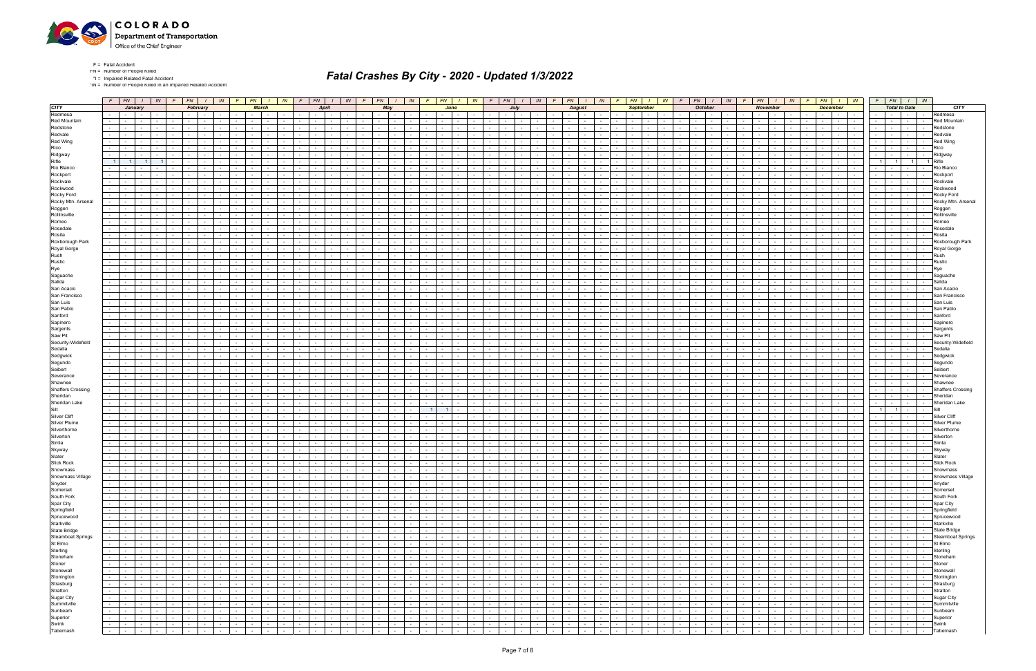

\*IN = Number of People Killed in an Impaired Related Accident

|                          |                                                                        |                                                             |                                                                       |                          |                                   |                             |            |                                |                      |                |                                        |                          |                                                       |                                                      | F FN 1  N F FN 1  N  <mark>F FN 1  N F FN 1  N F FN 1  N F FN 1  N </mark> F FN 1  N F FN 1  N  <mark>F FN 1  N F FN 1   N</mark> |                                                                                 | $F \mid FN$                                   | $I$ $\mid$ $IN$ $\mid$ $F$ $\mid$ $FN$ $\mid$ $I$ $\mid$ $IN$       | $F$ $FN$ $I$ $N$            |                             |                              |
|--------------------------|------------------------------------------------------------------------|-------------------------------------------------------------|-----------------------------------------------------------------------|--------------------------|-----------------------------------|-----------------------------|------------|--------------------------------|----------------------|----------------|----------------------------------------|--------------------------|-------------------------------------------------------|------------------------------------------------------|-----------------------------------------------------------------------------------------------------------------------------------|---------------------------------------------------------------------------------|-----------------------------------------------|---------------------------------------------------------------------|-----------------------------|-----------------------------|------------------------------|
| <b>CITY</b>              | January                                                                | February                                                    | <b>March</b>                                                          |                          | April                             |                             | May        |                                |                      | June           |                                        |                          | July                                                  | <b>August</b>                                        | <b>September</b>                                                                                                                  | <b>October</b>                                                                  | <b>November</b>                               | <b>December</b>                                                     |                             | <b>Total to Date</b>        | <b>CITY</b>                  |
| Redmesa                  | $\sim$ $-$                                                             |                                                             |                                                                       | $\sim$                   |                                   |                             |            |                                |                      |                |                                        |                          | $\sim$                                                | $\sim$                                               |                                                                                                                                   |                                                                                 | $\sim$                                        | $\sim$                                                              | $\sim$                      |                             | Redmesa                      |
| <b>Red Mountain</b>      |                                                                        |                                                             |                                                                       |                          |                                   |                             |            |                                |                      |                |                                        |                          |                                                       |                                                      |                                                                                                                                   |                                                                                 |                                               | $\sim$                                                              | $\sim$                      |                             | Red Mountain                 |
| Redstone                 | $\sim$<br>$\sim$ 100 $\mu$                                             |                                                             | $\sim$                                                                | $\sim$                   |                                   |                             |            |                                |                      |                |                                        |                          | $\sim$                                                | $\sim$                                               |                                                                                                                                   |                                                                                 | $\sim$                                        | $\sim$<br>$\sim$<br><b>Service</b>                                  | $\sim$                      |                             | Redstone<br>$\sim$           |
| Redvale                  |                                                                        |                                                             |                                                                       |                          |                                   |                             |            |                                |                      |                |                                        |                          |                                                       |                                                      |                                                                                                                                   |                                                                                 |                                               |                                                                     |                             |                             | रेedvale                     |
| Red Wing                 |                                                                        |                                                             |                                                                       |                          |                                   |                             |            |                                |                      |                |                                        |                          |                                                       |                                                      |                                                                                                                                   |                                                                                 |                                               |                                                                     |                             |                             | <b>Red Wing</b>              |
| Rico                     |                                                                        |                                                             |                                                                       |                          |                                   |                             |            |                                |                      |                |                                        |                          | $\sim$                                                | $\sim$                                               |                                                                                                                                   |                                                                                 |                                               | $\sim$<br>$\sim$<br><b>Service</b>                                  | $\sim$                      |                             | $\sim$<br>Rico               |
| Ridgway                  |                                                                        |                                                             |                                                                       |                          |                                   |                             |            |                                |                      |                |                                        |                          |                                                       |                                                      |                                                                                                                                   |                                                                                 |                                               |                                                                     |                             |                             | Ridgway                      |
| Rifle                    | 11                                                                     |                                                             |                                                                       |                          |                                   |                             |            |                                |                      |                |                                        |                          |                                                       | $\sim$                                               |                                                                                                                                   |                                                                                 |                                               | $\sim$                                                              | $\overline{1}$              | $\overline{1}$              | <b>Rifle</b>                 |
| Rio Blanco               |                                                                        |                                                             |                                                                       |                          |                                   |                             |            |                                |                      |                |                                        |                          |                                                       |                                                      |                                                                                                                                   |                                                                                 |                                               |                                                                     |                             |                             | Rio Blanco                   |
| Rockport                 |                                                                        |                                                             |                                                                       |                          |                                   |                             |            |                                |                      |                |                                        |                          |                                                       |                                                      |                                                                                                                                   |                                                                                 |                                               |                                                                     |                             |                             | Rockport                     |
| Rockvale                 |                                                                        |                                                             |                                                                       |                          |                                   |                             |            |                                |                      |                |                                        |                          |                                                       |                                                      |                                                                                                                                   |                                                                                 |                                               |                                                                     |                             |                             | Rockvale                     |
| Rockwood                 |                                                                        |                                                             |                                                                       |                          |                                   |                             |            |                                |                      |                |                                        |                          |                                                       |                                                      |                                                                                                                                   |                                                                                 |                                               |                                                                     | $\sim$                      |                             | Rockwood                     |
| Rocky Ford               |                                                                        |                                                             |                                                                       |                          |                                   |                             |            |                                |                      |                |                                        |                          |                                                       |                                                      |                                                                                                                                   |                                                                                 |                                               |                                                                     |                             |                             | Rocky Ford                   |
| Rocky Mtn. Arsenal       |                                                                        |                                                             |                                                                       |                          |                                   |                             |            |                                |                      |                |                                        |                          |                                                       |                                                      |                                                                                                                                   |                                                                                 |                                               |                                                                     |                             |                             | Rocky Mtn. Arsenal           |
| Roggen                   |                                                                        |                                                             |                                                                       |                          |                                   |                             |            |                                |                      |                |                                        |                          |                                                       |                                                      |                                                                                                                                   |                                                                                 |                                               |                                                                     |                             |                             | Roggen                       |
| Rollinsville             |                                                                        |                                                             |                                                                       |                          |                                   |                             |            |                                |                      |                |                                        |                          |                                                       |                                                      |                                                                                                                                   |                                                                                 |                                               |                                                                     |                             |                             | Rollinsville                 |
| Romeo                    |                                                                        |                                                             |                                                                       |                          |                                   |                             |            |                                |                      |                |                                        |                          |                                                       |                                                      |                                                                                                                                   |                                                                                 |                                               |                                                                     |                             |                             | Romeo                        |
| Rosedale                 |                                                                        |                                                             |                                                                       |                          |                                   |                             |            |                                |                      |                |                                        |                          |                                                       |                                                      |                                                                                                                                   |                                                                                 |                                               |                                                                     |                             |                             | Rosedal                      |
| Rosita                   |                                                                        |                                                             |                                                                       |                          |                                   |                             |            |                                |                      |                |                                        |                          | $\sim$                                                | $\sim$<br>$\sim$                                     |                                                                                                                                   |                                                                                 |                                               | $\sim$ 100 $\pm$                                                    | $\sim$                      |                             | Rosita<br>$\sim$             |
| Roxborough Park          |                                                                        |                                                             |                                                                       |                          |                                   |                             |            |                                |                      |                |                                        |                          |                                                       |                                                      |                                                                                                                                   |                                                                                 |                                               |                                                                     |                             |                             | Roxborough Park              |
| Royal Gorge              |                                                                        |                                                             |                                                                       |                          |                                   |                             |            |                                |                      |                |                                        |                          |                                                       |                                                      |                                                                                                                                   |                                                                                 |                                               |                                                                     |                             |                             | Royal Gorge                  |
| Rush                     |                                                                        |                                                             | $\sim$                                                                | $\sim$                   |                                   |                             |            |                                |                      |                | $\sim$                                 |                          | $\sim$                                                | $\sim$<br>$\sim$                                     |                                                                                                                                   |                                                                                 | $\sim$                                        | $\sim$ 100 $\pm$                                                    | $\sim$                      |                             | Rush<br>$\sim$               |
| Rustic                   |                                                                        |                                                             |                                                                       |                          |                                   |                             |            |                                |                      |                |                                        |                          |                                                       |                                                      |                                                                                                                                   |                                                                                 |                                               |                                                                     |                             |                             | Rustic                       |
| Rye                      |                                                                        |                                                             |                                                                       |                          |                                   |                             |            |                                |                      |                |                                        |                          |                                                       |                                                      |                                                                                                                                   |                                                                                 |                                               |                                                                     |                             |                             |                              |
| Saguache                 |                                                                        |                                                             |                                                                       | $\sim$                   |                                   |                             |            |                                |                      |                |                                        |                          | $\sim$                                                | $\sim$                                               |                                                                                                                                   |                                                                                 |                                               | $\sim$ $\sim$                                                       | $\sim$                      |                             | $\sim$                       |
| Salida                   |                                                                        |                                                             |                                                                       |                          |                                   |                             |            |                                |                      |                |                                        |                          |                                                       |                                                      |                                                                                                                                   |                                                                                 |                                               |                                                                     |                             |                             | Saguache<br>Salida           |
| San Acacio               |                                                                        |                                                             |                                                                       |                          |                                   |                             |            |                                |                      |                |                                        |                          |                                                       |                                                      |                                                                                                                                   |                                                                                 |                                               |                                                                     |                             |                             | San Acacio                   |
| San Francisco            |                                                                        |                                                             |                                                                       | $\sim$                   |                                   |                             |            |                                |                      |                | $\sim$ 10 $\pm$                        |                          | $\sim$                                                | $\sim$                                               |                                                                                                                                   |                                                                                 |                                               | $\sim$<br>$\sim$<br>$\sim$                                          | $\sim$                      |                             | San Francisco<br>$\sim$      |
| San Luis                 |                                                                        |                                                             |                                                                       |                          |                                   |                             |            |                                |                      |                |                                        |                          |                                                       |                                                      |                                                                                                                                   |                                                                                 |                                               |                                                                     |                             |                             | San Luis                     |
| San Pablo                |                                                                        |                                                             |                                                                       |                          |                                   |                             |            |                                |                      |                |                                        |                          |                                                       |                                                      |                                                                                                                                   |                                                                                 |                                               |                                                                     |                             |                             | San Pablo                    |
| Sanford                  | $\sim$                                                                 |                                                             |                                                                       | $\sim$                   |                                   |                             |            |                                |                      |                | $\sim$ 10 $\pm$                        |                          | $\sim$                                                | $\sim$                                               |                                                                                                                                   |                                                                                 |                                               | $\sim$ $\sim$<br>$\sim$                                             | $\sim$                      |                             | Sanford                      |
| Sapinero                 |                                                                        |                                                             |                                                                       |                          |                                   |                             |            |                                |                      |                |                                        |                          |                                                       |                                                      |                                                                                                                                   |                                                                                 |                                               |                                                                     |                             |                             | ≩aniner                      |
| Sargents                 |                                                                        |                                                             |                                                                       |                          |                                   |                             |            |                                |                      |                |                                        |                          |                                                       | $\sim$                                               |                                                                                                                                   |                                                                                 |                                               | $\sim$                                                              | $\sim$ 100 $\mu$<br>$\sim$  |                             | Sargents                     |
| Saw Pit                  |                                                                        |                                                             |                                                                       |                          |                                   |                             |            |                                |                      |                |                                        |                          |                                                       |                                                      |                                                                                                                                   |                                                                                 |                                               |                                                                     |                             |                             | Saw Pit<br>$\sim$            |
| Security-Widefield       |                                                                        |                                                             |                                                                       |                          |                                   |                             |            |                                |                      |                |                                        |                          |                                                       |                                                      |                                                                                                                                   |                                                                                 |                                               |                                                                     |                             |                             | Securitv-Widefield           |
| Sedalia                  |                                                                        |                                                             |                                                                       |                          |                                   |                             |            |                                |                      |                |                                        |                          |                                                       |                                                      |                                                                                                                                   |                                                                                 |                                               |                                                                     |                             |                             | Sedalia                      |
| Sedgwick                 |                                                                        |                                                             |                                                                       |                          |                                   |                             |            |                                |                      |                |                                        |                          |                                                       |                                                      |                                                                                                                                   |                                                                                 |                                               |                                                                     | $\overline{\phantom{a}}$    |                             | Sedgwick                     |
| Segundo                  |                                                                        |                                                             |                                                                       |                          |                                   |                             |            |                                |                      |                |                                        |                          |                                                       |                                                      |                                                                                                                                   |                                                                                 |                                               |                                                                     |                             |                             | Segundo                      |
| Seibert                  |                                                                        |                                                             |                                                                       |                          |                                   |                             |            |                                |                      |                |                                        |                          |                                                       |                                                      |                                                                                                                                   |                                                                                 |                                               |                                                                     |                             |                             | Seibert                      |
| Severance                |                                                                        |                                                             |                                                                       |                          |                                   |                             |            |                                |                      |                |                                        |                          |                                                       |                                                      |                                                                                                                                   |                                                                                 |                                               |                                                                     |                             |                             | Severance                    |
| Shawnee                  |                                                                        |                                                             |                                                                       |                          |                                   |                             |            |                                |                      |                |                                        |                          |                                                       |                                                      |                                                                                                                                   |                                                                                 |                                               |                                                                     |                             |                             | Shawnee                      |
| <b>Shaffers Crossing</b> |                                                                        |                                                             |                                                                       |                          |                                   |                             |            |                                |                      |                |                                        |                          |                                                       |                                                      |                                                                                                                                   |                                                                                 |                                               |                                                                     |                             |                             | <b>Shaffers Crossing</b>     |
| Sheridan                 |                                                                        |                                                             |                                                                       |                          |                                   |                             |            |                                |                      |                |                                        |                          |                                                       |                                                      |                                                                                                                                   |                                                                                 |                                               |                                                                     |                             |                             | Sheridan                     |
| Sheridan Lake            |                                                                        |                                                             |                                                                       |                          |                                   |                             |            |                                |                      |                |                                        |                          |                                                       |                                                      |                                                                                                                                   |                                                                                 |                                               | $\sim$                                                              | $\sim$                      |                             | Sheridan Lake                |
| Silt                     |                                                                        |                                                             |                                                                       |                          |                                   |                             |            |                                |                      |                |                                        |                          |                                                       |                                                      |                                                                                                                                   |                                                                                 |                                               |                                                                     | 1                           |                             | Silt                         |
| <b>Silver Cliff</b>      |                                                                        |                                                             |                                                                       |                          |                                   |                             |            |                                |                      |                |                                        |                          |                                                       |                                                      |                                                                                                                                   |                                                                                 |                                               |                                                                     |                             |                             | Silver Clif                  |
| <b>Silver Plume</b>      |                                                                        |                                                             |                                                                       |                          |                                   |                             |            |                                |                      |                |                                        |                          |                                                       |                                                      |                                                                                                                                   |                                                                                 |                                               | $\sim$                                                              |                             |                             | Silver Plum                  |
| Silverthorne             |                                                                        |                                                             |                                                                       |                          |                                   |                             |            |                                |                      |                |                                        |                          |                                                       |                                                      |                                                                                                                                   |                                                                                 |                                               |                                                                     |                             |                             |                              |
| Silverton                |                                                                        |                                                             |                                                                       |                          |                                   |                             |            |                                |                      |                |                                        |                          |                                                       |                                                      |                                                                                                                                   |                                                                                 |                                               |                                                                     |                             |                             | Silvertor                    |
| Simla                    |                                                                        |                                                             |                                                                       |                          |                                   |                             |            |                                |                      |                |                                        |                          | $\sim$                                                | $\sim$                                               |                                                                                                                                   |                                                                                 |                                               | $\sim$<br><b>Service</b><br>$\sim$                                  |                             |                             | Simla                        |
| Skyway                   |                                                                        |                                                             |                                                                       |                          |                                   |                             |            |                                |                      |                |                                        |                          |                                                       |                                                      |                                                                                                                                   |                                                                                 |                                               |                                                                     |                             |                             | Skywa∖                       |
| Slater                   |                                                                        |                                                             |                                                                       |                          |                                   |                             |            |                                |                      |                |                                        |                          |                                                       |                                                      |                                                                                                                                   |                                                                                 |                                               |                                                                     |                             |                             | Slater                       |
| <b>Slick Rock</b>        |                                                                        |                                                             |                                                                       |                          |                                   |                             |            |                                |                      |                |                                        |                          | $\sim$                                                | $\sim$                                               |                                                                                                                                   |                                                                                 |                                               | $\sim$<br>$\sim$ 100 $\mu$<br>$\sim$                                | $\sim$                      |                             | <b>Slick Rock</b>            |
| Snowmass                 |                                                                        |                                                             |                                                                       | $\sim$                   |                                   |                             |            |                                |                      |                |                                        |                          |                                                       | $\sim$                                               |                                                                                                                                   |                                                                                 |                                               |                                                                     | $\sim$<br>$\sim$            |                             | Snowmass                     |
| Snowmass Village         | $\sim$<br><b>Contract</b>                                              |                                                             | $\sim 10^{-11}$<br><b>Contract Contract</b>                           | the collection           | $\sim$<br>$\sim$                  | $-1$                        | $\sim$ $-$ | and the state of the state of  | $\sim$ $\sim$ $\sim$ | $\sim$         | <b>Contract</b><br>$\sim 100$          | $\sim 10^{-11}$          | and the control<br>$\sim$ $\sim$ $\sim$ $\sim$ $\sim$ | $\sim$<br>$\sim 10^{-11}$<br>$\sim$                  | <b>Contract</b><br><b>Contract Contract</b><br>$\mathbf{1}$ $\mathbf{1}$<br>$\sim$                                                | <b>Contract</b><br>$\sim$ $\sim$ $\sim$                                         | $\sim 10^{-11}$<br>the contract of the con-   | $\sim$ $-$<br>$\sim$<br>$-1$<br>$\sim$                              | $\sim$                      | <b>Contract Contract</b>    | $\sim$<br>Snowmass Village   |
| Snyder                   | $\sim 100$<br>$\sim$ $ -$<br>$\sim$<br>$\sim 10^{-11}$                 | $\sim$ $-$<br>$\sim 10^{-1}$<br>$\sim 10^{-11}$<br>$\sim$   | $\sim$ $\sim$<br>$\sim 10^{-11}$<br>the contract of                   | the contract of          | $\sim 10^{-1}$<br>$\sim 10^{-11}$ | $\sim$ $-$                  | $\sim$ $-$ | $\sim$ $-$<br>$\sim$           | $\sim 100$           | $\sim$         |                                        | $\overline{\phantom{a}}$ | <b>Carolina Co</b><br>$\sim$ $-$                      | $\overline{\cdot}$<br>$\sim 10$<br>$\sim 10^{-11}$   | $\sim$<br>$\sim 10^{-10}$<br>$\sim$<br>the contract of<br>$\sim$ $\sim$                                                           | $\sim$<br>$\sim$ 1<br>$\sim 10^{-1}$<br>$\sim 10^{-11}$                         | $\sim 10^{-11}$<br><b>Contract Contract</b>   | <b>Contract</b><br>$\sim 10^{-1}$<br><b>Contract Contract</b>       | <b>Second Second</b>        | $\sim$ $\sim$ $\sim$        | $\sim 100$<br>Snyder         |
| Somerset                 | $\sim$<br>$\sim$ 100 $\mu$<br>$\sim$                                   | $\sim$<br>$\mathbf{I}$ and $\mathbf{I}$<br>$\sim$           | $\sim$<br>$\sim 100$<br><b>Contract Contract</b>                      | the contract             | $\sim$<br>$\sim$                  | $\sim$ 100 $\mu$            | $\sim$     | $\sim$ 100 $\mu$<br>$\sim$     | $\sim 10^{-11}$      | $\sim$         | the collection                         | $\sim$                   | <b>Contract</b><br>$\sim$ $-$<br>$\sim$               | $\sim$<br>$\sim 10$<br>$\sim 10^{-11}$               | <b>Contract Contract</b><br>$\sim$<br>$\sim$<br>$\sim$<br>$\sim$<br>$\sim$ 100 $\mu$                                              | $\sim 10^{-11}$<br>$\sim 10^{-10}$<br>$\sim 10^{-11}$<br>$\sim$                 | <b>Contract Contract</b><br>$\sim 10^{-11}$   | 1. Andrew 1980<br>$\sim$<br>$\sim$ $-$                              | the contract of             | <b>Contract Contract</b>    | Somerset<br>$\sim$           |
| South Fork               | $\sim$<br><b>Common</b><br>$\sim$<br>$\sim$                            | the contract of<br>$\sim$<br>$\sim$ $-$                     | $\sim$ $\sim$ $\sim$<br>$\sim 10^{-11}$<br>the contract of the con-   | the contract of          | <b>Contract</b><br>$\sim$         | $\sim$ $-$                  | $\sim$     | $\sim 100$<br>$\sim$           | <b>Contract</b>      | $\sim$ $-$     | the contract of the con-               | <b>Contract</b>          | <b>Contract</b><br>$\sim 100$                         | $\sim$<br>$\sim 100$ m $^{-1}$<br><b>Contract</b>    | $\sim$ $\sim$<br>$\sim$<br><b>Service</b><br>the contract of the<br>$\sim$                                                        | $\sim 100$<br>$\sim$ $\sim$ $\sim$ $\sim$<br>$\sim 100$<br>$\sim$ $\sim$ $\sim$ | <b>Contract</b><br>the contract of            | <b>Contract</b><br>$\sim 100$<br><b>Contract Contract</b>           | $\sim$ $\sim$ $\sim$ $\sim$ | $\sim$ $-$                  | South Fork<br>$\sim$         |
| Spar City                | $\sim 10$<br>$\sim$ $\sim$ $\sim$ $\sim$<br>$\sim$<br>$\sim$ 100 $\mu$ | the contract of<br>$\sim$ $-$<br>$\sim$                     | $\sim$ $\sim$<br><b>Contract</b><br>the contract of                   | the contract of          | $\sim 10^{-10}$<br>$\sim$ $-$     | the contract                |            | $\sim$ $\sim$<br>$\sim$        | $\sim$ $\sim$        | $\sim 10^{-1}$ | the contracts                          | $\sim 10^{-11}$          | the contract of<br><b>Contract</b>                    | $\sim$ $-$<br>$\sim 10^{-10}$<br>$\sim 10^{-11}$     | $\sim 100$ km s $^{-1}$<br>$\sim$<br>$\sim$ $\sim$<br>the contract of<br>$\sim$                                                   | $\sim 10^{-11}$<br>$\sim 10^{-11}$<br>$\sim 10^{-11}$                           | and the state<br>the contract of              | and the later<br><b>Contract</b>                                    | the contract of             | <b>Contract Contract</b>    | Spar City                    |
| Springfield              | $\sim$<br><b>Contract Contract</b><br>$\sim$<br>$\sim$ 100 $\mu$       | $-1$<br><b>Contract</b><br>$\sim$<br>$\sim$                 | <b>Service</b><br><b>Contract</b><br>$\sim$ $  -$<br>$\sim 10^{-11}$  | the contract of          | $\sim 10^{-11}$<br>$\sim$         | $\sim$ $\sim$ $\sim$        | $\sim$     | $\sim$ $-$<br>$\sim$ 100 $\mu$ | $\sim 10^{-11}$      | $\sim$         | $\sim$ $\sim$ $\sim$<br>$\sim 10^{-1}$ | $\sim 10^{-1}$           | $\sim 10^{-10}$<br>$\sim 10^{-11}$<br>$\sim$          | $\sim$<br>$\sim$ $-$<br>$\sim 10^{-11}$              | $\sim$<br><b>Contract</b><br>$\sim$<br>$\sim$ 100 $\mu$<br>the contract of                                                        | $\sim 10^{-11}$<br>$\sim 10^{-11}$<br>$\sim 10^{-11}$<br>$\sim 10^{-10}$        | $\sim 10^{-11}$<br><b>Contract Contract</b>   | the contract of the contract of the con-<br>$\sim 10^{-11}$         | <b>Second Contract</b>      | $\sim$ $\sim$ $\sim$ $\sim$ | Springfield                  |
| Sprucewood               | $\sim$<br>$\mathbf{I}$ $\mathbf{I}$<br>$\sim$<br>$\sim 100$            | the contract of<br>$\sim$ $-$<br>$\sim$                     | $\sim$ $\sim$<br>$\sim 10^{-11}$<br>the contract                      | <b>Contract Contract</b> | $\sim 10^{-10}$<br>$\sim$ $-$     | $\sim$ $\sim$ $\sim$ $\sim$ | $\sim$ $-$ | $\sim 100$<br>$\sim$           | $\sim 10^{-11}$      | $\sim$ $-$     | the contract of                        | $\sim 10^{-11}$          | $\sim 10^{-11}$<br>$\sim 10^{-10}$<br><b>Contract</b> | $\sim$<br><b>Contract</b><br>$\sim$                  | <b>Contract</b><br>the contract of<br>$\sim$<br>$\sim$<br>$\sim 100$                                                              | $\sim$ $-$<br><b>Contract</b><br>$\sim$ $  -$<br>$\sim$ $\sim$                  | $\sim 10^{-11}$<br>the contract of            | $\sim$<br>1940 - <b>1940</b><br><b>Contract</b>                     | <b>Security</b>             | the contract of             | Sprucewood                   |
| Starkville               | $\sim$<br><b>Common</b><br>$\sim$                                      | $\sim$ $-$<br><b>Contract</b><br>$\sim$ $-$<br>$\sim$       | $\sim$ $-$<br><b>Contract</b><br><b>Contract Contract</b>             | the contract of          | <b>Contract</b><br>$\sim$ $-$     | $\sim 100$                  | $\sim$     | $\sim 100$<br>$\sim$ $-$       | <b>Contract</b>      | $\sim$ $-$     | $\sim$ $\sim$ $\sim$<br>$\sim 10^{-1}$ | $\sim 10^{-1}$           | $\sim 10^{-10}$<br>$\sim 10^{-11}$<br>$\sim$          | $\sim$<br>$\sim 10^{-11}$<br>$\sim$ $-$              | $\sim 100$<br>$\sim$<br>$\sim 100$<br>$\sim$<br><b>Contract</b><br>$\sim$ $-$                                                     | <b>Contract</b><br>$\sim 10^{-11}$<br>$\sim$ $ \sim$<br>$\sim 10^{-11}$         | $\sim 10^{-11}$<br><b>Contract Contract</b>   | <b>Contract Contract</b><br>$\sim 10^{-11}$<br><b>Contract</b>      | the contract                | $\sim$ $\sim$ $\sim$        | Starkville<br>$\sim$ $ \sim$ |
| <b>State Bridge</b>      | .<br>$\sim$                                                            | $\sim$ $\sim$<br><b>Contract</b><br>$\sim$                  | <b>Service</b><br><b>Contract</b><br><b>Contract</b><br>$\sim 100$    | the contract of          | $\sim$<br>$\sim$                  | $\sim$ $\sim$               | $\sim$     | $\sim$<br>$\sim$ 100 $\mu$     | $\sim 10^{-11}$      | $\sim$         | $\sim$ $\sim$ $\sim$<br>$\sim 10^{-1}$ | $\sim 10^{-11}$          | $\sim 10^{-10}$<br>$\sim 10^{-11}$<br>$\sim$          | $\sim$<br>$\sim$<br>$\sim 10^{-1}$                   | $\sim$<br>$\sim 10^{-11}$<br>$\sim$<br>$\sim$ $-$<br>$\mathbf{I}$ and $\mathbf{I}$<br>$\sim$ 100 $\mu$                            | $\sim 10^{-11}$<br>$\sim 10^{-10}$<br>$\sim 10^{-11}$<br>$\sim$                 | $\sim 10^{-11}$<br><b>Contract Contract</b>   | $\sim$ $-$<br>10 Million 1994<br>$\sim$                             | the contract of             | the contract of             | State Bridge                 |
| <b>Steamboat Springs</b> | $-1 - 1$<br>$\sim$<br>$\sim 100$                                       | the contract of<br>$\sim$ $-$<br>$\sim 10^{-11}$            | $\sim$ $\sim$<br>$\sim 100$<br>the contract                           | the contract of          | $\sim 10^{-10}$<br>$\sim$ $-$     | $\sim$ $-$                  | $\sim$ $-$ | $\sim 100$<br>$\sim$           | $\sim 10^{-11}$      | $\sim$ $-$     | <b>Contract Contract</b>               | $\sim 10^{-11}$          | $\sim 10^{-11}$<br>$\sim 10^{-10}$<br>$\sim 100$      | $\sim$<br><b>Contract</b><br>$\sim$                  | <b>Contract</b><br>the contract of<br>$\sim$<br>$\sim$<br>$\sim 100$                                                              | <b>Contract</b><br>$\sim$ $-$<br>$\sim 10^{-11}$<br>$\sim$ $\sim$               | $\sim 10^{-11}$<br>the contract of            | and the contract<br><b>Contract</b>                                 | <b>Security</b>             | <b>Service</b> State        | <b>Steamboat Springs</b>     |
| St Elmo                  | $\sim$<br><b>Contract Contract</b><br>$\sim$                           | $\sim$<br><b>Contract</b><br>$\sim$ $-$<br>$\sim$           | $\sim 10^{-11}$<br><b>Contract</b><br><b>Contract Contract</b>        | the contract of          | $\sim 10^{-11}$<br>$\sim$ $-$     | <b>Contract</b>             | $\sim$     | $\sim 100$<br>$\sim$ $-$       | <b>Contract</b>      | $\sim$ $-$     | $\sim$ $\sim$<br>$\sim 100$            | $\sim 10^{-11}$          | $\sim 10^{-10}$<br>$\sim$ $ \sim$<br>$\sim$           | $\sim$<br>$\sim$<br>$\sim 10^{-11}$                  | $\sim 100$<br>$\sim$<br>$\sim 100$<br>$\sim$<br>$\sim 100$<br>$\sim$ $-$                                                          | <b>Contract</b><br>$\sim 10^{-11}$<br>$\sim$ $-$<br>$\sim 10^{-11}$             | $\sim$ $ \sim$<br>the contract of             | $\sim 10^{-11}$<br>المجال الجالا<br>$\sim 10^{-11}$                 | the contract                |                             | $ \blacksquare$ St Elmo      |
| Sterling                 | $\sim$ 10 $\pm$<br><b>Contract</b><br>$\sim$                           | the contract of<br>$\sim$                                   | $\sim$ $-$<br>$\sim 10^{-11}$<br><b>Contract Contract</b>             | the contract of          | $\sim$ $-$<br>$\sim$              | $\sim 10^{-11}$             | $\sim$     | <b>Service</b><br>$\sim$ $-$   | $\sim$ $-$           | $\sim$         | $\sim$ $\sim$<br>$\sim 10^{-1}$        | $\sim 10^{-11}$          | $\sim 10^{-10}$<br>$\sim 10^{-11}$<br>$\sim$ $-$      | $\sim$<br>$\sim 10^{-11}$<br>$\sim$                  | $\sim 10^{-1}$<br>$\sim$ $-$<br>$\sim$<br>$\sim 100$<br>$\sim$<br>$\sim$ 100 $\mu$                                                | $\sim 10^{-1}$<br>$\sim 10^{-11}$<br><b>Contract</b><br>$\sim 100$              | $\sim 10^{-11}$<br>and the state              | $\sim 10^{-11}$<br>$\sim 100$<br>the contract                       | the contract of             | $\sim$ $-$                  | - Sterling                   |
| Stoneham                 | $\sim$<br>$\sim$ $  -$<br>$\sim$<br>$\sim$ $-$                         | the contract of<br>$\sim$<br>$\sim 100$                     | $\sim$ $\sim$<br>$\sim 10^{-10}$<br>the contract of                   | <b>Contract Contract</b> | $\sim$ $-$<br>$\sim$              | $\sim$ $\sim$               | $\sim$     | $\sim 100$<br>$\sim$ $-$       | $\sim$ 100 $\mu$     | $\sim$         | <b>Service</b>                         | $\sim 10^{-11}$          | $\sim 10^{-10}$<br>$\sim 10^{-11}$<br><b>Contract</b> | $\sim$<br><b>Contract</b><br>$\sim 10^{-11}$         | $\sim$<br><b>Contract</b><br>$\sim$<br>$\mathbf{1}$ and $\mathbf{1}$<br>$\sim$<br>$\sim 100$                                      | $\sim 10^{-10}$<br><b>Contract</b><br>$\sim 10^{-11}$<br>$\sim$ $\sim$          | $\sim 10^{-11}$<br><b>Contract Contract</b>   | $-1 - 1 - 1 - 1$<br><b>Contract</b>                                 | the control of the          | $\sim$ $\sim$               | Stoneham<br>$\sim$           |
| Stoner                   | $\sim$ 10 $\pm$<br>$\sim$ 100 $\mu$<br>$\sim$                          | $\sim$ $-$<br>$\sim 10^{-11}$<br>$\sim$                     | $\sim$<br>$\sim 10^{-11}$<br>$\sim$ $  -$<br>$\sim 10^{-1}$           | <b>Contract Contract</b> | <b>Contract</b><br>$\sim$         | $\sim 10^{-11}$             | $\sim$     | $\sim$ $-$<br>$\sim$           | $\sim 10^{-11}$      | $\sim$ $-$     | $\sim$ $-$<br>$\sim 10^{-1}$           | $\sim$                   | $\sim 10^{-10}$<br>$\sim$ $-$<br>$\sim$               | $\sim$ $-$<br>$\sim$<br>$\sim 10^{-11}$              | $\sim$<br>$\sim$<br>$\sim$ $-$<br>$\sim$<br>$\sim$<br>$\sim$ $-$                                                                  | $\sim$ $-$<br>$\sim 10^{-1}$<br>$\sim$ $-$<br>$\sim 10^{-11}$                   | and the con-<br>$\sim$ $-$                    | المجال الجالا<br><b>Contract</b><br>$\sim$                          | <b>Service</b>              | $\sim 100$                  | Stoner<br>$\sim$             |
| Stonewall                | $\sim$<br><b>Contract</b><br>$\sim$<br>$\sim$ 100 $\mu$                | the contract of<br>$\sim$<br>$\sim$                         | $\sim$ $\sim$ $\sim$<br>$\sim 10^{-10}$<br>the contract of the con-   | the contract of          | <b>Contract</b><br>$\sim$         | $\sim$ $\sim$               | $\sim$     | <b>Service</b><br>$\sim$ $-$   | <b>Contract</b>      | $\sim$ $-$     | the contract                           | <b>Contract</b>          | <b>Contract</b><br>$\sim$ $-$                         | $\sim$<br>$\sim 10^{-11}$<br>$\sim$                  | <b>Contract</b><br>$\sim$<br><b>Service</b><br>the contract of the<br>$\sim$                                                      | $\sim 100$<br><b>Contract</b><br>$\sim$ $\sim$ $\sim$                           | <b>Contract</b><br>and the state of the state | $\sim$ $-$<br>$\sim 100$<br><b>Contract Contract</b>                | the contract of             | $-1$                        | Stonewall<br>$\sim 100$      |
| Stonington               | $\sim 10^{-10}$<br>$\sim$<br>$\sim$                                    | $\sim$<br><b>Contract</b><br>$\sim$<br>$\sim$               | $\sim 10^{-11}$<br>$\sim 10^{-11}$<br>the contract of                 | the contract of          | $\sim 100$<br>$\sim$              | $\sim 100$                  | $\sim$     | $\sim 100$<br>$\sim$ $-$       | $\sim$ $-$           | $\sim$         | the contract                           | $\sim 10^{-11}$          | <b>Contract</b><br>$\sim$ $-$<br>$\sim$ 100 $\mu$     | $\sim$ $-$<br><b>Contract</b><br>$\sim$              | $\sim$<br>$\sim 10^{-11}$<br>$\sim$<br>$\sim 100$<br>$\sim$<br>$\sim 100$                                                         | <b>Contract</b><br>$\sim$ $-$<br>$\sim 10^{-11}$<br>$\sim 10^{-11}$             | $\sim 10^{-11}$<br>and the state              | $\sim$<br>the contract<br><b>Contract</b>                           | the control of the          | $\sim$ $\sim$               | Stonington<br>$\sim$ $-$     |
| Strasburg                | $\sim$ 10 $\pm$<br><b>Contract</b><br>$\sim$<br>$\sim$ $-$             | $\sim$<br>$\mathbf{I}$ and $\mathbf{I}$<br>$\sim$<br>$\sim$ | $\sim$ $\sim$ $\sim$<br>$\sim 10^{-11}$<br>and the state of the state | the contract of          | $\sim 10^{-10}$<br>$\sim$         | $\sim$ $\sim$               | $\sim$     | $\sim 10^{-11}$<br>$\sim$      | $\sim 10^{-11}$      | $\sim$ $-$     | $\sim$ $-$<br>$\sim 10^{-1}$           | $\sim$                   | $\sim 10^{-10}$<br>$\sim 10^{-11}$<br>$\sim$ $-$      | $\sim 10$<br>$\sim$<br><b>Contract</b>               | $\sim$<br>$\sim 100$<br>$\sim 10^{-11}$<br>$\sim$<br>$\sim$<br>$\sim$                                                             | $\sim 10^{-11}$<br>$\sim 10^{-11}$<br>$\sim 10^{-1}$<br>$\sim$ $-$              | $\sim 10^{-11}$<br>the contract of            | $\sim 10^{-11}$<br>$\sim 10^{-1}$<br>1989 - Personal Property Corp. | the control of the          | $  -$                       | Strasburg<br>$\sim 10^{-1}$  |
| Stratton                 | $\sim$<br><b>Contract</b><br>$\sim$<br>$\sim$ 100 $\mu$                | the contract of<br>$\sim$<br>$\sim$                         | $\sim$ $\sim$ $\sim$<br>$\sim 10^{-11}$<br><b>Contract Contract</b>   | the contract of          | $\sim$ $-$<br>$\sim$              | $\sim 100$                  | $\sim$     | $\sim 100$<br>$\sim$ $-$       | $\sim$ $-$           | $\sim$ $-$     | the contract                           | <b>Contract</b>          | $\sim 100$<br>$\sim$                                  | $\sim$<br>$\sim 10^{-11}$<br>$\sim$                  | $\sim 10^{-11}$<br>$\sim$<br>$\sim 100$<br>$\sim$<br>$\sim$ $-$<br>$\sim$                                                         | $\sim 100$<br>$\sim 100$<br>$\sim 10^{-11}$<br>$\sim$ $\sim$ $\sim$             | $\sim 100$<br>and the state of the state      | $\sim$ $-$<br>$\sim$ 10 $\pm$<br>and the property of the con-       | the contract of             | $\sim$ $\sim$ $\sim$        | Stratton<br>$\sim 100$       |
| Sugar City               | $\sim$<br>$\sim 10^{-10}$                                              | $\sim$<br><b>Contract</b><br>$\sim$<br>$\sim$               | $\sim 100$<br>$\sim 10^{-11}$<br>the contract of                      | the contract of          | $\sim 100$<br>$\sim$              | $\sim 100$                  | $\sim$     | $\sim 100$<br>$\sim$ $-$       | $\sim 10^{-11}$      | $\sim$         | the contract                           | $\sim$                   | <b>Contract</b><br>$\sim$ $-$<br>$\sim 100$           | $\sim$<br><b>Contract</b><br>$\sim$                  | $\sim$<br><b>Contract</b><br>$\sim$<br><b>Contract</b><br>$\sim$<br>$\sim 100$                                                    | <b>Contract</b><br>$\sim 10^{-11}$<br>$\sim 10^{-11}$<br>$\sim 10^{-11}$        | $\sim 10^{-11}$<br>the contract of            | $\sim 10^{-11}$<br><b>Contract Contract</b><br><b>Contract</b>      | the company                 | $\sim$ $\sim$               | Sugar City<br>$\sim$ $-$     |
| Summitville              | $\sim$ $-$<br>$\sim$ $-$<br>$\sim$<br>$\sim$                           | $\sim$<br>$\sim$ $\sim$<br>$\sim$<br>$\sim$ $-$             | $\sim$ $\sim$ $\sim$<br>$\sim 10^{-11}$<br><b>Contract Contract</b>   | <b>Contract Contract</b> | $\sim 10^{-10}$<br>$\sim$         | $\sim$ $\sim$ $\sim$        | $\sim$ $-$ | $\sim 10^{-11}$<br>$\sim$ $-$  | $\sim 10^{-11}$      | $\sim$         | the contract of                        | $\sim 10^{-1}$           | $\sim$ $\sim$ $\sim$<br>$\sim 10^{-11}$<br>$\sim$ $-$ | $\sim 10$<br><b>Contract</b><br>$\sim 10$            | $\sim$<br><b>Contract</b><br>$\sim$ $-$<br>$\sim$ $-$<br>$\sim$<br>$\mathbf{I}$ and $\mathbf{I}$                                  | $\sim 10^{-11}$<br>$\sim 10^{-11}$<br>$\sim 10^{-11}$<br>$\sim$ $\sim$ $\sim$   | $\sim 10^{-11}$<br>the contract of            | $\sim 10^{-11}$<br>$\sim 100$<br>$-1.1 - 1.1$                       | the contract of             | 1 - 1 -                     | Summitville                  |
| Sunbeam                  | $-1 - 1$<br>$\sim$<br><b>Service</b>                                   | <b>Contract</b><br>the contract of<br>$\sim 10^{-11}$       | <b>Contract Contract</b><br><b>Contract Contract</b>                  | the contract of          | <b>Contract</b><br>$\sim$         | <b>Contract Contract</b>    |            | $\sim 10^{-1}$                 | $\sim$ $\sim$        | $\sim$ $-$     | <b>Service</b> Service                 | $\sim 10^{-11}$          | the contract of<br><b>Contract</b>                    | $\sim$<br>$\sim 10^{-11}$<br>$\sim$ $-$              | $\sim$ $-$<br><b>Contract</b><br>$\sim$ $-$<br>the contract of<br>$-1$                                                            | $\sim 10^{-11}$<br>$\sim 10^{-11}$<br>$\sim$ $-$                                | the contract of<br><b>Contract Contract</b>   | $\sim 10^{-10}$<br>the contract of the con-                         | the contract of             |                             | -   - Sunbeam                |
| Superior                 | <b>Contract Contract</b><br>$\sim$<br>$\sim$ 100 $\mu$                 | the contract of<br>$\sim$ $-$<br>$\sim$                     | $\sim 10^{-11}$<br>$\sim$ $-$<br>the contract of the con-             | and the state            | <b>Contract</b><br>$\sim$ $-$     | $\sim$ $\sim$               | $\sim$ $-$ | $\sim 100$<br>$\sim$ $-$       | $\sim 10^{-11}$      | $\sim$ $-$     | the college of                         | $\sim 10^{-11}$          | $\sim 10^{-11}$<br>$\sim 10^{-10}$<br><b>Contract</b> | $\sim$ $-$<br>$\sim 10^{-1}$<br><b>Contract</b>      | $\sim$<br>$\sim$ $-$<br><b>Contract</b><br>$\sim$<br>$\sim 100$<br>$\sim$ $-$                                                     | $\sim 10^{-11}$<br><b>Contract</b><br>$\sim 10^{-10}$<br>$\sim$ $\sim$ $\sim$   | $\sim 10^{-11}$<br><b>Contract Contract</b>   | $\sim 10^{-1}$<br><b>Contract Contract</b><br><b>Contract</b>       | the control of the          | $\sim$ $\sim$ $\sim$        | Superior<br>$\sim$ $-$       |
| Swink                    | the contract of<br>$\sim$<br>$\sim 10^{-11}$                           | the contract of<br>$\sim 10^{-11}$<br>$\sim 10^{-11}$       | the contract of<br>the contract of                                    | the contract of          | $\sim 10^{-10}$<br>$\sim$ $-$     | $\sim$ $  -$                | $\sim$ $-$ | <b>Contract</b><br>$\sim$      | <b>Contract</b>      | $\sim$         | the contract of                        | $\sim 10^{-11}$          | the contract of<br><b>Contract</b>                    | $\sim 10^{-1}$<br>$\sim 10^{-11}$<br>$\sim 10^{-11}$ | $\sim$ $-$<br>$\sim 100$ m $^{-1}$<br>$\sim$<br>$\sim 10^{-11}$<br>the contract of                                                | $\sim 10^{-11}$<br>$\sim 10^{-11}$                                              | the contract of<br>the contract of            | $\sim 10^{-10}$<br>$\sim$<br>$-1 - 1 - 1$                           | the contract                | <b>Contract</b>             | Swink<br>$\sim$              |
| Tabernash                |                                                                        |                                                             |                                                                       |                          |                                   |                             |            |                                |                      |                |                                        |                          |                                                       |                                                      |                                                                                                                                   |                                                                                 |                                               |                                                                     |                             |                             |                              |